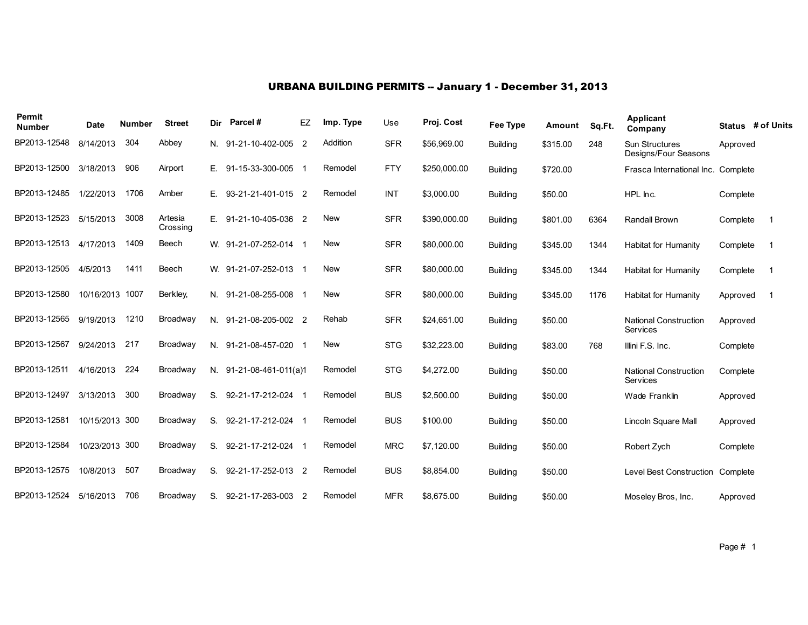# URBANA BUILDING PERMITS -- January 1 - December 31, 2013

| Permit<br><b>Number</b> | <b>Date</b>     | <b>Number</b> | <b>Street</b>       | Dir | Parcel#                   | EZ             | Imp. Type  | Use        | Proj. Cost   | Fee Type        | Amount   | Sq.Ft. | <b>Applicant</b><br>Company                   |          | Status # of Units |
|-------------------------|-----------------|---------------|---------------------|-----|---------------------------|----------------|------------|------------|--------------|-----------------|----------|--------|-----------------------------------------------|----------|-------------------|
| BP2013-12548            | 8/14/2013       | 304           | Abbey               |     | N. 91-21-10-402-005       | 2              | Addition   | <b>SFR</b> | \$56,969.00  | <b>Building</b> | \$315.00 | 248    | <b>Sun Structures</b><br>Designs/Four Seasons | Approved |                   |
| BP2013-12500            | 3/18/2013       | 906           | Airport             | Е.  | 91-15-33-300-005          |                | Remodel    | <b>FTY</b> | \$250,000.00 | <b>Building</b> | \$720.00 |        | Frasca International Inc. Complete            |          |                   |
| BP2013-12485            | 1/22/2013       | 1706          | Amber               | Е.  | 93-21-21-401-015 2        |                | Remodel    | <b>INT</b> | \$3,000.00   | <b>Building</b> | \$50.00  |        | HPL Inc.                                      | Complete |                   |
| BP2013-12523            | 5/15/2013       | 3008          | Artesia<br>Crossing | Е.  | 91-21-10-405-036 2        |                | <b>New</b> | <b>SFR</b> | \$390,000.00 | <b>Building</b> | \$801.00 | 6364   | Randall Brown                                 | Complete | -1                |
| BP2013-12513            | 4/17/2013       | 1409          | Beech               |     | W. 91-21-07-252-014 1     |                | <b>New</b> | <b>SFR</b> | \$80,000.00  | <b>Building</b> | \$345.00 | 1344   | Habitat for Humanity                          | Complete | -1                |
| BP2013-12505            | 4/5/2013        | 1411          | Beech               |     | W. 91-21-07-252-013       |                | <b>New</b> | <b>SFR</b> | \$80,000.00  | <b>Building</b> | \$345.00 | 1344   | Habitat for Humanity                          | Complete | -1                |
| BP2013-12580            | 10/16/2013 1007 |               | Berkley,            |     | N. 91-21-08-255-008       |                | <b>New</b> | <b>SFR</b> | \$80,000.00  | <b>Building</b> | \$345.00 | 1176   | <b>Habitat for Humanity</b>                   | Approved | -1                |
| BP2013-12565            | 9/19/2013       | 1210          | Broadway            |     | N. 91-21-08-205-002 2     |                | Rehab      | <b>SFR</b> | \$24,651.00  | <b>Building</b> | \$50.00  |        | <b>National Construction</b><br>Services      | Approved |                   |
| BP2013-12567            | 9/24/2013       | 217           | Broadway            | N.  | 91-21-08-457-020          |                | New        | <b>STG</b> | \$32,223.00  | <b>Building</b> | \$83.00  | 768    | Illini F.S. Inc.                              | Complete |                   |
| BP2013-12511            | 4/16/2013       | 224           | Broadway            |     | $N.$ 91-21-08-461-011(a)1 |                | Remodel    | <b>STG</b> | \$4,272.00   | <b>Building</b> | \$50.00  |        | <b>National Construction</b><br>Services      | Complete |                   |
| BP2013-12497            | 3/13/2013       | 300           | Broadway            | S.  | 92-21-17-212-024          |                | Remodel    | <b>BUS</b> | \$2,500.00   | <b>Building</b> | \$50.00  |        | Wade Franklin                                 | Approved |                   |
| BP2013-12581            | 10/15/2013 300  |               | Broadway            | S.  | 92-21-17-212-024 1        |                | Remodel    | <b>BUS</b> | \$100.00     | <b>Building</b> | \$50.00  |        | Lincoln Square Mall                           | Approved |                   |
| BP2013-12584            | 10/23/2013 300  |               | Broadway            | S.  | 92-21-17-212-024          |                | Remodel    | <b>MRC</b> | \$7,120.00   | <b>Building</b> | \$50.00  |        | Robert Zych                                   | Complete |                   |
| BP2013-12575            | 10/8/2013       | 507           | Broadway            | S.  | 92-21-17-252-013          | $\overline{2}$ | Remodel    | <b>BUS</b> | \$8,854.00   | <b>Building</b> | \$50.00  |        | Level Best Construction Complete              |          |                   |
| BP2013-12524            | 5/16/2013       | 706           | Broadway            | S.  | 92-21-17-263-003          | -2             | Remodel    | <b>MFR</b> | \$8,675.00   | <b>Building</b> | \$50.00  |        | Moseley Bros, Inc.                            | Approved |                   |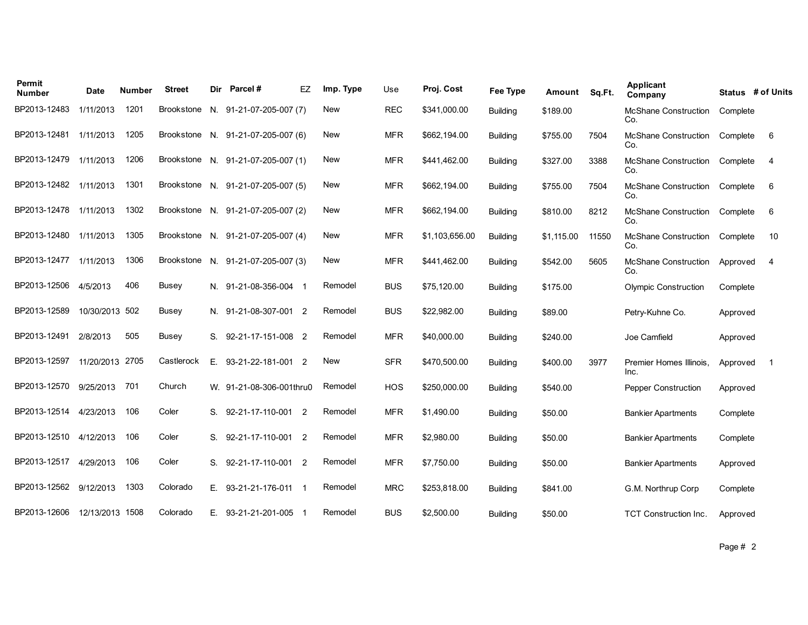| Permit<br><b>Number</b>      | Date            | Number | <b>Street</b>     | Dir | Parcel #                           | EZ             | Imp. Type  | Use        | Proj. Cost     | Fee Type        | Amount     | Sq.Ft. | Applicant<br>Company               |          | Status # of Units |
|------------------------------|-----------------|--------|-------------------|-----|------------------------------------|----------------|------------|------------|----------------|-----------------|------------|--------|------------------------------------|----------|-------------------|
| BP2013-12483                 | 1/11/2013       | 1201   | <b>Brookstone</b> |     | N. 91-21-07-205-007 (7)            |                | <b>New</b> | <b>REC</b> | \$341,000.00   | <b>Building</b> | \$189.00   |        | <b>McShane Construction</b><br>Co. | Complete |                   |
| BP2013-12481                 | 1/11/2013       | 1205   |                   |     | Brookstone N. 91-21-07-205-007 (6) |                | <b>New</b> | <b>MFR</b> | \$662,194.00   | <b>Building</b> | \$755.00   | 7504   | <b>McShane Construction</b><br>Co. | Complete | - 6               |
| BP2013-12479                 | 1/11/2013       | 1206   |                   |     | Brookstone N. 91-21-07-205-007 (1) |                | <b>New</b> | <b>MFR</b> | \$441,462.00   | <b>Building</b> | \$327.00   | 3388   | McShane Construction<br>Co.        | Complete | -4                |
| BP2013-12482 1/11/2013       |                 | 1301   | Brookstone        |     | N. 91-21-07-205-007 (5)            |                | New        | <b>MFR</b> | \$662,194.00   | <b>Building</b> | \$755.00   | 7504   | McShane Construction<br>Co.        | Complete | 6                 |
| BP2013-12478                 | 1/11/2013       | 1302   | <b>Brookstone</b> |     | N. 91-21-07-205-007 (2)            |                | New        | <b>MFR</b> | \$662,194.00   | <b>Building</b> | \$810.00   | 8212   | <b>McShane Construction</b><br>Co. | Complete | 6                 |
| BP2013-12480                 | 1/11/2013       | 1305   | <b>Brookstone</b> |     | N. 91-21-07-205-007 (4)            |                | <b>New</b> | <b>MFR</b> | \$1,103,656.00 | <b>Building</b> | \$1.115.00 | 11550  | <b>McShane Construction</b><br>Co. | Complete | 10                |
| BP2013-12477                 | 1/11/2013       | 1306   | <b>Brookstone</b> |     | N. 91-21-07-205-007 (3)            |                | <b>New</b> | <b>MFR</b> | \$441,462.00   | <b>Building</b> | \$542.00   | 5605   | McShane Construction<br>Co.        | Approved | $\overline{4}$    |
| BP2013-12506                 | 4/5/2013        | 406    | Busey             |     | N. 91-21-08-356-004 1              |                | Remodel    | <b>BUS</b> | \$75,120.00    | <b>Building</b> | \$175.00   |        | <b>Olympic Construction</b>        | Complete |                   |
| BP2013-12589                 | 10/30/2013 502  |        | <b>Busey</b>      |     | N. 91-21-08-307-001 2              |                | Remodel    | <b>BUS</b> | \$22,982.00    | <b>Building</b> | \$89.00    |        | Petry-Kuhne Co.                    | Approved |                   |
| BP2013-12491                 | 2/8/2013        | 505    | Busey             |     | S. 92-21-17-151-008 2              |                | Remodel    | <b>MFR</b> | \$40,000.00    | <b>Building</b> | \$240.00   |        | Joe Camfield                       | Approved |                   |
| BP2013-12597                 | 11/20/2013 2705 |        | Castlerock        | Е.  | 93-21-22-181-001 2                 |                | <b>New</b> | <b>SFR</b> | \$470,500.00   | <b>Building</b> | \$400.00   | 3977   | Premier Homes Illinois.<br>Inc.    | Approved | - 1               |
| BP2013-12570                 | 9/25/2013       | 701    | Church            |     | W. 91-21-08-306-001thru0           |                | Remodel    | <b>HOS</b> | \$250,000.00   | <b>Building</b> | \$540.00   |        | <b>Pepper Construction</b>         | Approved |                   |
| BP2013-12514                 | 4/23/2013       | 106    | Coler             | S.  | 92-21-17-110-001 2                 |                | Remodel    | <b>MFR</b> | \$1,490.00     | <b>Building</b> | \$50.00    |        | <b>Bankier Apartments</b>          | Complete |                   |
| BP2013-12510                 | 4/12/2013       | 106    | Coler             | S.  | 92-21-17-110-001                   | $\overline{2}$ | Remodel    | <b>MFR</b> | \$2,980.00     | <b>Building</b> | \$50.00    |        | <b>Bankier Apartments</b>          | Complete |                   |
| BP2013-12517                 | 4/29/2013       | 106    | Coler             | S.  | 92-21-17-110-001 2                 |                | Remodel    | <b>MFR</b> | \$7,750.00     | <b>Building</b> | \$50.00    |        | <b>Bankier Apartments</b>          | Approved |                   |
| BP2013-12562 9/12/2013       |                 | 1303   | Colorado          |     | E. 93-21-21-176-011 1              |                | Remodel    | <b>MRC</b> | \$253,818.00   | <b>Building</b> | \$841.00   |        | G.M. Northrup Corp                 | Complete |                   |
| BP2013-12606 12/13/2013 1508 |                 |        | Colorado          |     | E. 93-21-21-201-005 1              |                | Remodel    | <b>BUS</b> | \$2,500.00     | <b>Building</b> | \$50.00    |        | TCT Construction Inc.              | Approved |                   |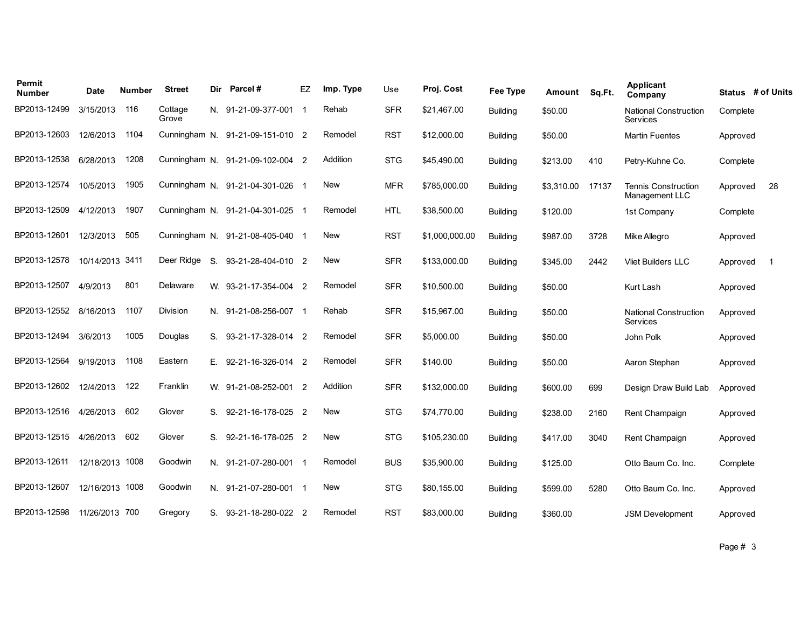| Permit<br><b>Number</b> | Date            | Number | <b>Street</b>    | Dir | Parcel#                          | EZ          | Imp. Type | Use        | Proj. Cost     | Fee Type        | Amount     | Sq.Ft. | <b>Applicant</b><br>Company                  |          | Status # of Units |
|-------------------------|-----------------|--------|------------------|-----|----------------------------------|-------------|-----------|------------|----------------|-----------------|------------|--------|----------------------------------------------|----------|-------------------|
| BP2013-12499            | 3/15/2013       | 116    | Cottage<br>Grove |     | N. 91-21-09-377-001              | $\mathbf 1$ | Rehab     | <b>SFR</b> | \$21,467.00    | <b>Building</b> | \$50.00    |        | <b>National Construction</b><br>Services     | Complete |                   |
| BP2013-12603            | 12/6/2013       | 1104   |                  |     | Cunningham N. 91-21-09-151-010 2 |             | Remodel   | <b>RST</b> | \$12,000.00    | <b>Building</b> | \$50.00    |        | <b>Martin Fuentes</b>                        | Approved |                   |
| BP2013-12538            | 6/28/2013       | 1208   |                  |     | Cunningham N. 91-21-09-102-004 2 |             | Addition  | <b>STG</b> | \$45,490.00    | <b>Building</b> | \$213.00   | 410    | Petry-Kuhne Co.                              | Complete |                   |
| BP2013-12574            | 10/5/2013       | 1905   |                  |     | Cunningham N. 91-21-04-301-026 1 |             | New       | <b>MFR</b> | \$785,000.00   | Building        | \$3,310.00 | 17137  | <b>Tennis Construction</b><br>Management LLC | Approved | 28                |
| BP2013-12509            | 4/12/2013       | 1907   |                  |     | Cunningham N. 91-21-04-301-025 1 |             | Remodel   | <b>HTL</b> | \$38,500.00    | <b>Building</b> | \$120.00   |        | 1st Company                                  | Complete |                   |
| BP2013-12601            | 12/3/2013       | 505    |                  |     | Cunningham N. 91-21-08-405-040   |             | New       | <b>RST</b> | \$1,000,000.00 | <b>Building</b> | \$987.00   | 3728   | Mike Allegro                                 | Approved |                   |
| BP2013-12578            | 10/14/2013 3411 |        | Deer Ridge       | S.  | 93-21-28-404-010 2               |             | New       | <b>SFR</b> | \$133,000.00   | <b>Building</b> | \$345.00   | 2442   | <b>Vliet Builders LLC</b>                    | Approved | -1                |
| BP2013-12507            | 4/9/2013        | 801    | Delaware         |     | W. 93-21-17-354-004 2            |             | Remodel   | <b>SFR</b> | \$10,500.00    | <b>Building</b> | \$50.00    |        | Kurt Lash                                    | Approved |                   |
| BP2013-12552            | 8/16/2013       | 1107   | Division         |     | N. 91-21-08-256-007 1            |             | Rehab     | <b>SFR</b> | \$15,967.00    | <b>Building</b> | \$50.00    |        | <b>National Construction</b><br>Services     | Approved |                   |
| BP2013-12494            | 3/6/2013        | 1005   | Douglas          | S.  | 93-21-17-328-014 2               |             | Remodel   | <b>SFR</b> | \$5,000.00     | <b>Building</b> | \$50.00    |        | John Polk                                    | Approved |                   |
| BP2013-12564            | 9/19/2013       | 1108   | Eastern          | Е.  | 92-21-16-326-014 2               |             | Remodel   | <b>SFR</b> | \$140.00       | Building        | \$50.00    |        | Aaron Stephan                                | Approved |                   |
| BP2013-12602            | 12/4/2013       | 122    | Franklin         |     | W. 91-21-08-252-001 2            |             | Addition  | <b>SFR</b> | \$132,000.00   | <b>Building</b> | \$600.00   | 699    | Design Draw Build Lab                        | Approved |                   |
| BP2013-12516            | 4/26/2013       | 602    | Glover           | S.  | 92-21-16-178-025 2               |             | New       | <b>STG</b> | \$74,770.00    | <b>Building</b> | \$238.00   | 2160   | Rent Champaign                               | Approved |                   |
| BP2013-12515            | 4/26/2013       | 602    | Glover           | S.  | 92-21-16-178-025 2               |             | New       | <b>STG</b> | \$105,230.00   | <b>Building</b> | \$417.00   | 3040   | Rent Champaign                               | Approved |                   |
| BP2013-12611            | 12/18/2013 1008 |        | Goodwin          |     | N. 91-21-07-280-001 1            |             | Remodel   | <b>BUS</b> | \$35,900.00    | <b>Building</b> | \$125.00   |        | Otto Baum Co. Inc.                           | Complete |                   |
| BP2013-12607            | 12/16/2013 1008 |        | Goodwin          |     | N. 91-21-07-280-001 1            |             | New       | <b>STG</b> | \$80,155.00    | <b>Building</b> | \$599.00   | 5280   | Otto Baum Co. Inc.                           | Approved |                   |
| BP2013-12598            | 11/26/2013 700  |        | Gregory          |     | S. 93-21-18-280-022 2            |             | Remodel   | <b>RST</b> | \$83,000.00    | <b>Building</b> | \$360.00   |        | <b>JSM Development</b>                       | Approved |                   |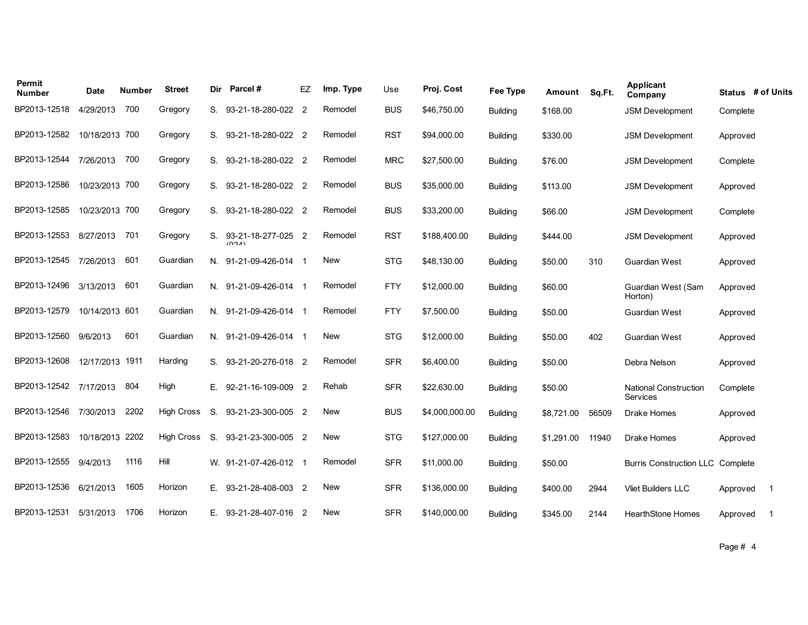| Permit<br><b>Number</b> | Date            | Number | <b>Street</b>     | Dir | Parcel#                     | EZ             | Imp. Type  | Use        | Proj. Cost     | <b>Fee Type</b> | Amount     | Sq.Ft. | Applicant<br>Company                     | Status # of Units |                |
|-------------------------|-----------------|--------|-------------------|-----|-----------------------------|----------------|------------|------------|----------------|-----------------|------------|--------|------------------------------------------|-------------------|----------------|
| BP2013-12518            | 4/29/2013       | 700    | Gregory           | S.  | 93-21-18-280-022            | $\overline{2}$ | Remodel    | <b>BUS</b> | \$46,750.00    | <b>Building</b> | \$168.00   |        | <b>JSM Development</b>                   | Complete          |                |
| BP2013-12582            | 10/18/2013 700  |        | Gregory           | S.  | 93-21-18-280-022 2          |                | Remodel    | <b>RST</b> | \$94,000.00    | <b>Building</b> | \$330.00   |        | <b>JSM Development</b>                   | Approved          |                |
| BP2013-12544            | 7/26/2013       | 700    | Gregory           | S.  | 93-21-18-280-022 2          |                | Remodel    | <b>MRC</b> | \$27,500.00    | <b>Building</b> | \$76.00    |        | <b>JSM Development</b>                   | Complete          |                |
| BP2013-12586            | 10/23/2013 700  |        | Gregory           | S.  | 93-21-18-280-022 2          |                | Remodel    | <b>BUS</b> | \$35,000.00    | <b>Building</b> | \$113.00   |        | <b>JSM Development</b>                   | Approved          |                |
| BP2013-12585            | 10/23/2013 700  |        | Gregory           | S.  | 93-21-18-280-022 2          |                | Remodel    | <b>BUS</b> | \$33,200.00    | <b>Building</b> | \$66.00    |        | <b>JSM Development</b>                   | Complete          |                |
| BP2013-12553            | 8/27/2013       | 701    | Gregory           | S.  | 93-21-18-277-025 2<br>(024) |                | Remodel    | <b>RST</b> | \$188,400.00   | <b>Building</b> | \$444.00   |        | <b>JSM Development</b>                   | Approved          |                |
| BP2013-12545            | 7/26/2013       | 601    | Guardian          | N.  | 91-21-09-426-014 1          |                | <b>New</b> | <b>STG</b> | \$48,130.00    | <b>Building</b> | \$50.00    | 310    | Guardian West                            | Approved          |                |
| BP2013-12496            | 3/13/2013       | 601    | Guardian          | N.  | 91-21-09-426-014 1          |                | Remodel    | <b>FTY</b> | \$12,000.00    | <b>Building</b> | \$60.00    |        | Guardian West (Sam<br>Horton)            | Approved          |                |
| BP2013-12579            | 10/14/2013 601  |        | Guardian          |     | N. 91-21-09-426-014 1       |                | Remodel    | <b>FTY</b> | \$7,500.00     | <b>Building</b> | \$50.00    |        | <b>Guardian West</b>                     | Approved          |                |
| BP2013-12560            | 9/6/2013        | 601    | Guardian          | N.  | 91-21-09-426-014 1          |                | New        | <b>STG</b> | \$12,000.00    | <b>Building</b> | \$50.00    | 402    | Guardian West                            | Approved          |                |
| BP2013-12608            | 12/17/2013 1911 |        | Harding           | S.  | 93-21-20-276-018 2          |                | Remodel    | <b>SFR</b> | \$6,400.00     | <b>Building</b> | \$50.00    |        | Debra Nelson                             | Approved          |                |
| BP2013-12542            | 7/17/2013       | 804    | High              | Е.  | 92-21-16-109-009            | $\overline{2}$ | Rehab      | <b>SFR</b> | \$22,630.00    | <b>Building</b> | \$50.00    |        | <b>National Construction</b><br>Services | Complete          |                |
| BP2013-12546            | 7/30/2013       | 2202   | <b>High Cross</b> | S.  | 93-21-23-300-005 2          |                | New        | <b>BUS</b> | \$4,000,000.00 | <b>Building</b> | \$8,721.00 | 56509  | Drake Homes                              | Approved          |                |
| BP2013-12583            | 10/18/2013 2202 |        | <b>High Cross</b> | S.  | 93-21-23-300-005 2          |                | <b>New</b> | <b>STG</b> | \$127,000.00   | <b>Building</b> | \$1,291.00 | 11940  | Drake Homes                              | Approved          |                |
| BP2013-12555            | 9/4/2013        | 1116   | Hill              | W.  | 91-21-07-426-012            |                | Remodel    | <b>SFR</b> | \$11,000.00    | <b>Building</b> | \$50.00    |        | <b>Burris Construction LLC Complete</b>  |                   |                |
| BP2013-12536            | 6/21/2013       | 1605   | Horizon           | Е.  | 93-21-28-408-003 2          |                | New        | <b>SFR</b> | \$136,000.00   | <b>Building</b> | \$400.00   | 2944   | <b>Vliet Builders LLC</b>                | Approved          | $\mathbf{1}$   |
| BP2013-12531            | 5/31/2013       | 1706   | Horizon           | Е.  | 93-21-28-407-016 2          |                | New        | <b>SFR</b> | \$140,000.00   | <b>Building</b> | \$345.00   | 2144   | <b>HearthStone Homes</b>                 | Approved          | $\overline{1}$ |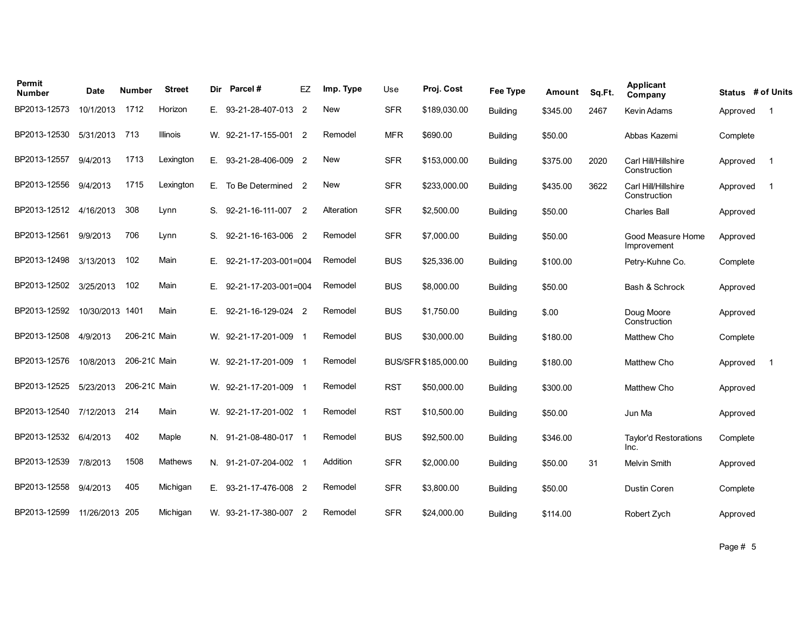| Permit<br><b>Number</b> | <b>Date</b>     | Number       | <b>Street</b>  | Dir | Parcel#               | EZ                         | Imp. Type  | Use        | Proj. Cost           | Fee Type        | Amount   | Sq.Ft. | <b>Applicant</b><br>Company          | Status # of Units |                         |
|-------------------------|-----------------|--------------|----------------|-----|-----------------------|----------------------------|------------|------------|----------------------|-----------------|----------|--------|--------------------------------------|-------------------|-------------------------|
| BP2013-12573            | 10/1/2013       | 1712         | Horizon        | Е.  | 93-21-28-407-013 2    |                            | <b>New</b> | <b>SFR</b> | \$189,030.00         | <b>Building</b> | \$345.00 | 2467   | Kevin Adams                          | Approved          | $\overline{\mathbf{1}}$ |
| BP2013-12530            | 5/31/2013       | 713          | Illinois       |     | W. 92-21-17-155-001 2 |                            | Remodel    | <b>MFR</b> | \$690.00             | <b>Building</b> | \$50.00  |        | Abbas Kazemi                         | Complete          |                         |
| BP2013-12557            | 9/4/2013        | 1713         | Lexington      | Е.  | 93-21-28-406-009      | $\overline{\phantom{0}}^2$ | <b>New</b> | <b>SFR</b> | \$153,000.00         | Building        | \$375.00 | 2020   | Carl Hill/Hillshire<br>Construction  | Approved          | -1                      |
| BP2013-12556            | 9/4/2013        | 1715         | Lexington      | Е.  | To Be Determined      | $\overline{2}$             | <b>New</b> | <b>SFR</b> | \$233,000.00         | <b>Building</b> | \$435.00 | 3622   | Carl Hill/Hillshire<br>Construction  | Approved          | $\overline{1}$          |
| BP2013-12512            | 4/16/2013       | 308          | Lynn           | S.  | 92-21-16-111-007      | $\overline{2}$             | Alteration | <b>SFR</b> | \$2,500.00           | Building        | \$50.00  |        | <b>Charles Ball</b>                  | Approved          |                         |
| BP2013-12561            | 9/9/2013        | 706          | Lynn           | S.  | 92-21-16-163-006      | $\overline{\phantom{0}}^2$ | Remodel    | <b>SFR</b> | \$7,000.00           | <b>Building</b> | \$50.00  |        | Good Measure Home<br>Improvement     | Approved          |                         |
| BP2013-12498            | 3/13/2013       | 102          | Main           | Е.  | 92-21-17-203-001=004  |                            | Remodel    | <b>BUS</b> | \$25,336.00          | <b>Building</b> | \$100.00 |        | Petry-Kuhne Co.                      | Complete          |                         |
| BP2013-12502            | 3/25/2013       | 102          | Main           | Е.  | 92-21-17-203-001=004  |                            | Remodel    | <b>BUS</b> | \$8,000.00           | <b>Building</b> | \$50.00  |        | Bash & Schrock                       | Approved          |                         |
| BP2013-12592            | 10/30/2013 1401 |              | Main           | Е.  | 92-21-16-129-024 2    |                            | Remodel    | <b>BUS</b> | \$1,750.00           | Building        | \$.00    |        | Doug Moore<br>Construction           | Approved          |                         |
| BP2013-12508            | 4/9/2013        | 206-210 Main |                |     | W. 92-21-17-201-009   | - 1                        | Remodel    | <b>BUS</b> | \$30,000.00          | <b>Building</b> | \$180.00 |        | Matthew Cho                          | Complete          |                         |
| BP2013-12576            | 10/8/2013       | 206-210 Main |                |     | W. 92-21-17-201-009   |                            | Remodel    |            | BUS/SFR \$185,000.00 | <b>Building</b> | \$180.00 |        | Matthew Cho                          | Approved          | $\overline{1}$          |
| BP2013-12525            | 5/23/2013       | 206-210 Main |                |     | W. 92-21-17-201-009   | - 1                        | Remodel    | <b>RST</b> | \$50,000.00          | <b>Building</b> | \$300.00 |        | Matthew Cho                          | Approved          |                         |
| BP2013-12540            | 7/12/2013       | 214          | Main           |     | W. 92-21-17-201-002 1 |                            | Remodel    | <b>RST</b> | \$10,500.00          | Building        | \$50.00  |        | Jun Ma                               | Approved          |                         |
| BP2013-12532            | 6/4/2013        | 402          | Maple          |     | N. 91-21-08-480-017 1 |                            | Remodel    | <b>BUS</b> | \$92,500.00          | <b>Building</b> | \$346.00 |        | <b>Tavlor'd Restorations</b><br>Inc. | Complete          |                         |
| BP2013-12539            | 7/8/2013        | 1508         | <b>Mathews</b> |     | N. 91-21-07-204-002 1 |                            | Addition   | <b>SFR</b> | \$2,000.00           | Building        | \$50.00  | 31     | <b>Melvin Smith</b>                  | Approved          |                         |
| BP2013-12558            | 9/4/2013        | 405          | Michigan       | Е.  | 93-21-17-476-008 2    |                            | Remodel    | <b>SFR</b> | \$3,800.00           | <b>Building</b> | \$50.00  |        | Dustin Coren                         | Complete          |                         |
| BP2013-12599            | 11/26/2013 205  |              | Michigan       |     | W. 93-21-17-380-007   | - 2                        | Remodel    | <b>SFR</b> | \$24,000.00          | Building        | \$114.00 |        | Robert Zych                          | Approved          |                         |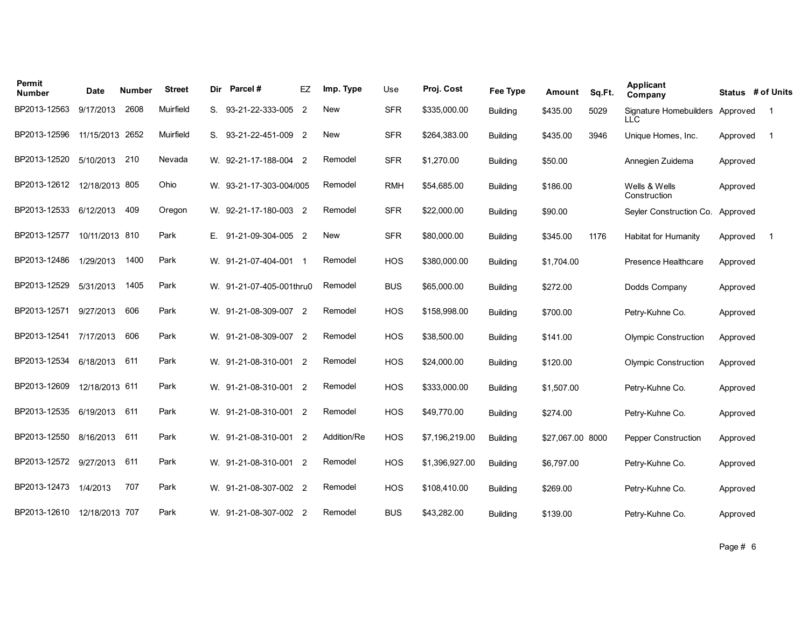| Permit<br>Number | Date            | Number | <b>Street</b> | Dir | Parcel#                  | EZ                       | Imp. Type   | Use        | Proj. Cost     | <b>Fee Type</b> | Amount           | Sq.Ft. | <b>Applicant</b><br>Company   |          | Status # of Units |
|------------------|-----------------|--------|---------------|-----|--------------------------|--------------------------|-------------|------------|----------------|-----------------|------------------|--------|-------------------------------|----------|-------------------|
| BP2013-12563     | 9/17/2013       | 2608   | Muirfield     | S.  | 93-21-22-333-005 2       |                          | New         | <b>SFR</b> | \$335,000.00   | <b>Building</b> | \$435.00         | 5029   | Signature Homebuilders<br>LLC | Approved | -1                |
| BP2013-12596     | 11/15/2013 2652 |        | Muirfield     | S.  | 93-21-22-451-009 2       |                          | <b>New</b>  | <b>SFR</b> | \$264,383.00   | <b>Building</b> | \$435.00         | 3946   | Unique Homes, Inc.            | Approved | - 1               |
| BP2013-12520     | 5/10/2013       | 210    | Nevada        |     | W. 92-21-17-188-004 2    |                          | Remodel     | <b>SFR</b> | \$1,270.00     | <b>Building</b> | \$50.00          |        | Annegien Zuidema              | Approved |                   |
| BP2013-12612     | 12/18/2013 805  |        | Ohio          |     | W. 93-21-17-303-004/005  |                          | Remodel     | <b>RMH</b> | \$54,685.00    | <b>Building</b> | \$186.00         |        | Wells & Wells<br>Construction | Approved |                   |
| BP2013-12533     | 6/12/2013       | 409    | Oregon        |     | W. 92-21-17-180-003 2    |                          | Remodel     | <b>SFR</b> | \$22,000.00    | <b>Building</b> | \$90.00          |        | Seyler Construction Co.       | Approved |                   |
| BP2013-12577     | 10/11/2013 810  |        | Park          | Е.  | 91-21-09-304-005 2       |                          | New         | <b>SFR</b> | \$80,000.00    | <b>Building</b> | \$345.00         | 1176   | <b>Habitat for Humanity</b>   | Approved | -1                |
| BP2013-12486     | 1/29/2013       | 1400   | Park          |     | W. 91-21-07-404-001 1    |                          | Remodel     | <b>HOS</b> | \$380,000.00   | <b>Building</b> | \$1.704.00       |        | Presence Healthcare           | Approved |                   |
| BP2013-12529     | 5/31/2013       | 1405   | Park          |     | W. 91-21-07-405-001thru0 |                          | Remodel     | <b>BUS</b> | \$65,000.00    | <b>Building</b> | \$272.00         |        | Dodds Company                 | Approved |                   |
| BP2013-12571     | 9/27/2013       | 606    | Park          |     | W. 91-21-08-309-007 2    |                          | Remodel     | <b>HOS</b> | \$158,998.00   | <b>Building</b> | \$700.00         |        | Petry-Kuhne Co.               | Approved |                   |
| BP2013-12541     | 7/17/2013       | 606    | Park          |     | W. 91-21-08-309-007 2    |                          | Remodel     | <b>HOS</b> | \$38,500.00    | <b>Building</b> | \$141.00         |        | <b>Olympic Construction</b>   | Approved |                   |
| BP2013-12534     | 6/18/2013       | 611    | Park          |     | W. 91-21-08-310-001      | $\overline{\phantom{a}}$ | Remodel     | <b>HOS</b> | \$24,000.00    | <b>Building</b> | \$120.00         |        | <b>Olympic Construction</b>   | Approved |                   |
| BP2013-12609     | 12/18/2013 611  |        | Park          |     | W. 91-21-08-310-001 2    |                          | Remodel     | <b>HOS</b> | \$333,000.00   | <b>Building</b> | \$1,507.00       |        | Petry-Kuhne Co.               | Approved |                   |
| BP2013-12535     | 6/19/2013       | 611    | Park          |     | W. 91-21-08-310-001      | $\overline{2}$           | Remodel     | <b>HOS</b> | \$49,770.00    | <b>Building</b> | \$274.00         |        | Petry-Kuhne Co.               | Approved |                   |
| BP2013-12550     | 8/16/2013       | 611    | Park          |     | W. 91-21-08-310-001 2    |                          | Addition/Re | <b>HOS</b> | \$7,196,219.00 | <b>Building</b> | \$27,067.00 8000 |        | <b>Pepper Construction</b>    | Approved |                   |
| BP2013-12572     | 9/27/2013       | 611    | Park          |     | W. 91-21-08-310-001 2    |                          | Remodel     | <b>HOS</b> | \$1,396,927.00 | <b>Building</b> | \$6,797.00       |        | Petry-Kuhne Co.               | Approved |                   |
| BP2013-12473     | 1/4/2013        | 707    | Park          |     | W. 91-21-08-307-002 2    |                          | Remodel     | <b>HOS</b> | \$108,410.00   | <b>Building</b> | \$269.00         |        | Petry-Kuhne Co.               | Approved |                   |
| BP2013-12610     | 12/18/2013 707  |        | Park          |     | W. 91-21-08-307-002 2    |                          | Remodel     | <b>BUS</b> | \$43,282.00    | <b>Building</b> | \$139.00         |        | Petry-Kuhne Co.               | Approved |                   |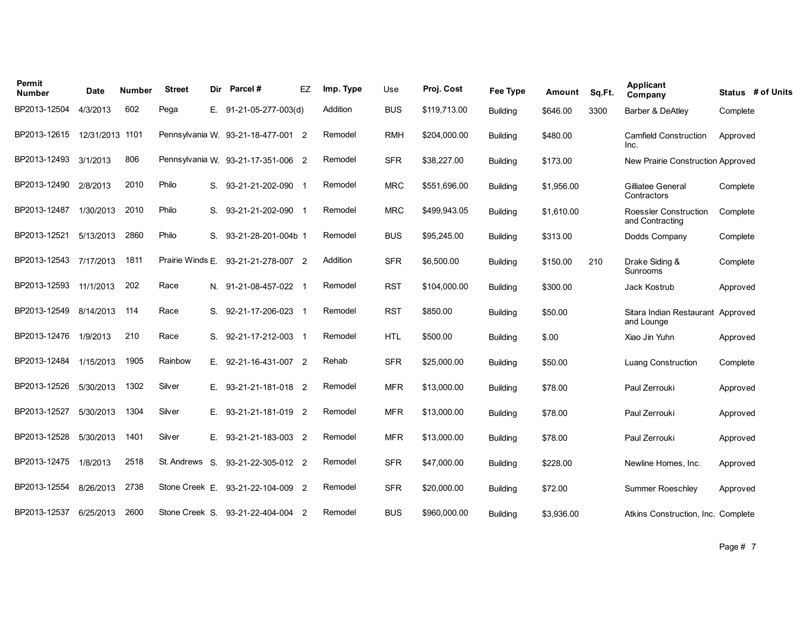| Permit<br><b>Number</b> | Date       | Number | <b>Street</b>    | Dir | Parcel#                            | EZ | Imp. Type | Use        | Proj. Cost   | Fee Type        | Amount     | Sq.Ft. | Applicant<br>Company                            | Status # of Units |
|-------------------------|------------|--------|------------------|-----|------------------------------------|----|-----------|------------|--------------|-----------------|------------|--------|-------------------------------------------------|-------------------|
| BP2013-12504            | 4/3/2013   | 602    | Pega             | Е.  | 91-21-05-277-003(d)                |    | Addition  | <b>BUS</b> | \$119,713.00 | <b>Building</b> | \$646.00   | 3300   | Barber & DeAtley                                | Complete          |
| BP2013-12615            | 12/31/2013 | 1101   |                  |     | Pennsylvania W. 93-21-18-477-001 2 |    | Remodel   | <b>RMH</b> | \$204,000.00 | <b>Building</b> | \$480.00   |        | <b>Camfield Construction</b><br>Inc.            | Approved          |
| BP2013-12493            | 3/1/2013   | 806    |                  |     | Pennsylvania W. 93-21-17-351-006 2 |    | Remodel   | <b>SFR</b> | \$38,227.00  | <b>Building</b> | \$173.00   |        | New Prairie Construction Approved               |                   |
| BP2013-12490            | 2/8/2013   | 2010   | Philo            | S.  | 93-21-21-202-090                   |    | Remodel   | <b>MRC</b> | \$551,696.00 | <b>Building</b> | \$1,956.00 |        | Gilliatee General<br>Contractors                | Complete          |
| BP2013-12487            | 1/30/2013  | 2010   | Philo            | S.  | 93-21-21-202-090 1                 |    | Remodel   | <b>MRC</b> | \$499,943.05 | <b>Building</b> | \$1,610.00 |        | Roessler Construction<br>and Contracting        | Complete          |
| BP2013-12521            | 5/13/2013  | 2860   | Philo            | S.  | 93-21-28-201-004b 1                |    | Remodel   | <b>BUS</b> | \$95,245.00  | <b>Building</b> | \$313.00   |        | Dodds Company                                   | Complete          |
| BP2013-12543            | 7/17/2013  | 1811   | Prairie Winds E. |     | 93-21-21-278-007 2                 |    | Addition  | <b>SFR</b> | \$6,500.00   | <b>Building</b> | \$150.00   | 210    | Drake Siding &<br>Sunrooms                      | Complete          |
| BP2013-12593            | 11/1/2013  | 202    | Race             |     | N. 91-21-08-457-022                |    | Remodel   | <b>RST</b> | \$104,000.00 | <b>Building</b> | \$300.00   |        | Jack Kostrub                                    | Approved          |
| BP2013-12549            | 8/14/2013  | 114    | Race             | S.  | 92-21-17-206-023                   |    | Remodel   | <b>RST</b> | \$850.00     | <b>Building</b> | \$50.00    |        | Sitara Indian Restaurant Approved<br>and Lounge |                   |
| BP2013-12476            | 1/9/2013   | 210    | Race             | S.  | 92-21-17-212-003                   |    | Remodel   | <b>HTL</b> | \$500.00     | <b>Building</b> | \$.00      |        | Xiao Jin Yuhn                                   | Approved          |
| BP2013-12484            | 1/15/2013  | 1905   | Rainbow          | Е.  | 92-21-16-431-007 2                 |    | Rehab     | <b>SFR</b> | \$25,000.00  | Building        | \$50.00    |        | <b>Luang Construction</b>                       | Complete          |
| BP2013-12526            | 5/30/2013  | 1302   | Silver           | Е.  | 93-21-21-181-018 2                 |    | Remodel   | <b>MFR</b> | \$13,000.00  | <b>Building</b> | \$78.00    |        | Paul Zerrouki                                   | Approved          |
| BP2013-12527            | 5/30/2013  | 1304   | Silver           | Е.  | 93-21-21-181-019 2                 |    | Remodel   | <b>MFR</b> | \$13,000.00  | <b>Building</b> | \$78.00    |        | Paul Zerrouki                                   | Approved          |
| BP2013-12528            | 5/30/2013  | 1401   | Silver           | Е.  | 93-21-21-183-003 2                 |    | Remodel   | <b>MFR</b> | \$13,000.00  | <b>Building</b> | \$78.00    |        | Paul Zerrouki                                   | Approved          |
| BP2013-12475            | 1/8/2013   | 2518   | St. Andrews      | S.  | 93-21-22-305-012 2                 |    | Remodel   | <b>SFR</b> | \$47,000.00  | <b>Building</b> | \$228.00   |        | Newline Homes, Inc.                             | Approved          |
| BP2013-12554            | 8/26/2013  | 2738   | Stone Creek E.   |     | 93-21-22-104-009 2                 |    | Remodel   | <b>SFR</b> | \$20,000.00  | <b>Building</b> | \$72.00    |        | <b>Summer Roeschley</b>                         | Approved          |
| BP2013-12537            | 6/25/2013  | 2600   |                  |     | Stone Creek S. 93-21-22-404-004 2  |    | Remodel   | <b>BUS</b> | \$960,000.00 | <b>Building</b> | \$3,936.00 |        | Atkins Construction, Inc. Complete              |                   |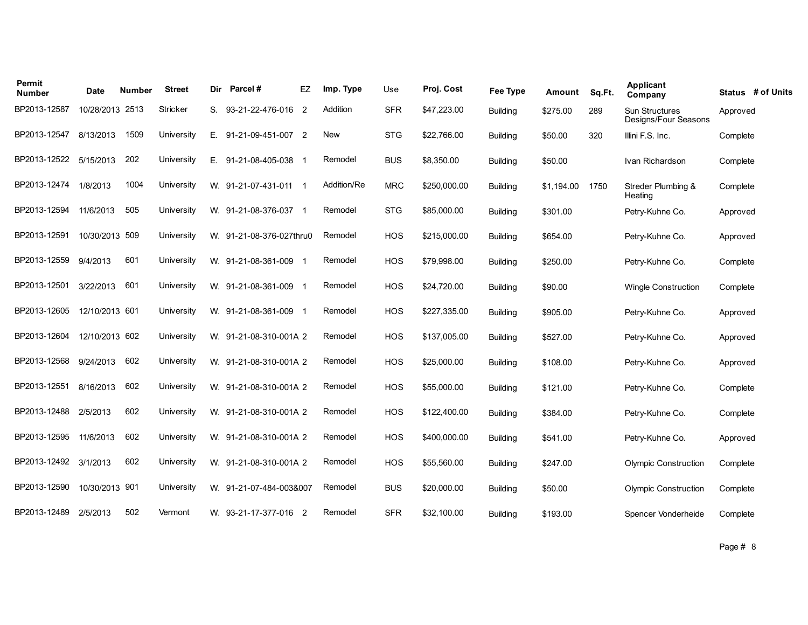| Permit<br><b>Number</b> | <b>Date</b>     | Number | <b>Street</b> | Dir | Parcel#                  | EZ  | Imp. Type   | Use        | Proj. Cost   | <b>Fee Type</b> | Amount     | Sq.Ft. | <b>Applicant</b><br>Company                   | Status # of Units |
|-------------------------|-----------------|--------|---------------|-----|--------------------------|-----|-------------|------------|--------------|-----------------|------------|--------|-----------------------------------------------|-------------------|
| BP2013-12587            | 10/28/2013 2513 |        | Stricker      | S.  | 93-21-22-476-016 2       |     | Addition    | <b>SFR</b> | \$47,223.00  | <b>Building</b> | \$275.00   | 289    | <b>Sun Structures</b><br>Designs/Four Seasons | Approved          |
| BP2013-12547            | 8/13/2013       | 1509   | University    | E.  | 91-21-09-451-007 2       |     | New         | <b>STG</b> | \$22,766.00  | <b>Building</b> | \$50.00    | 320    | Illini F.S. Inc.                              | Complete          |
| BP2013-12522            | 5/15/2013       | 202    | University    | Е.  | 91-21-08-405-038 1       |     | Remodel     | <b>BUS</b> | \$8,350.00   | <b>Building</b> | \$50.00    |        | Ivan Richardson                               | Complete          |
| BP2013-12474            | 1/8/2013        | 1004   | University    |     | W. 91-21-07-431-011      | - 1 | Addition/Re | <b>MRC</b> | \$250,000.00 | <b>Building</b> | \$1,194.00 | 1750   | Streder Plumbing &<br>Heating                 | Complete          |
| BP2013-12594            | 11/6/2013       | 505    | University    |     | W. 91-21-08-376-037 1    |     | Remodel     | <b>STG</b> | \$85,000.00  | <b>Building</b> | \$301.00   |        | Petry-Kuhne Co.                               | Approved          |
| BP2013-12591            | 10/30/2013      | 509    | University    |     | W. 91-21-08-376-027thru0 |     | Remodel     | HOS        | \$215,000.00 | <b>Building</b> | \$654.00   |        | Petry-Kuhne Co.                               | Approved          |
| BP2013-12559            | 9/4/2013        | 601    | University    |     | W. 91-21-08-361-009 1    |     | Remodel     | <b>HOS</b> | \$79,998.00  | Building        | \$250.00   |        | Petry-Kuhne Co.                               | Complete          |
| BP2013-12501            | 3/22/2013       | 601    | University    |     | W. 91-21-08-361-009 1    |     | Remodel     | <b>HOS</b> | \$24,720.00  | Building        | \$90.00    |        | <b>Wingle Construction</b>                    | Complete          |
| BP2013-12605            | 12/10/2013 601  |        | University    |     | W. 91-21-08-361-009 1    |     | Remodel     | <b>HOS</b> | \$227,335.00 | Building        | \$905.00   |        | Petry-Kuhne Co.                               | Approved          |
| BP2013-12604            | 12/10/2013 602  |        | University    |     | W. 91-21-08-310-001A 2   |     | Remodel     | <b>HOS</b> | \$137,005.00 | <b>Building</b> | \$527.00   |        | Petry-Kuhne Co.                               | Approved          |
| BP2013-12568            | 9/24/2013       | 602    | University    |     | W. 91-21-08-310-001A 2   |     | Remodel     | <b>HOS</b> | \$25,000.00  | <b>Building</b> | \$108.00   |        | Petry-Kuhne Co.                               | Approved          |
| BP2013-12551            | 8/16/2013       | 602    | University    |     | W. 91-21-08-310-001A 2   |     | Remodel     | <b>HOS</b> | \$55,000.00  | <b>Building</b> | \$121.00   |        | Petry-Kuhne Co.                               | Complete          |
| BP2013-12488            | 2/5/2013        | 602    | University    |     | W. 91-21-08-310-001A 2   |     | Remodel     | <b>HOS</b> | \$122,400.00 | <b>Building</b> | \$384.00   |        | Petry-Kuhne Co.                               | Complete          |
| BP2013-12595            | 11/6/2013       | 602    | University    |     | W. 91-21-08-310-001A 2   |     | Remodel     | <b>HOS</b> | \$400,000.00 | <b>Building</b> | \$541.00   |        | Petry-Kuhne Co.                               | Approved          |
| BP2013-12492            | 3/1/2013        | 602    | University    |     | W. 91-21-08-310-001A 2   |     | Remodel     | <b>HOS</b> | \$55,560.00  | Building        | \$247.00   |        | <b>Olympic Construction</b>                   | Complete          |
| BP2013-12590            | 10/30/2013 901  |        | University    |     | W. 91-21-07-484-003&007  |     | Remodel     | <b>BUS</b> | \$20,000.00  | <b>Building</b> | \$50.00    |        | <b>Olympic Construction</b>                   | Complete          |
| BP2013-12489            | 2/5/2013        | 502    | Vermont       |     | W. 93-21-17-377-016 2    |     | Remodel     | <b>SFR</b> | \$32,100.00  | Building        | \$193.00   |        | Spencer Vonderheide                           | Complete          |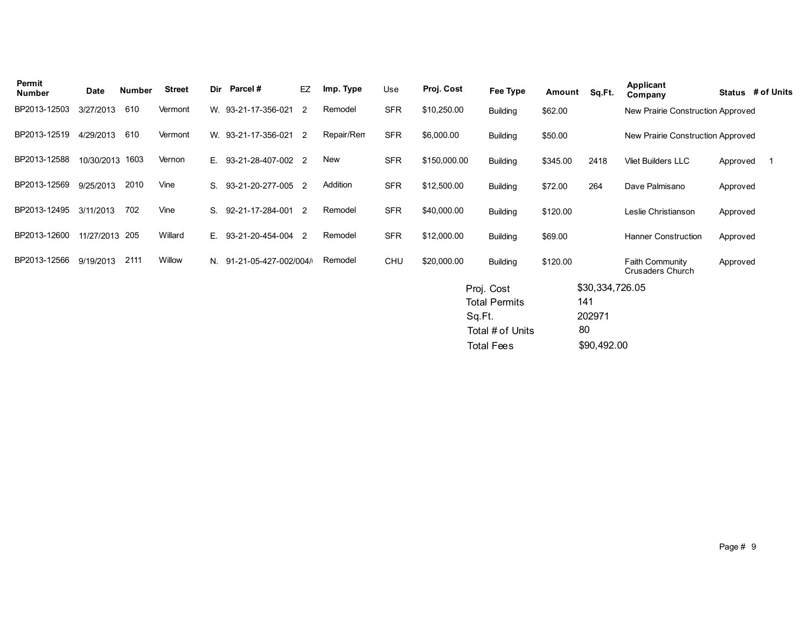| Permit<br>Number | Date            | <b>Number</b> | <b>Street</b> | Dir | Parcel#                  | EZ             | Imp. Type  | Use        | Proj. Cost   | Fee Type                                                                              | Amount   | Sq.Ft.                                                | <b>Applicant</b><br>Company         |          | Status # of Units |
|------------------|-----------------|---------------|---------------|-----|--------------------------|----------------|------------|------------|--------------|---------------------------------------------------------------------------------------|----------|-------------------------------------------------------|-------------------------------------|----------|-------------------|
| BP2013-12503     | 3/27/2013       | 610           | Vermont       |     | W. 93-21-17-356-021      | 2              | Remodel    | <b>SFR</b> | \$10,250.00  | <b>Building</b>                                                                       | \$62.00  |                                                       | New Prairie Construction Approved   |          |                   |
| BP2013-12519     | 4/29/2013       | 610           | Vermont       |     | W. 93-21-17-356-021      | 2              | Repair/Rem | <b>SFR</b> | \$6,000.00   | <b>Building</b>                                                                       | \$50.00  |                                                       | New Prairie Construction Approved   |          |                   |
| BP2013-12588     | 10/30/2013 1603 |               | Vernon        |     | E. 93-21-28-407-002 2    |                | New        | <b>SFR</b> | \$150,000.00 | <b>Building</b>                                                                       | \$345.00 | 2418                                                  | <b>Vliet Builders LLC</b>           | Approved | - 1               |
| BP2013-12569     | 9/25/2013       | 2010          | Vine          | S.  | 93-21-20-277-005         | $\overline{2}$ | Addition   | <b>SFR</b> | \$12,500.00  | <b>Building</b>                                                                       | \$72.00  | 264                                                   | Dave Palmisano                      | Approved |                   |
| BP2013-12495     | 3/11/2013       | 702           | Vine          | S.  | 92-21-17-284-001         | 2              | Remodel    | <b>SFR</b> | \$40,000.00  | <b>Building</b>                                                                       | \$120.00 |                                                       | Leslie Christianson                 | Approved |                   |
| BP2013-12600     | 11/27/2013 205  |               | Willard       | E.  | 93-21-20-454-004         | 2              | Remodel    | <b>SFR</b> | \$12,000.00  | <b>Building</b>                                                                       | \$69.00  |                                                       | <b>Hanner Construction</b>          | Approved |                   |
| BP2013-12566     | 9/19/2013       | 2111          | Willow        |     | N. 91-21-05-427-002/004/ |                | Remodel    | <b>CHU</b> | \$20,000.00  | <b>Building</b>                                                                       | \$120.00 |                                                       | Faith Community<br>Crusaders Church | Approved |                   |
|                  |                 |               |               |     |                          |                |            |            |              | Proj. Cost<br><b>Total Permits</b><br>Sq.Ft.<br>Total # of Units<br><b>Total Fees</b> |          | \$30,334,726.05<br>141<br>202971<br>80<br>\$90,492.00 |                                     |          |                   |
|                  |                 |               |               |     |                          |                |            |            |              |                                                                                       |          |                                                       |                                     |          |                   |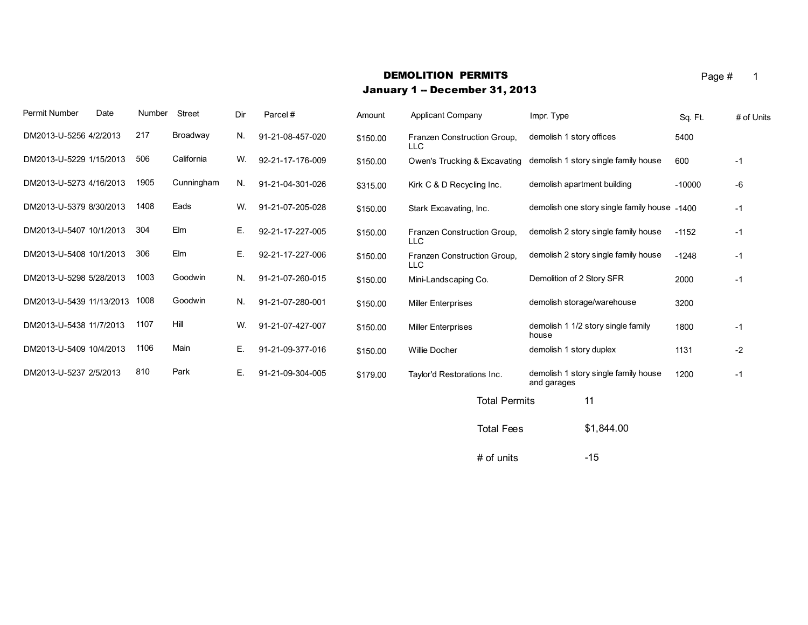#### **DEMOLITION PERMITS** Page # 1

#### January 1 -- December 31, 2013

Permit Number Date Number Street Dir Parcel # Amount Applicant Company Mer. Type Sq. Ft. # of Units + Of Units DM2013-U-5256 4/2/2013 217 Broadway N. 91-21-08-457-020 \$150.00 Franzen Construction Group, demolish 1 story offices 5400 LLC demolish 1 story offices DM2013-U-5229 1/15/2013 506 California W. 92-21-17-176-009 \$150.00 Owen's Trucking & Excavating demolish 1 story single family house 600 -1 DM2013-U-5273 4/16/2013 1905 Cunningham N. 91-21-04-301-026 \$315.00 Kirk C & D Recycling Inc. demolish apartment building -10000 -6 DM2013-U-5379 8/30/2013 1408 Eads W. 91-21-07-205-028 S150.00 Stark Excavating, Inc. demolish one story single family house -1400 -1 DM2013-U-5407 10/1/2013 304 Elm E. 92-21-17-227-005 \$150.00 Franzen Construction Group, demolish 2 story single family house -1152 -1 LLC DM2013-U-5408 10/1/2013 306 Elm E. 92-21-17-227-006 \$150.00 Franzen Construction Group, demolish 2 story single family house -1248 -1 LLC DM2013-U-5298 5/28/2013 1003 Goodwin N. 91-21-07-260-015 \$150.00 Mini-Landscaping Co. Demolition of 2 Story SFR 2000 -1 DM2013-U-5439 11/13/2013 1008 Goodwin N. 91-21-07-280-001 \$150.00 Miller Enterprises demolish storage/warehouse 3200 DM2013-U-5438 11/7/2013 1107 Hill W. 91-21-07-427-007 \$150.00 Miller Enterprises demolish 1 1/2 story single family 1800 -1 house DM2013-U-5409 10/4/2013 1106 Main E. 91-21-09-377-016 \$150.00 Willie Docher demolish 1 story duplex 1131 -2 DM2013-U-5237 2/5/2013 810 Park E. 91-21-09-304-005 \$179.00 Taylor'd Restorations Inc. demolish 1 story single family house 1200 -1 and garages Total Permits 11

Total Fees \$1,844.00

 $#$  of units  $-15$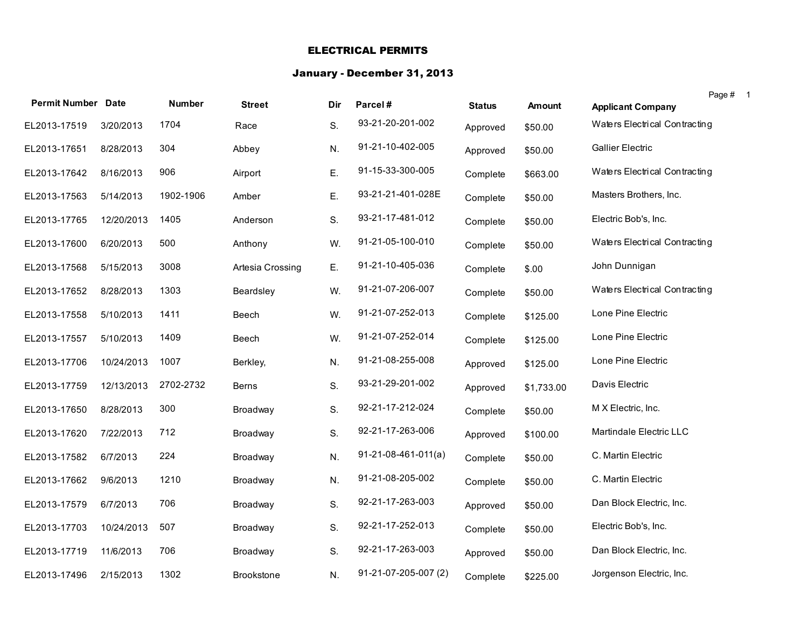## ELECTRICAL PERMITS

#### January - December 31, 2013

|                           |            |               |                  |     |                       |               |               | Page # 1                      |
|---------------------------|------------|---------------|------------------|-----|-----------------------|---------------|---------------|-------------------------------|
| <b>Permit Number Date</b> |            | <b>Number</b> | <b>Street</b>    | Dir | Parcel#               | <b>Status</b> | <b>Amount</b> | <b>Applicant Company</b>      |
| EL2013-17519              | 3/20/2013  | 1704          | Race             | S.  | 93-21-20-201-002      | Approved      | \$50.00       | Waters Electrical Contracting |
| EL2013-17651              | 8/28/2013  | 304           | Abbey            | N.  | 91-21-10-402-005      | Approved      | \$50.00       | <b>Gallier Electric</b>       |
| EL2013-17642              | 8/16/2013  | 906           | Airport          | Ε.  | 91-15-33-300-005      | Complete      | \$663.00      | Waters Electrical Contracting |
| EL2013-17563              | 5/14/2013  | 1902-1906     | Amber            | Ε.  | 93-21-21-401-028E     | Complete      | \$50.00       | Masters Brothers, Inc.        |
| EL2013-17765              | 12/20/2013 | 1405          | Anderson         | S.  | 93-21-17-481-012      | Complete      | \$50.00       | Electric Bob's, Inc.          |
| EL2013-17600              | 6/20/2013  | 500           | Anthony          | W.  | 91-21-05-100-010      | Complete      | \$50.00       | Waters Electrical Contracting |
| EL2013-17568              | 5/15/2013  | 3008          | Artesia Crossing | Ε.  | 91-21-10-405-036      | Complete      | \$.00         | John Dunnigan                 |
| EL2013-17652              | 8/28/2013  | 1303          | Beardsley        | W.  | 91-21-07-206-007      | Complete      | \$50.00       | Waters Electrical Contracting |
| EL2013-17558              | 5/10/2013  | 1411          | Beech            | W.  | 91-21-07-252-013      | Complete      | \$125.00      | Lone Pine Electric            |
| EL2013-17557              | 5/10/2013  | 1409          | Beech            | W.  | 91-21-07-252-014      | Complete      | \$125.00      | Lone Pine Electric            |
| EL2013-17706              | 10/24/2013 | 1007          | Berkley,         | N.  | 91-21-08-255-008      | Approved      | \$125.00      | Lone Pine Electric            |
| EL2013-17759              | 12/13/2013 | 2702-2732     | <b>Berns</b>     | S.  | 93-21-29-201-002      | Approved      | \$1,733.00    | Davis Electric                |
| EL2013-17650              | 8/28/2013  | 300           | Broadway         | S.  | 92-21-17-212-024      | Complete      | \$50.00       | M X Electric, Inc.            |
| EL2013-17620              | 7/22/2013  | 712           | Broadway         | S.  | 92-21-17-263-006      | Approved      | \$100.00      | Martindale Electric LLC       |
| EL2013-17582              | 6/7/2013   | 224           | Broadway         | N.  | $91-21-08-461-011(a)$ | Complete      | \$50.00       | C. Martin Electric            |
| EL2013-17662              | 9/6/2013   | 1210          | Broadway         | N.  | 91-21-08-205-002      | Complete      | \$50.00       | C. Martin Electric            |
| EL2013-17579              | 6/7/2013   | 706           | Broadway         | S.  | 92-21-17-263-003      | Approved      | \$50.00       | Dan Block Electric, Inc.      |
| EL2013-17703              | 10/24/2013 | 507           | Broadway         | S.  | 92-21-17-252-013      | Complete      | \$50.00       | Electric Bob's, Inc.          |
| EL2013-17719              | 11/6/2013  | 706           | Broadway         | S.  | 92-21-17-263-003      | Approved      | \$50.00       | Dan Block Electric, Inc.      |
| EL2013-17496              | 2/15/2013  | 1302          | Brookstone       | N.  | 91-21-07-205-007 (2)  | Complete      | \$225.00      | Jorgenson Electric, Inc.      |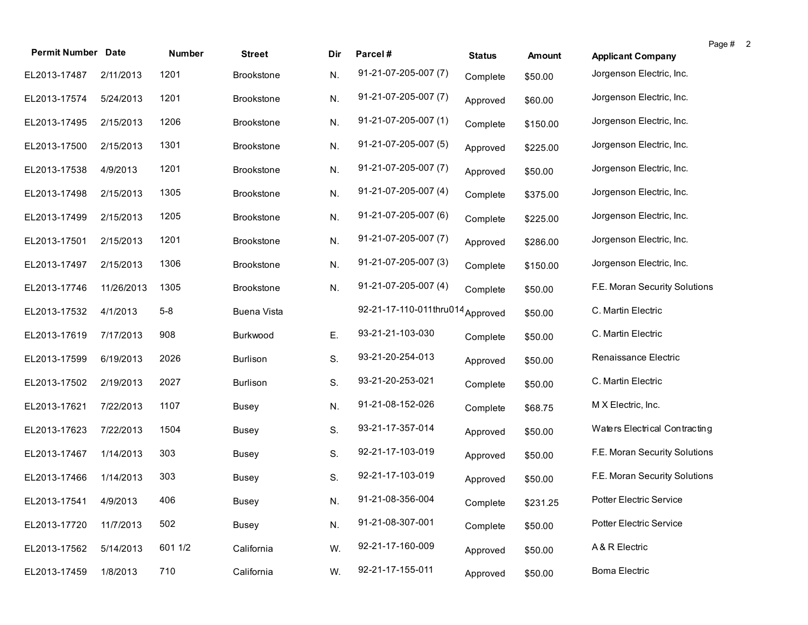| <b>Permit Number Date</b> |            | <b>Number</b> | <b>Street</b>      | Dir | Parcel#                          |               |          |                               | Page # | $\overline{\mathbf{2}}$ |
|---------------------------|------------|---------------|--------------------|-----|----------------------------------|---------------|----------|-------------------------------|--------|-------------------------|
|                           |            |               |                    |     |                                  | <b>Status</b> | Amount   | <b>Applicant Company</b>      |        |                         |
| EL2013-17487              | 2/11/2013  | 1201          | <b>Brookstone</b>  | N.  | 91-21-07-205-007 (7)             | Complete      | \$50.00  | Jorgenson Electric, Inc.      |        |                         |
| EL2013-17574              | 5/24/2013  | 1201          | <b>Brookstone</b>  | N.  | 91-21-07-205-007 (7)             | Approved      | \$60.00  | Jorgenson Electric, Inc.      |        |                         |
| EL2013-17495              | 2/15/2013  | 1206          | <b>Brookstone</b>  | N.  | 91-21-07-205-007 (1)             | Complete      | \$150.00 | Jorgenson Electric, Inc.      |        |                         |
| EL2013-17500              | 2/15/2013  | 1301          | <b>Brookstone</b>  | N.  | 91-21-07-205-007 (5)             | Approved      | \$225.00 | Jorgenson Electric, Inc.      |        |                         |
| EL2013-17538              | 4/9/2013   | 1201          | <b>Brookstone</b>  | N.  | 91-21-07-205-007 (7)             | Approved      | \$50.00  | Jorgenson Electric, Inc.      |        |                         |
| EL2013-17498              | 2/15/2013  | 1305          | <b>Brookstone</b>  | N.  | 91-21-07-205-007 (4)             | Complete      | \$375.00 | Jorgenson Electric, Inc.      |        |                         |
| EL2013-17499              | 2/15/2013  | 1205          | <b>Brookstone</b>  | N.  | 91-21-07-205-007 (6)             | Complete      | \$225.00 | Jorgenson Electric, Inc.      |        |                         |
| EL2013-17501              | 2/15/2013  | 1201          | <b>Brookstone</b>  | N.  | 91-21-07-205-007 (7)             | Approved      | \$286.00 | Jorgenson Electric, Inc.      |        |                         |
| EL2013-17497              | 2/15/2013  | 1306          | <b>Brookstone</b>  | N.  | 91-21-07-205-007 (3)             | Complete      | \$150.00 | Jorgenson Electric, Inc.      |        |                         |
| EL2013-17746              | 11/26/2013 | 1305          | <b>Brookstone</b>  | N.  | 91-21-07-205-007 (4)             | Complete      | \$50.00  | F.E. Moran Security Solutions |        |                         |
| EL2013-17532              | 4/1/2013   | $5-8$         | <b>Buena Vista</b> |     | 92-21-17-110-011thru014 Approved |               | \$50.00  | C. Martin Electric            |        |                         |
| EL2013-17619              | 7/17/2013  | 908           | Burkwood           | Ε.  | 93-21-21-103-030                 | Complete      | \$50.00  | C. Martin Electric            |        |                         |
| EL2013-17599              | 6/19/2013  | 2026          | <b>Burlison</b>    | S.  | 93-21-20-254-013                 | Approved      | \$50.00  | Renaissance Electric          |        |                         |
| EL2013-17502              | 2/19/2013  | 2027          | <b>Burlison</b>    | S.  | 93-21-20-253-021                 | Complete      | \$50.00  | C. Martin Electric            |        |                         |
| EL2013-17621              | 7/22/2013  | 1107          | <b>Busey</b>       | N.  | 91-21-08-152-026                 | Complete      | \$68.75  | M X Electric, Inc.            |        |                         |
| EL2013-17623              | 7/22/2013  | 1504          | <b>Busey</b>       | S.  | 93-21-17-357-014                 | Approved      | \$50.00  | Waters Electrical Contracting |        |                         |
| EL2013-17467              | 1/14/2013  | 303           | <b>Busey</b>       | S.  | 92-21-17-103-019                 | Approved      | \$50.00  | F.E. Moran Security Solutions |        |                         |
| EL2013-17466              | 1/14/2013  | 303           | Busey              | S.  | 92-21-17-103-019                 | Approved      | \$50.00  | F.E. Moran Security Solutions |        |                         |
| EL2013-17541 4/9/2013     |            | 406           | <b>Busey</b>       | N.  | 91-21-08-356-004                 | Complete      | \$231.25 | Potter Electric Service       |        |                         |
| EL2013-17720              | 11/7/2013  | 502           | Busey              | N.  | 91-21-08-307-001                 | Complete      | \$50.00  | Potter Electric Service       |        |                         |
| EL2013-17562              | 5/14/2013  | 601 1/2       | California         | W.  | 92-21-17-160-009                 | Approved      | \$50.00  | A & R Electric                |        |                         |
| EL2013-17459              | 1/8/2013   | 710           | California         | W.  | 92-21-17-155-011                 | Approved      | \$50.00  | <b>Boma Electric</b>          |        |                         |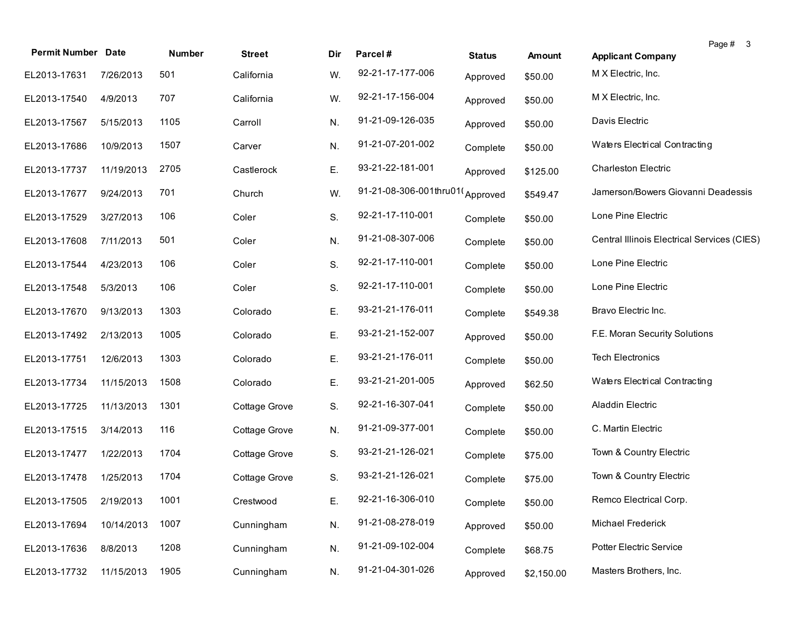| <b>Permit Number Date</b> |            | Number | <b>Street</b> | Dir | Parcel#                | <b>Status</b> | <b>Amount</b> | Page # 3<br><b>Applicant Company</b>        |
|---------------------------|------------|--------|---------------|-----|------------------------|---------------|---------------|---------------------------------------------|
| EL2013-17631              | 7/26/2013  | 501    | California    | W.  | 92-21-17-177-006       | Approved      | \$50.00       | M X Electric, Inc.                          |
| EL2013-17540              | 4/9/2013   | 707    | California    | W.  | 92-21-17-156-004       | Approved      | \$50.00       | M X Electric, Inc.                          |
| EL2013-17567              | 5/15/2013  | 1105   | Carroll       | N.  | 91-21-09-126-035       | Approved      | \$50.00       | Davis Electric                              |
| EL2013-17686              | 10/9/2013  | 1507   | Carver        | N.  | 91-21-07-201-002       | Complete      | \$50.00       | Waters Electrical Contracting               |
| EL2013-17737              | 11/19/2013 | 2705   | Castlerock    | Ε.  | 93-21-22-181-001       | Approved      | \$125.00      | <b>Charleston Electric</b>                  |
| EL2013-17677              | 9/24/2013  | 701    | Church        | W.  | 91-21-08-306-001thru01 | Approved      | \$549.47      | Jamerson/Bowers Giovanni Deadessis          |
| EL2013-17529              | 3/27/2013  | 106    | Coler         | S.  | 92-21-17-110-001       | Complete      | \$50.00       | Lone Pine Electric                          |
| EL2013-17608              | 7/11/2013  | 501    | Coler         | N.  | 91-21-08-307-006       | Complete      | \$50.00       | Central Illinois Electrical Services (CIES) |
| EL2013-17544              | 4/23/2013  | 106    | Coler         | S.  | 92-21-17-110-001       | Complete      | \$50.00       | Lone Pine Electric                          |
| EL2013-17548              | 5/3/2013   | 106    | Coler         | S.  | 92-21-17-110-001       | Complete      | \$50.00       | Lone Pine Electric                          |
| EL2013-17670              | 9/13/2013  | 1303   | Colorado      | Ε.  | 93-21-21-176-011       | Complete      | \$549.38      | Bravo Electric Inc.                         |
| EL2013-17492              | 2/13/2013  | 1005   | Colorado      | Ε.  | 93-21-21-152-007       | Approved      | \$50.00       | F.E. Moran Security Solutions               |
| EL2013-17751              | 12/6/2013  | 1303   | Colorado      | E.  | 93-21-21-176-011       | Complete      | \$50.00       | <b>Tech Electronics</b>                     |
| EL2013-17734              | 11/15/2013 | 1508   | Colorado      | Ε.  | 93-21-21-201-005       | Approved      | \$62.50       | Waters Electrical Contracting               |
| EL2013-17725              | 11/13/2013 | 1301   | Cottage Grove | S.  | 92-21-16-307-041       | Complete      | \$50.00       | Aladdin Electric                            |
| EL2013-17515              | 3/14/2013  | 116    | Cottage Grove | N.  | 91-21-09-377-001       | Complete      | \$50.00       | C. Martin Electric                          |
| EL2013-17477              | 1/22/2013  | 1704   | Cottage Grove | S.  | 93-21-21-126-021       | Complete      | \$75.00       | Town & Country Electric                     |
| EL2013-17478              | 1/25/2013  | 1704   | Cottage Grove | S.  | 93-21-21-126-021       | Complete      | \$75.00       | Town & Country Electric                     |
| EL2013-17505 2/19/2013    |            | 1001   | Crestwood     | E.  | 92-21-16-306-010       | Complete      | \$50.00       | Remco Electrical Corp.                      |
| EL2013-17694              | 10/14/2013 | 1007   | Cunningham    | N.  | 91-21-08-278-019       | Approved      | \$50.00       | Michael Frederick                           |
| EL2013-17636              | 8/8/2013   | 1208   | Cunningham    | N.  | 91-21-09-102-004       | Complete      | \$68.75       | Potter Electric Service                     |
| EL2013-17732              | 11/15/2013 | 1905   | Cunningham    | N.  | 91-21-04-301-026       | Approved      | \$2,150.00    | Masters Brothers, Inc.                      |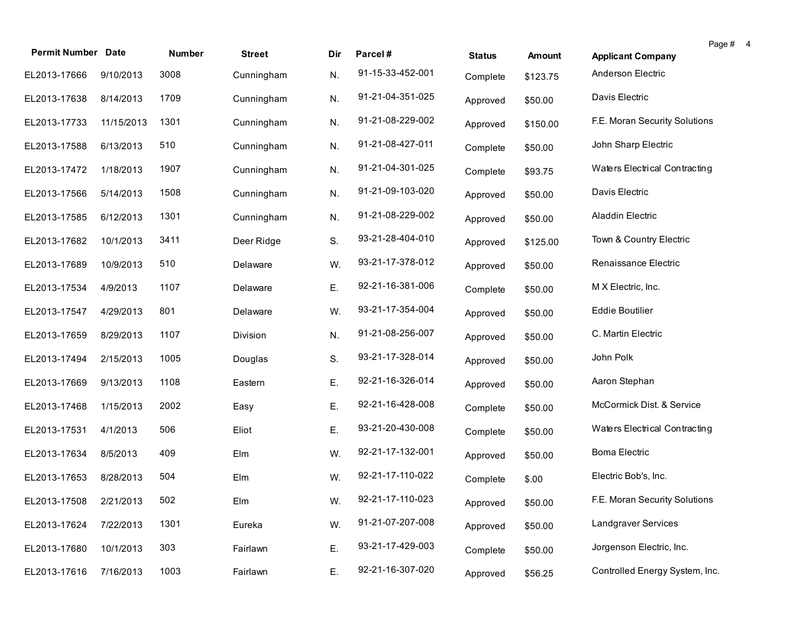|                           |            |        |               |     |                  |               |          |                                | Page # | $\overline{a}$ |
|---------------------------|------------|--------|---------------|-----|------------------|---------------|----------|--------------------------------|--------|----------------|
| <b>Permit Number Date</b> |            | Number | <b>Street</b> | Dir | Parcel#          | <b>Status</b> | Amount   | <b>Applicant Company</b>       |        |                |
| EL2013-17666              | 9/10/2013  | 3008   | Cunningham    | N.  | 91-15-33-452-001 | Complete      | \$123.75 | Anderson Electric              |        |                |
| EL2013-17638              | 8/14/2013  | 1709   | Cunningham    | N.  | 91-21-04-351-025 | Approved      | \$50.00  | Davis Electric                 |        |                |
| EL2013-17733              | 11/15/2013 | 1301   | Cunningham    | N.  | 91-21-08-229-002 | Approved      | \$150.00 | F.E. Moran Security Solutions  |        |                |
| EL2013-17588              | 6/13/2013  | 510    | Cunningham    | N.  | 91-21-08-427-011 | Complete      | \$50.00  | John Sharp Electric            |        |                |
| EL2013-17472              | 1/18/2013  | 1907   | Cunningham    | N.  | 91-21-04-301-025 | Complete      | \$93.75  | Waters Electrical Contracting  |        |                |
| EL2013-17566              | 5/14/2013  | 1508   | Cunningham    | N.  | 91-21-09-103-020 | Approved      | \$50.00  | Davis Electric                 |        |                |
| EL2013-17585              | 6/12/2013  | 1301   | Cunningham    | N.  | 91-21-08-229-002 | Approved      | \$50.00  | Aladdin Electric               |        |                |
| EL2013-17682              | 10/1/2013  | 3411   | Deer Ridge    | S.  | 93-21-28-404-010 | Approved      | \$125.00 | Town & Country Electric        |        |                |
| EL2013-17689              | 10/9/2013  | 510    | Delaware      | W.  | 93-21-17-378-012 | Approved      | \$50.00  | Renaissance Electric           |        |                |
| EL2013-17534              | 4/9/2013   | 1107   | Delaware      | Ε.  | 92-21-16-381-006 | Complete      | \$50.00  | M X Electric, Inc.             |        |                |
| EL2013-17547              | 4/29/2013  | 801    | Delaware      | W.  | 93-21-17-354-004 | Approved      | \$50.00  | <b>Eddie Boutilier</b>         |        |                |
| EL2013-17659              | 8/29/2013  | 1107   | Division      | N.  | 91-21-08-256-007 | Approved      | \$50.00  | C. Martin Electric             |        |                |
| EL2013-17494              | 2/15/2013  | 1005   | Douglas       | S.  | 93-21-17-328-014 | Approved      | \$50.00  | John Polk                      |        |                |
| EL2013-17669              | 9/13/2013  | 1108   | Eastern       | Е.  | 92-21-16-326-014 | Approved      | \$50.00  | Aaron Stephan                  |        |                |
| EL2013-17468              | 1/15/2013  | 2002   | Easy          | Е.  | 92-21-16-428-008 | Complete      | \$50.00  | McCormick Dist. & Service      |        |                |
| EL2013-17531              | 4/1/2013   | 506    | Eliot         | Е.  | 93-21-20-430-008 | Complete      | \$50.00  | Waters Electrical Contracting  |        |                |
| EL2013-17634              | 8/5/2013   | 409    | Elm           | W.  | 92-21-17-132-001 | Approved      | \$50.00  | <b>Boma Electric</b>           |        |                |
| EL2013-17653              | 8/28/2013  | 504    | Elm           | W.  | 92-21-17-110-022 | Complete      | \$.00    | Electric Bob's, Inc.           |        |                |
| EL2013-17508 2/21/2013    |            | 502    | Elm           | W.  | 92-21-17-110-023 | Approved      | \$50.00  | F.E. Moran Security Solutions  |        |                |
| EL2013-17624              | 7/22/2013  | 1301   | Eureka        | W.  | 91-21-07-207-008 | Approved      | \$50.00  | Landgraver Services            |        |                |
| EL2013-17680              | 10/1/2013  | 303    | Fairlawn      | Ε.  | 93-21-17-429-003 | Complete      | \$50.00  | Jorgenson Electric, Inc.       |        |                |
| EL2013-17616              | 7/16/2013  | 1003   | Fairlawn      | Ε.  | 92-21-16-307-020 | Approved      | \$56.25  | Controlled Energy System, Inc. |        |                |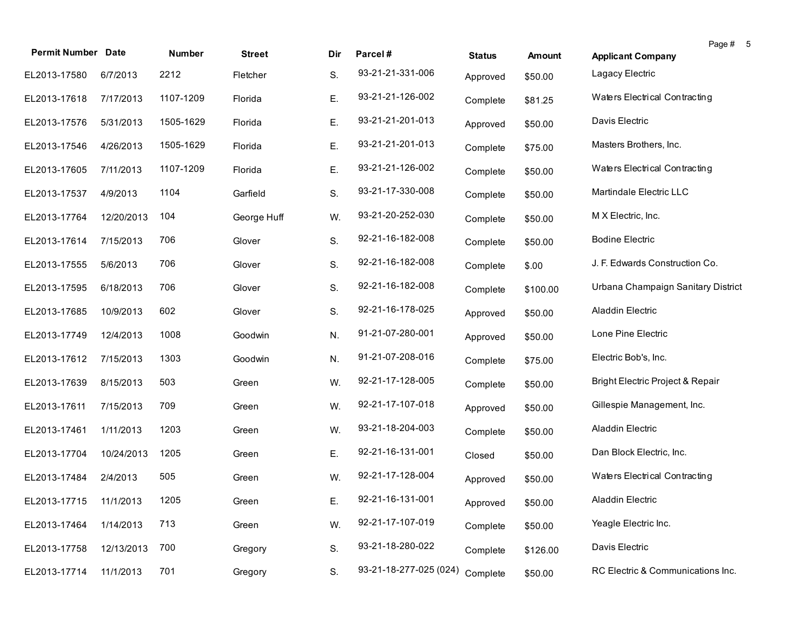| <b>Permit Number Date</b> |            | Number    | <b>Street</b> | Dir. | Parcel#                | <b>Status</b> | Amount   | <b>Applicant Company</b>           | Page # 5 |  |
|---------------------------|------------|-----------|---------------|------|------------------------|---------------|----------|------------------------------------|----------|--|
| EL2013-17580              | 6/7/2013   | 2212      | Fletcher      | S.   | 93-21-21-331-006       | Approved      | \$50.00  | Lagacy Electric                    |          |  |
| EL2013-17618              | 7/17/2013  | 1107-1209 | Florida       | Ε.   | 93-21-21-126-002       | Complete      | \$81.25  | Waters Electrical Contracting      |          |  |
| EL2013-17576              | 5/31/2013  | 1505-1629 | Florida       | Ε.   | 93-21-21-201-013       | Approved      | \$50.00  | Davis Electric                     |          |  |
| EL2013-17546              | 4/26/2013  | 1505-1629 | Florida       | Ε.   | 93-21-21-201-013       | Complete      | \$75.00  | Masters Brothers, Inc.             |          |  |
| EL2013-17605              | 7/11/2013  | 1107-1209 | Florida       | Ε.   | 93-21-21-126-002       | Complete      | \$50.00  | Waters Electrical Contracting      |          |  |
| EL2013-17537              | 4/9/2013   | 1104      | Garfield      | S.   | 93-21-17-330-008       | Complete      | \$50.00  | Martindale Electric LLC            |          |  |
| EL2013-17764              | 12/20/2013 | 104       | George Huff   | W.   | 93-21-20-252-030       | Complete      | \$50.00  | M X Electric, Inc.                 |          |  |
| EL2013-17614              | 7/15/2013  | 706       | Glover        | S.   | 92-21-16-182-008       | Complete      | \$50.00  | <b>Bodine Electric</b>             |          |  |
| EL2013-17555              | 5/6/2013   | 706       | Glover        | S.   | 92-21-16-182-008       | Complete      | \$.00    | J. F. Edwards Construction Co.     |          |  |
| EL2013-17595              | 6/18/2013  | 706       | Glover        | S.   | 92-21-16-182-008       | Complete      | \$100.00 | Urbana Champaign Sanitary District |          |  |
| EL2013-17685              | 10/9/2013  | 602       | Glover        | S.   | 92-21-16-178-025       | Approved      | \$50.00  | <b>Aladdin Electric</b>            |          |  |
| EL2013-17749              | 12/4/2013  | 1008      | Goodwin       | N.   | 91-21-07-280-001       | Approved      | \$50.00  | Lone Pine Electric                 |          |  |
| EL2013-17612              | 7/15/2013  | 1303      | Goodwin       | N.   | 91-21-07-208-016       | Complete      | \$75.00  | Electric Bob's, Inc.               |          |  |
| EL2013-17639              | 8/15/2013  | 503       | Green         | W.   | 92-21-17-128-005       | Complete      | \$50.00  | Bright Electric Project & Repair   |          |  |
| EL2013-17611              | 7/15/2013  | 709       | Green         | W.   | 92-21-17-107-018       | Approved      | \$50.00  | Gillespie Management, Inc.         |          |  |
| EL2013-17461              | 1/11/2013  | 1203      | Green         | W.   | 93-21-18-204-003       | Complete      | \$50.00  | Aladdin Electric                   |          |  |
| EL2013-17704              | 10/24/2013 | 1205      | Green         | Ε.   | 92-21-16-131-001       | Closed        | \$50.00  | Dan Block Electric, Inc.           |          |  |
| EL2013-17484              | 2/4/2013   | 505       | Green         | W.   | 92-21-17-128-004       | Approved      | \$50.00  | Waters Electrical Contracting      |          |  |
| EL2013-17715 11/1/2013    |            | 1205      | Green         | Е.   | 92-21-16-131-001       | Approved      | \$50.00  | Aladdin Electric                   |          |  |
| EL2013-17464              | 1/14/2013  | 713       | Green         | W.   | 92-21-17-107-019       | Complete      | \$50.00  | Yeagle Electric Inc.               |          |  |
| EL2013-17758              | 12/13/2013 | 700       | Gregory       | S.   | 93-21-18-280-022       | Complete      | \$126.00 | Davis Electric                     |          |  |
| EL2013-17714              | 11/1/2013  | 701       | Gregory       | S.   | 93-21-18-277-025 (024) | Complete      | \$50.00  | RC Electric & Communications Inc.  |          |  |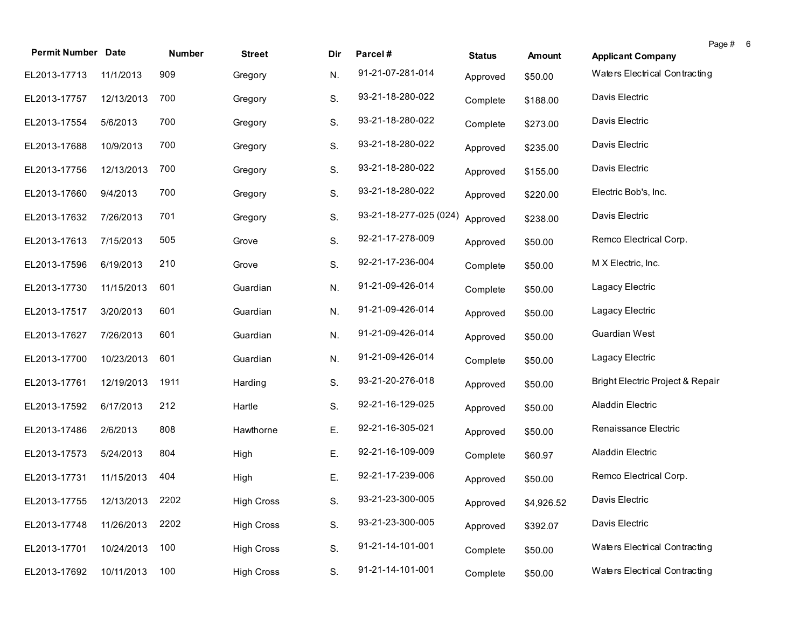|                              |            |        |                   |     |                        |               |            |                                  | Page # | 6 |
|------------------------------|------------|--------|-------------------|-----|------------------------|---------------|------------|----------------------------------|--------|---|
| <b>Permit Number Date</b>    |            | Number | <b>Street</b>     | Dir | Parcel#                | <b>Status</b> | Amount     | <b>Applicant Company</b>         |        |   |
| EL2013-17713                 | 11/1/2013  | 909    | Gregory           | N.  | 91-21-07-281-014       | Approved      | \$50.00    | Waters Electrical Contracting    |        |   |
| EL2013-17757                 | 12/13/2013 | 700    | Gregory           | S.  | 93-21-18-280-022       | Complete      | \$188.00   | Davis Electric                   |        |   |
| EL2013-17554                 | 5/6/2013   | 700    | Gregory           | S.  | 93-21-18-280-022       | Complete      | \$273.00   | Davis Electric                   |        |   |
| EL2013-17688                 | 10/9/2013  | 700    | Gregory           | S.  | 93-21-18-280-022       | Approved      | \$235.00   | Davis Electric                   |        |   |
| EL2013-17756                 | 12/13/2013 | 700    | Gregory           | S.  | 93-21-18-280-022       | Approved      | \$155.00   | Davis Electric                   |        |   |
| EL2013-17660                 | 9/4/2013   | 700    | Gregory           | S.  | 93-21-18-280-022       | Approved      | \$220.00   | Electric Bob's, Inc.             |        |   |
| EL2013-17632                 | 7/26/2013  | 701    | Gregory           | S.  | 93-21-18-277-025 (024) | Approved      | \$238.00   | Davis Electric                   |        |   |
| EL2013-17613                 | 7/15/2013  | 505    | Grove             | S.  | 92-21-17-278-009       | Approved      | \$50.00    | Remco Electrical Corp.           |        |   |
| EL2013-17596                 | 6/19/2013  | 210    | Grove             | S.  | 92-21-17-236-004       | Complete      | \$50.00    | M X Electric, Inc.               |        |   |
| EL2013-17730                 | 11/15/2013 | 601    | Guardian          | N.  | 91-21-09-426-014       | Complete      | \$50.00    | Lagacy Electric                  |        |   |
| EL2013-17517                 | 3/20/2013  | 601    | Guardian          | N.  | 91-21-09-426-014       | Approved      | \$50.00    | Lagacy Electric                  |        |   |
| EL2013-17627                 | 7/26/2013  | 601    | Guardian          | N.  | 91-21-09-426-014       | Approved      | \$50.00    | Guardian West                    |        |   |
| EL2013-17700                 | 10/23/2013 | 601    | Guardian          | N.  | 91-21-09-426-014       | Complete      | \$50.00    | Lagacy Electric                  |        |   |
| EL2013-17761                 | 12/19/2013 | 1911   | Harding           | S.  | 93-21-20-276-018       | Approved      | \$50.00    | Bright Electric Project & Repair |        |   |
| EL2013-17592                 | 6/17/2013  | 212    | Hartle            | S.  | 92-21-16-129-025       | Approved      | \$50.00    | Aladdin Electric                 |        |   |
| EL2013-17486                 | 2/6/2013   | 808    | Hawthorne         | Е.  | 92-21-16-305-021       | Approved      | \$50.00    | Renaissance Electric             |        |   |
| EL2013-17573                 | 5/24/2013  | 804    | High              | Ε.  | 92-21-16-109-009       | Complete      | \$60.97    | Aladdin Electric                 |        |   |
| EL2013-17731                 | 11/15/2013 | 404    | High              | Ε.  | 92-21-17-239-006       | Approved      | \$50.00    | Remco Electrical Corp.           |        |   |
| EL2013-17755 12/13/2013 2202 |            |        | <b>High Cross</b> | S.  | 93-21-23-300-005       | Approved      | \$4,926.52 | Davis Electric                   |        |   |
| EL2013-17748                 | 11/26/2013 | 2202   | <b>High Cross</b> | S.  | 93-21-23-300-005       | Approved      | \$392.07   | Davis Electric                   |        |   |
| EL2013-17701                 | 10/24/2013 | 100    | <b>High Cross</b> | S.  | 91-21-14-101-001       | Complete      | \$50.00    | Waters Electrical Contracting    |        |   |
| EL2013-17692                 | 10/11/2013 | 100    | <b>High Cross</b> | S.  | 91-21-14-101-001       | Complete      | \$50.00    | Waters Electrical Contracting    |        |   |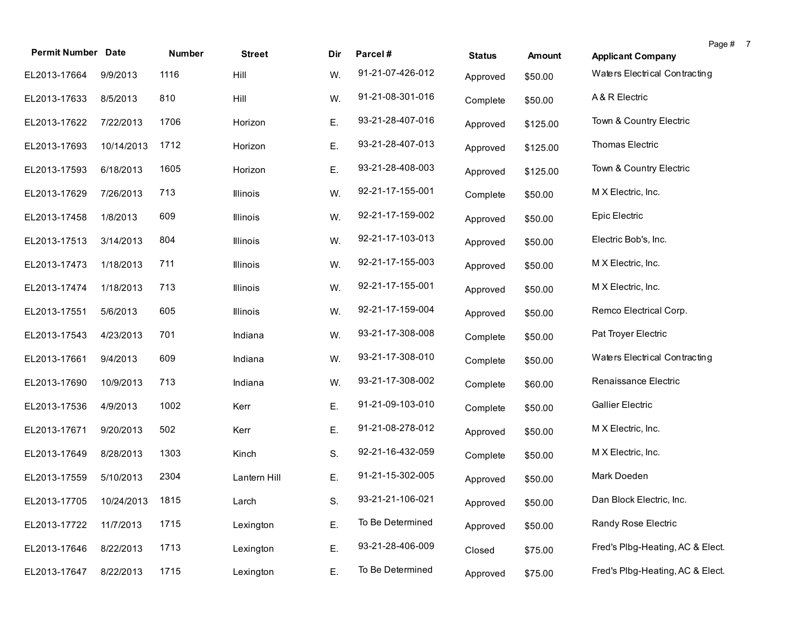| <b>Permit Number Date</b>    |            | <b>Number</b> | <b>Street</b>   | Dir | Parcel#          | <b>Status</b> | Amount   | <b>Applicant Company</b>         | Page # 7 |  |
|------------------------------|------------|---------------|-----------------|-----|------------------|---------------|----------|----------------------------------|----------|--|
|                              |            | 1116          |                 |     | 91-21-07-426-012 |               |          | Waters Electrical Contracting    |          |  |
| EL2013-17664                 | 9/9/2013   |               | Hill            | W.  |                  | Approved      | \$50.00  |                                  |          |  |
| EL2013-17633                 | 8/5/2013   | 810           | Hill            | W.  | 91-21-08-301-016 | Complete      | \$50.00  | A & R Electric                   |          |  |
| EL2013-17622                 | 7/22/2013  | 1706          | Horizon         | Ε.  | 93-21-28-407-016 | Approved      | \$125.00 | Town & Country Electric          |          |  |
| EL2013-17693                 | 10/14/2013 | 1712          | Horizon         | Ε.  | 93-21-28-407-013 | Approved      | \$125.00 | Thomas Electric                  |          |  |
| EL2013-17593                 | 6/18/2013  | 1605          | Horizon         | Ε.  | 93-21-28-408-003 | Approved      | \$125.00 | Town & Country Electric          |          |  |
| EL2013-17629                 | 7/26/2013  | 713           | Illinois        | W.  | 92-21-17-155-001 | Complete      | \$50.00  | M X Electric, Inc.               |          |  |
| EL2013-17458                 | 1/8/2013   | 609           | <b>Illinois</b> | W.  | 92-21-17-159-002 | Approved      | \$50.00  | Epic Electric                    |          |  |
| EL2013-17513                 | 3/14/2013  | 804           | Illinois        | W.  | 92-21-17-103-013 | Approved      | \$50.00  | Electric Bob's, Inc.             |          |  |
| EL2013-17473                 | 1/18/2013  | 711           | Illinois        | W.  | 92-21-17-155-003 | Approved      | \$50.00  | M X Electric, Inc.               |          |  |
| EL2013-17474                 | 1/18/2013  | 713           | Illinois        | W.  | 92-21-17-155-001 | Approved      | \$50.00  | M X Electric, Inc.               |          |  |
| EL2013-17551                 | 5/6/2013   | 605           | Illinois        | W.  | 92-21-17-159-004 | Approved      | \$50.00  | Remco Electrical Corp.           |          |  |
| EL2013-17543                 | 4/23/2013  | 701           | Indiana         | W.  | 93-21-17-308-008 | Complete      | \$50.00  | Pat Troyer Electric              |          |  |
| EL2013-17661                 | 9/4/2013   | 609           | Indiana         | W.  | 93-21-17-308-010 | Complete      | \$50.00  | Waters Electrical Contracting    |          |  |
| EL2013-17690                 | 10/9/2013  | 713           | Indiana         | W.  | 93-21-17-308-002 | Complete      | \$60.00  | Renaissance Electric             |          |  |
| EL2013-17536                 | 4/9/2013   | 1002          | Kerr            | Ε.  | 91-21-09-103-010 | Complete      | \$50.00  | <b>Gallier Electric</b>          |          |  |
| EL2013-17671                 | 9/20/2013  | 502           | Kerr            | Ε.  | 91-21-08-278-012 | Approved      | \$50.00  | M X Electric, Inc.               |          |  |
| EL2013-17649                 | 8/28/2013  | 1303          | Kinch           | S.  | 92-21-16-432-059 | Complete      | \$50.00  | M X Electric, Inc.               |          |  |
| EL2013-17559                 | 5/10/2013  | 2304          | Lantern Hill    | Ε.  | 91-21-15-302-005 | Approved      | \$50.00  | Mark Doeden                      |          |  |
| EL2013-17705 10/24/2013 1815 |            |               | Larch           | S.  | 93-21-21-106-021 | Approved      | \$50.00  | Dan Block Electric, Inc.         |          |  |
| EL2013-17722                 | 11/7/2013  | 1715          | Lexington       | Ε.  | To Be Determined | Approved      | \$50.00  | Randy Rose Electric              |          |  |
| EL2013-17646                 | 8/22/2013  | 1713          | Lexington       | Ε.  | 93-21-28-406-009 | Closed        | \$75.00  | Fred's Plbg-Heating, AC & Elect. |          |  |
| EL2013-17647                 | 8/22/2013  | 1715          | Lexington       | Ε.  | To Be Determined | Approved      | \$75.00  | Fred's Plbg-Heating, AC & Elect. |          |  |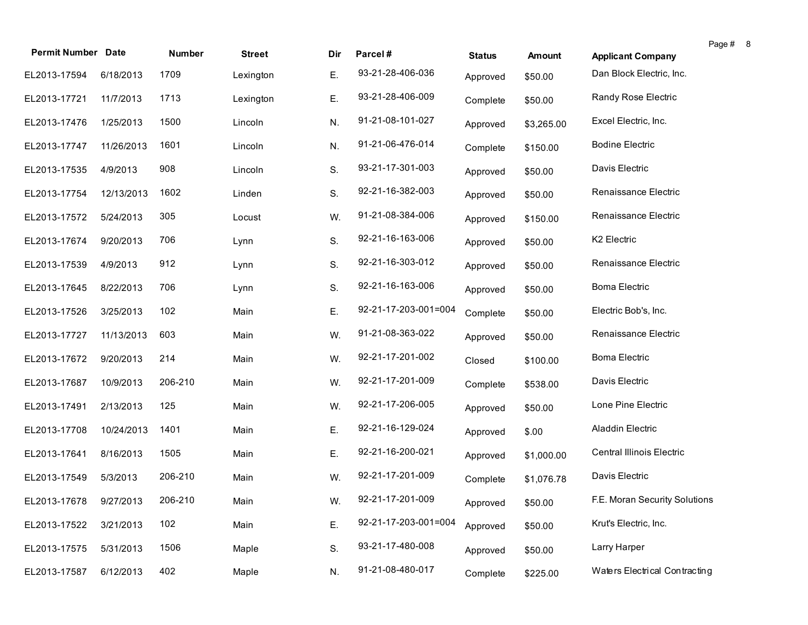|                           |            |         |               |     |                      |               |            |                                  | Page # | -8 |
|---------------------------|------------|---------|---------------|-----|----------------------|---------------|------------|----------------------------------|--------|----|
| <b>Permit Number Date</b> |            | Number  | <b>Street</b> | Dir | Parcel#              | <b>Status</b> | Amount     | <b>Applicant Company</b>         |        |    |
| EL2013-17594              | 6/18/2013  | 1709    | Lexington     | Ε.  | 93-21-28-406-036     | Approved      | \$50.00    | Dan Block Electric, Inc.         |        |    |
| EL2013-17721              | 11/7/2013  | 1713    | Lexington     | Ε.  | 93-21-28-406-009     | Complete      | \$50.00    | Randy Rose Electric              |        |    |
| EL2013-17476              | 1/25/2013  | 1500    | Lincoln       | N.  | 91-21-08-101-027     | Approved      | \$3,265.00 | Excel Electric, Inc.             |        |    |
| EL2013-17747              | 11/26/2013 | 1601    | Lincoln       | N.  | 91-21-06-476-014     | Complete      | \$150.00   | <b>Bodine Electric</b>           |        |    |
| EL2013-17535              | 4/9/2013   | 908     | Lincoln       | S.  | 93-21-17-301-003     | Approved      | \$50.00    | Davis Electric                   |        |    |
| EL2013-17754              | 12/13/2013 | 1602    | Linden        | S.  | 92-21-16-382-003     | Approved      | \$50.00    | Renaissance Electric             |        |    |
| EL2013-17572              | 5/24/2013  | 305     | Locust        | W.  | 91-21-08-384-006     | Approved      | \$150.00   | Renaissance Electric             |        |    |
| EL2013-17674              | 9/20/2013  | 706     | Lynn          | S.  | 92-21-16-163-006     | Approved      | \$50.00    | K2 Electric                      |        |    |
| EL2013-17539              | 4/9/2013   | 912     | Lynn          | S.  | 92-21-16-303-012     | Approved      | \$50.00    | Renaissance Electric             |        |    |
| EL2013-17645              | 8/22/2013  | 706     | Lynn          | S.  | 92-21-16-163-006     | Approved      | \$50.00    | Boma Electric                    |        |    |
| EL2013-17526              | 3/25/2013  | 102     | Main          | Ε.  | 92-21-17-203-001=004 | Complete      | \$50.00    | Electric Bob's, Inc.             |        |    |
| EL2013-17727              | 11/13/2013 | 603     | Main          | W.  | 91-21-08-363-022     | Approved      | \$50.00    | Renaissance Electric             |        |    |
| EL2013-17672              | 9/20/2013  | 214     | Main          | W.  | 92-21-17-201-002     | Closed        | \$100.00   | <b>Boma Electric</b>             |        |    |
| EL2013-17687              | 10/9/2013  | 206-210 | Main          | W.  | 92-21-17-201-009     | Complete      | \$538.00   | Davis Electric                   |        |    |
| EL2013-17491              | 2/13/2013  | 125     | Main          | W.  | 92-21-17-206-005     | Approved      | \$50.00    | Lone Pine Electric               |        |    |
| EL2013-17708              | 10/24/2013 | 1401    | Main          | Ε.  | 92-21-16-129-024     | Approved      | \$.00      | Aladdin Electric                 |        |    |
| EL2013-17641              | 8/16/2013  | 1505    | Main          | Ε.  | 92-21-16-200-021     | Approved      | \$1,000.00 | <b>Central Illinois Electric</b> |        |    |
| EL2013-17549              | 5/3/2013   | 206-210 | Main          | W.  | 92-21-17-201-009     | Complete      | \$1,076.78 | Davis Electric                   |        |    |
| EL2013-17678 9/27/2013    |            | 206-210 | Main          | W.  | 92-21-17-201-009     | Approved      | \$50.00    | F.E. Moran Security Solutions    |        |    |
| EL2013-17522              | 3/21/2013  | 102     | Main          | Ε.  | 92-21-17-203-001=004 | Approved      | \$50.00    | Krut's Electric, Inc.            |        |    |
| EL2013-17575              | 5/31/2013  | 1506    | Maple         | S.  | 93-21-17-480-008     | Approved      | \$50.00    | Larry Harper                     |        |    |
| EL2013-17587              | 6/12/2013  | 402     | Maple         | N.  | 91-21-08-480-017     | Complete      | \$225.00   | Waters Electrical Contracting    |        |    |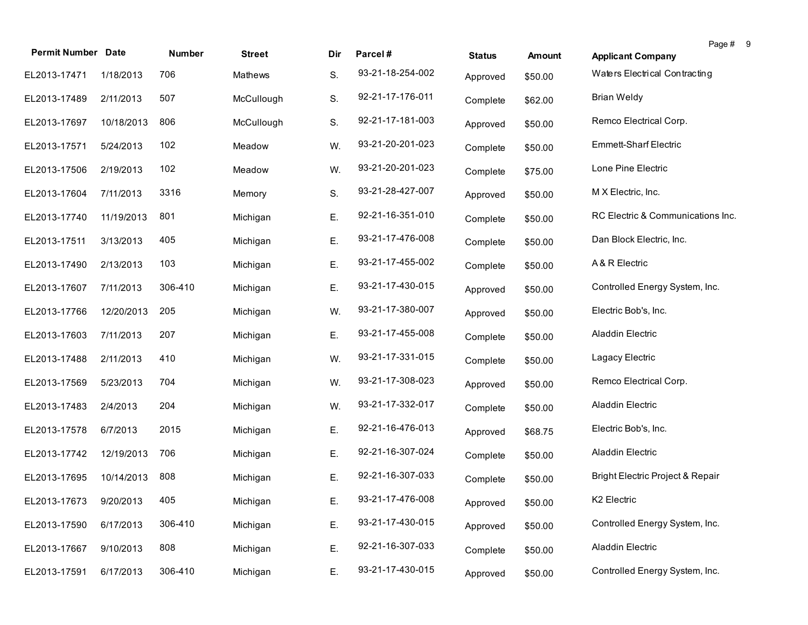| <b>Permit Number Date</b>  |            | Number  | <b>Street</b> | Dir | Parcel#          | <b>Status</b> | Amount  | Page #<br><b>Applicant Company</b> | -9 |
|----------------------------|------------|---------|---------------|-----|------------------|---------------|---------|------------------------------------|----|
| EL2013-17471               | 1/18/2013  | 706     | Mathews       | S.  | 93-21-18-254-002 | Approved      | \$50.00 | Waters Electrical Contracting      |    |
| EL2013-17489               | 2/11/2013  | 507     | McCullough    | S.  | 92-21-17-176-011 | Complete      | \$62.00 | <b>Brian Weldy</b>                 |    |
| EL2013-17697               | 10/18/2013 | 806     | McCullough    | S.  | 92-21-17-181-003 | Approved      | \$50.00 | Remco Electrical Corp.             |    |
| EL2013-17571               | 5/24/2013  | 102     | Meadow        | W.  | 93-21-20-201-023 | Complete      | \$50.00 | <b>Emmett-Sharf Electric</b>       |    |
| EL2013-17506               | 2/19/2013  | 102     | Meadow        | W.  | 93-21-20-201-023 | Complete      | \$75.00 | Lone Pine Electric                 |    |
| EL2013-17604               | 7/11/2013  | 3316    | Memory        | S.  | 93-21-28-427-007 | Approved      | \$50.00 | M X Electric, Inc.                 |    |
| EL2013-17740               | 11/19/2013 | 801     | Michigan      | Ε.  | 92-21-16-351-010 | Complete      | \$50.00 | RC Electric & Communications Inc.  |    |
| EL2013-17511               | 3/13/2013  | 405     | Michigan      | Ε.  | 93-21-17-476-008 | Complete      | \$50.00 | Dan Block Electric, Inc.           |    |
| EL2013-17490               | 2/13/2013  | 103     | Michigan      | Ε.  | 93-21-17-455-002 | Complete      | \$50.00 | A & R Electric                     |    |
| EL2013-17607               | 7/11/2013  | 306-410 | Michigan      | Ε.  | 93-21-17-430-015 | Approved      | \$50.00 | Controlled Energy System, Inc.     |    |
| EL2013-17766               | 12/20/2013 | 205     | Michigan      | W.  | 93-21-17-380-007 | Approved      | \$50.00 | Electric Bob's, Inc.               |    |
| EL2013-17603               | 7/11/2013  | 207     | Michigan      | Ε.  | 93-21-17-455-008 | Complete      | \$50.00 | Aladdin Electric                   |    |
| EL2013-17488               | 2/11/2013  | 410     | Michigan      | W.  | 93-21-17-331-015 | Complete      | \$50.00 | Lagacy Electric                    |    |
| EL2013-17569               | 5/23/2013  | 704     | Michigan      | W.  | 93-21-17-308-023 | Approved      | \$50.00 | Remco Electrical Corp.             |    |
| EL2013-17483               | 2/4/2013   | 204     | Michigan      | W.  | 93-21-17-332-017 | Complete      | \$50.00 | Aladdin Electric                   |    |
| EL2013-17578               | 6/7/2013   | 2015    | Michigan      | Ε.  | 92-21-16-476-013 | Approved      | \$68.75 | Electric Bob's, Inc.               |    |
| EL2013-17742               | 12/19/2013 | 706     | Michigan      | Ε.  | 92-21-16-307-024 | Complete      | \$50.00 | Aladdin Electric                   |    |
| EL2013-17695               | 10/14/2013 | 808     | Michigan      | Ε.  | 92-21-16-307-033 | Complete      | \$50.00 | Bright Electric Project & Repair   |    |
| EL2013-17673 9/20/2013 405 |            |         | Michigan      | Ε.  | 93-21-17-476-008 | Approved      | \$50.00 | K <sub>2</sub> Electric            |    |
| EL2013-17590               | 6/17/2013  | 306-410 | Michigan      | Ε.  | 93-21-17-430-015 | Approved      | \$50.00 | Controlled Energy System, Inc.     |    |
| EL2013-17667               | 9/10/2013  | 808     | Michigan      | Ε.  | 92-21-16-307-033 | Complete      | \$50.00 | Aladdin Electric                   |    |
| EL2013-17591               | 6/17/2013  | 306-410 | Michigan      | Ε.  | 93-21-17-430-015 | Approved      | \$50.00 | Controlled Energy System, Inc.     |    |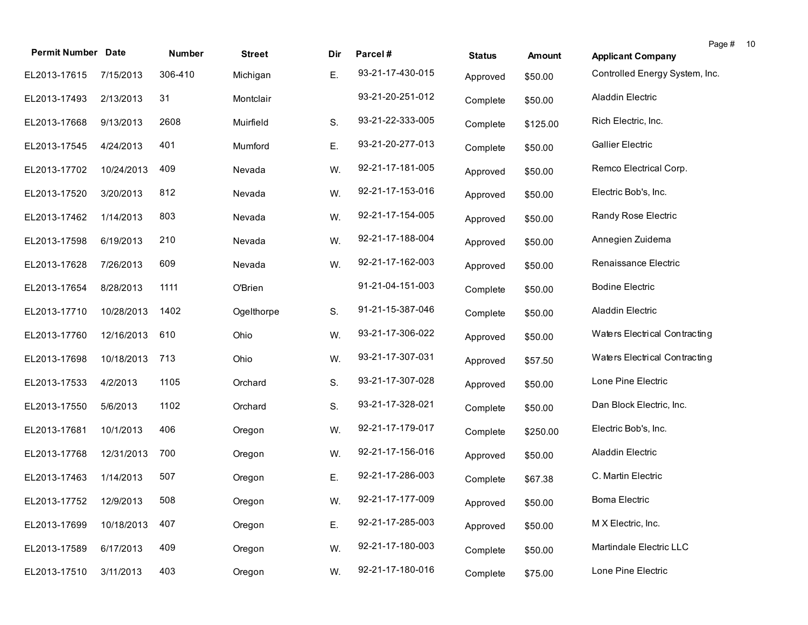| <b>Permit Number Date</b> |            | Number  | <b>Street</b> | Dir | Parcel#          | <b>Status</b> | <b>Amount</b> | Page #<br><b>Applicant Company</b> | -10 |
|---------------------------|------------|---------|---------------|-----|------------------|---------------|---------------|------------------------------------|-----|
| EL2013-17615              | 7/15/2013  | 306-410 | Michigan      | Ε.  | 93-21-17-430-015 | Approved      | \$50.00       | Controlled Energy System, Inc.     |     |
| EL2013-17493              | 2/13/2013  | 31      | Montclair     |     | 93-21-20-251-012 | Complete      | \$50.00       | Aladdin Electric                   |     |
| EL2013-17668              | 9/13/2013  | 2608    | Muirfield     | S.  | 93-21-22-333-005 | Complete      | \$125.00      | Rich Electric, Inc.                |     |
| EL2013-17545              | 4/24/2013  | 401     | Mumford       | Ε.  | 93-21-20-277-013 | Complete      | \$50.00       | <b>Gallier Electric</b>            |     |
| EL2013-17702              | 10/24/2013 | 409     | Nevada        | W.  | 92-21-17-181-005 | Approved      | \$50.00       | Remco Electrical Corp.             |     |
| EL2013-17520              | 3/20/2013  | 812     | Nevada        | W.  | 92-21-17-153-016 | Approved      | \$50.00       | Electric Bob's, Inc.               |     |
| EL2013-17462              | 1/14/2013  | 803     | Nevada        | W.  | 92-21-17-154-005 | Approved      | \$50.00       | Randy Rose Electric                |     |
| EL2013-17598              | 6/19/2013  | 210     | Nevada        | W.  | 92-21-17-188-004 | Approved      | \$50.00       | Annegien Zuidema                   |     |
| EL2013-17628              | 7/26/2013  | 609     | Nevada        | W.  | 92-21-17-162-003 | Approved      | \$50.00       | Renaissance Electric               |     |
| EL2013-17654              | 8/28/2013  | 1111    | O'Brien       |     | 91-21-04-151-003 | Complete      | \$50.00       | <b>Bodine Electric</b>             |     |
| EL2013-17710              | 10/28/2013 | 1402    | Ogelthorpe    | S.  | 91-21-15-387-046 | Complete      | \$50.00       | <b>Aladdin Electric</b>            |     |
| EL2013-17760              | 12/16/2013 | 610     | Ohio          | W.  | 93-21-17-306-022 | Approved      | \$50.00       | Waters Electrical Contracting      |     |
| EL2013-17698              | 10/18/2013 | 713     | Ohio          | W.  | 93-21-17-307-031 | Approved      | \$57.50       | Waters Electrical Contracting      |     |
| EL2013-17533              | 4/2/2013   | 1105    | Orchard       | S.  | 93-21-17-307-028 | Approved      | \$50.00       | Lone Pine Electric                 |     |
| EL2013-17550              | 5/6/2013   | 1102    | Orchard       | S.  | 93-21-17-328-021 | Complete      | \$50.00       | Dan Block Electric, Inc.           |     |
| EL2013-17681              | 10/1/2013  | 406     | Oregon        | W.  | 92-21-17-179-017 | Complete      | \$250.00      | Electric Bob's, Inc.               |     |
| EL2013-17768              | 12/31/2013 | 700     | Oregon        | W.  | 92-21-17-156-016 | Approved      | \$50.00       | Aladdin Electric                   |     |
| EL2013-17463              | 1/14/2013  | 507     | Oregon        | Ε.  | 92-21-17-286-003 | Complete      | \$67.38       | C. Martin Electric                 |     |
| EL2013-17752 12/9/2013    |            | 508     | Oregon        | W.  | 92-21-17-177-009 | Approved      | \$50.00       | <b>Boma Electric</b>               |     |
| EL2013-17699              | 10/18/2013 | 407     | Oregon        | Ε.  | 92-21-17-285-003 | Approved      | \$50.00       | M X Electric, Inc.                 |     |
| EL2013-17589              | 6/17/2013  | 409     | Oregon        | W.  | 92-21-17-180-003 | Complete      | \$50.00       | Martindale Electric LLC            |     |
| EL2013-17510              | 3/11/2013  | 403     | Oregon        | W.  | 92-21-17-180-016 | Complete      | \$75.00       | Lone Pine Electric                 |     |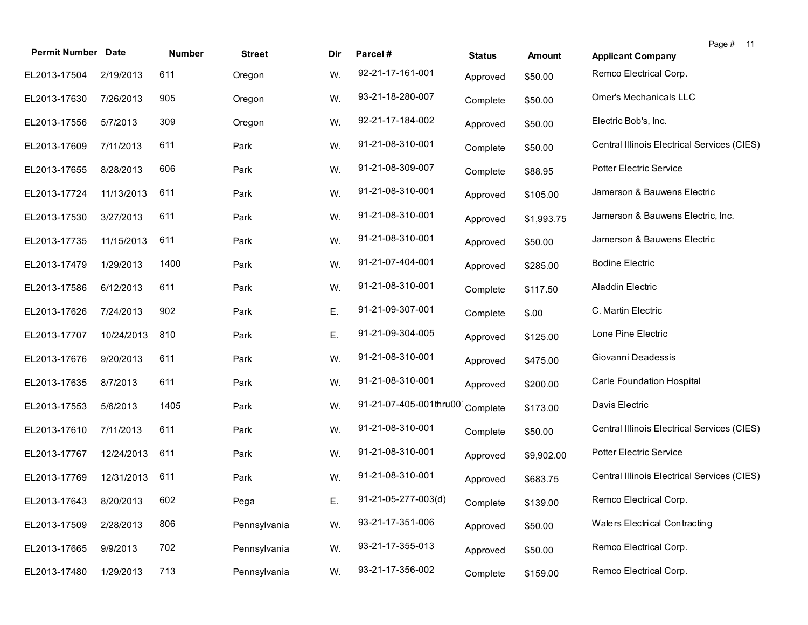| <b>Permit Number Date</b> |            | Number | <b>Street</b> | Dir | Parcel#                | <b>Status</b> | <b>Amount</b> | Page #<br>$-11$<br><b>Applicant Company</b> |
|---------------------------|------------|--------|---------------|-----|------------------------|---------------|---------------|---------------------------------------------|
|                           |            | 611    |               |     | 92-21-17-161-001       |               |               | Remco Electrical Corp.                      |
| EL2013-17504              | 2/19/2013  |        | Oregon        | W.  |                        | Approved      | \$50.00       |                                             |
| EL2013-17630              | 7/26/2013  | 905    | Oregon        | W.  | 93-21-18-280-007       | Complete      | \$50.00       | Omer's Mechanicals LLC                      |
| EL2013-17556              | 5/7/2013   | 309    | Oregon        | W.  | 92-21-17-184-002       | Approved      | \$50.00       | Electric Bob's, Inc.                        |
| EL2013-17609              | 7/11/2013  | 611    | Park          | W.  | 91-21-08-310-001       | Complete      | \$50.00       | Central Illinois Electrical Services (CIES) |
| EL2013-17655              | 8/28/2013  | 606    | Park          | W.  | 91-21-08-309-007       | Complete      | \$88.95       | <b>Potter Electric Service</b>              |
| EL2013-17724              | 11/13/2013 | 611    | Park          | W.  | 91-21-08-310-001       | Approved      | \$105.00      | Jamerson & Bauwens Electric                 |
| EL2013-17530              | 3/27/2013  | 611    | Park          | W.  | 91-21-08-310-001       | Approved      | \$1,993.75    | Jamerson & Bauwens Electric, Inc.           |
| EL2013-17735              | 11/15/2013 | 611    | Park          | W.  | 91-21-08-310-001       | Approved      | \$50.00       | Jamerson & Bauwens Electric                 |
| EL2013-17479              | 1/29/2013  | 1400   | Park          | W.  | 91-21-07-404-001       | Approved      | \$285.00      | <b>Bodine Electric</b>                      |
| EL2013-17586              | 6/12/2013  | 611    | Park          | W.  | 91-21-08-310-001       | Complete      | \$117.50      | Aladdin Electric                            |
| EL2013-17626              | 7/24/2013  | 902    | Park          | Ε.  | 91-21-09-307-001       | Complete      | \$.00         | C. Martin Electric                          |
| EL2013-17707              | 10/24/2013 | 810    | Park          | Ε.  | 91-21-09-304-005       | Approved      | \$125.00      | Lone Pine Electric                          |
| EL2013-17676              | 9/20/2013  | 611    | Park          | W.  | 91-21-08-310-001       | Approved      | \$475.00      | Giovanni Deadessis                          |
| EL2013-17635              | 8/7/2013   | 611    | Park          | W.  | 91-21-08-310-001       | Approved      | \$200.00      | Carle Foundation Hospital                   |
| EL2013-17553              | 5/6/2013   | 1405   | Park          | W.  | 91-21-07-405-001thru00 | Complete      | \$173.00      | Davis Electric                              |
| EL2013-17610              | 7/11/2013  | 611    | Park          | W.  | 91-21-08-310-001       | Complete      | \$50.00       | Central Illinois Electrical Services (CIES) |
| EL2013-17767              | 12/24/2013 | 611    | Park          | W.  | 91-21-08-310-001       | Approved      | \$9,902.00    | <b>Potter Electric Service</b>              |
| EL2013-17769              | 12/31/2013 | 611    | Park          | W.  | 91-21-08-310-001       | Approved      | \$683.75      | Central Illinois Electrical Services (CIES) |
| EL2013-17643              | 8/20/2013  | 602    | Pega          | E.  | 91-21-05-277-003(d)    | Complete      | \$139.00      | Remco Electrical Corp.                      |
| EL2013-17509              | 2/28/2013  | 806    | Pennsylvania  | W.  | 93-21-17-351-006       | Approved      | \$50.00       | Waters Electrical Contracting               |
| EL2013-17665              | 9/9/2013   | 702    | Pennsylvania  | W.  | 93-21-17-355-013       | Approved      | \$50.00       | Remco Electrical Corp.                      |
| EL2013-17480              | 1/29/2013  | 713    | Pennsylvania  | W.  | 93-21-17-356-002       | Complete      | \$159.00      | Remco Electrical Corp.                      |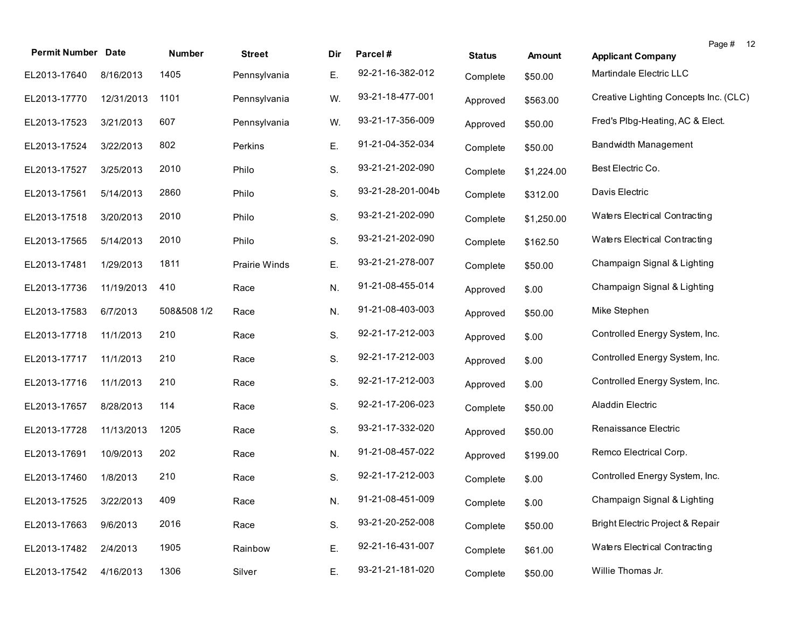| <b>Permit Number Date</b> |            | Number      | <b>Street</b> | Dir | Parcel#           | <b>Status</b> | <b>Amount</b> | Page #<br>- 12<br><b>Applicant Company</b> |
|---------------------------|------------|-------------|---------------|-----|-------------------|---------------|---------------|--------------------------------------------|
| EL2013-17640              | 8/16/2013  | 1405        | Pennsylvania  | Ε.  | 92-21-16-382-012  | Complete      | \$50.00       | Martindale Electric LLC                    |
| EL2013-17770              | 12/31/2013 | 1101        | Pennsylvania  | W.  | 93-21-18-477-001  | Approved      | \$563.00      | Creative Lighting Concepts Inc. (CLC)      |
| EL2013-17523              | 3/21/2013  | 607         | Pennsylvania  | W.  | 93-21-17-356-009  | Approved      | \$50.00       | Fred's Plbg-Heating, AC & Elect.           |
| EL2013-17524              | 3/22/2013  | 802         | Perkins       | Ε.  | 91-21-04-352-034  | Complete      | \$50.00       | <b>Bandwidth Management</b>                |
| EL2013-17527              | 3/25/2013  | 2010        | Philo         | S.  | 93-21-21-202-090  | Complete      | \$1,224.00    | Best Electric Co.                          |
| EL2013-17561              | 5/14/2013  | 2860        | Philo         | S.  | 93-21-28-201-004b | Complete      | \$312.00      | Davis Electric                             |
| EL2013-17518              | 3/20/2013  | 2010        | Philo         | S.  | 93-21-21-202-090  | Complete      | \$1,250.00    | Waters Electrical Contracting              |
| EL2013-17565              | 5/14/2013  | 2010        | Philo         | S.  | 93-21-21-202-090  | Complete      | \$162.50      | Waters Electrical Contracting              |
| EL2013-17481              | 1/29/2013  | 1811        | Prairie Winds | Ε.  | 93-21-21-278-007  | Complete      | \$50.00       | Champaign Signal & Lighting                |
| EL2013-17736              | 11/19/2013 | 410         | Race          | N.  | 91-21-08-455-014  | Approved      | \$.00         | Champaign Signal & Lighting                |
| EL2013-17583              | 6/7/2013   | 508&508 1/2 | Race          | N.  | 91-21-08-403-003  | Approved      | \$50.00       | Mike Stephen                               |
| EL2013-17718              | 11/1/2013  | 210         | Race          | S.  | 92-21-17-212-003  | Approved      | \$.00         | Controlled Energy System, Inc.             |
| EL2013-17717              | 11/1/2013  | 210         | Race          | S.  | 92-21-17-212-003  | Approved      | \$.00         | Controlled Energy System, Inc.             |
| EL2013-17716              | 11/1/2013  | 210         | Race          | S.  | 92-21-17-212-003  | Approved      | \$.00         | Controlled Energy System, Inc.             |
| EL2013-17657              | 8/28/2013  | 114         | Race          | S.  | 92-21-17-206-023  | Complete      | \$50.00       | Aladdin Electric                           |
| EL2013-17728              | 11/13/2013 | 1205        | Race          | S.  | 93-21-17-332-020  | Approved      | \$50.00       | Renaissance Electric                       |
| EL2013-17691              | 10/9/2013  | 202         | Race          | N.  | 91-21-08-457-022  | Approved      | \$199.00      | Remco Electrical Corp.                     |
| EL2013-17460              | 1/8/2013   | 210         | Race          | S.  | 92-21-17-212-003  | Complete      | \$.00         | Controlled Energy System, Inc.             |
| EL2013-17525 3/22/2013    |            | 409         | Race          | N.  | 91-21-08-451-009  | Complete      | \$.00         | Champaign Signal & Lighting                |
| EL2013-17663              | 9/6/2013   | 2016        | Race          | S.  | 93-21-20-252-008  | Complete      | \$50.00       | Bright Electric Project & Repair           |
| EL2013-17482              | 2/4/2013   | 1905        | Rainbow       | Ε.  | 92-21-16-431-007  | Complete      | \$61.00       | Waters Electrical Contracting              |
| EL2013-17542              | 4/16/2013  | 1306        | Silver        | Ε.  | 93-21-21-181-020  | Complete      | \$50.00       | Willie Thomas Jr.                          |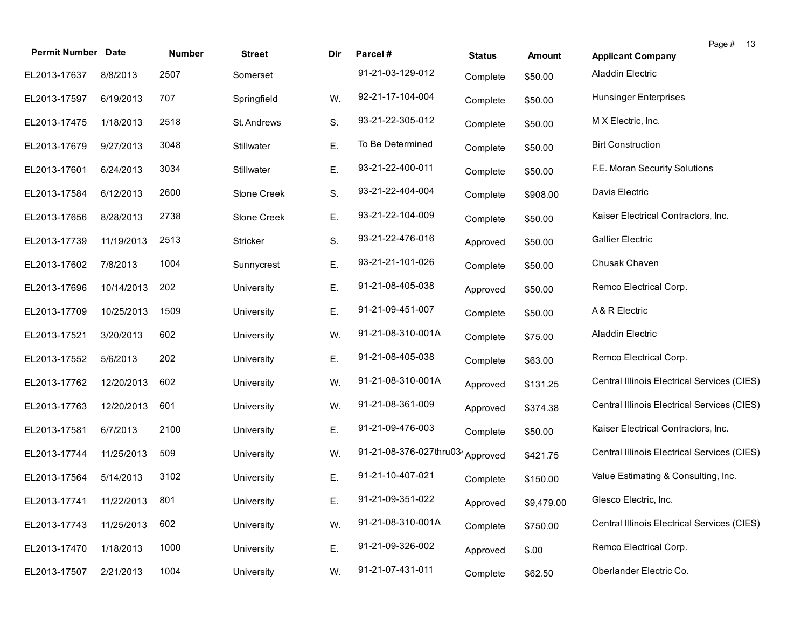| <b>Permit Number Date</b> |            | Number | <b>Street</b>      | Dir | Parcel#                 | <b>Status</b> | <b>Amount</b> | <b>Applicant Company</b>                    | Page # | - 13 |
|---------------------------|------------|--------|--------------------|-----|-------------------------|---------------|---------------|---------------------------------------------|--------|------|
| EL2013-17637              | 8/8/2013   | 2507   | Somerset           |     | 91-21-03-129-012        | Complete      | \$50.00       | Aladdin Electric                            |        |      |
| EL2013-17597              | 6/19/2013  | 707    | Springfield        | W.  | 92-21-17-104-004        | Complete      | \$50.00       | <b>Hunsinger Enterprises</b>                |        |      |
| EL2013-17475              | 1/18/2013  | 2518   | St. Andrews        | S.  | 93-21-22-305-012        | Complete      | \$50.00       | M X Electric, Inc.                          |        |      |
| EL2013-17679              | 9/27/2013  | 3048   | Stillwater         | Ε.  | To Be Determined        | Complete      | \$50.00       | <b>Birt Construction</b>                    |        |      |
| EL2013-17601              | 6/24/2013  | 3034   | Stillwater         | Ε.  | 93-21-22-400-011        | Complete      | \$50.00       | F.E. Moran Security Solutions               |        |      |
| EL2013-17584              | 6/12/2013  | 2600   | Stone Creek        | S.  | 93-21-22-404-004        | Complete      | \$908.00      | Davis Electric                              |        |      |
| EL2013-17656              | 8/28/2013  | 2738   | <b>Stone Creek</b> | Ε.  | 93-21-22-104-009        | Complete      | \$50.00       | Kaiser Electrical Contractors, Inc.         |        |      |
| EL2013-17739              | 11/19/2013 | 2513   | Stricker           | S.  | 93-21-22-476-016        | Approved      | \$50.00       | <b>Gallier Electric</b>                     |        |      |
| EL2013-17602              | 7/8/2013   | 1004   | Sunnycrest         | Ε.  | 93-21-21-101-026        | Complete      | \$50.00       | Chusak Chaven                               |        |      |
| EL2013-17696              | 10/14/2013 | 202    | University         | Ε.  | 91-21-08-405-038        | Approved      | \$50.00       | Remco Electrical Corp.                      |        |      |
| EL2013-17709              | 10/25/2013 | 1509   | University         | Ε.  | 91-21-09-451-007        | Complete      | \$50.00       | A & R Electric                              |        |      |
| EL2013-17521              | 3/20/2013  | 602    | University         | W.  | 91-21-08-310-001A       | Complete      | \$75.00       | Aladdin Electric                            |        |      |
| EL2013-17552              | 5/6/2013   | 202    | University         | Ε.  | 91-21-08-405-038        | Complete      | \$63.00       | Remco Electrical Corp.                      |        |      |
| EL2013-17762              | 12/20/2013 | 602    | University         | W.  | 91-21-08-310-001A       | Approved      | \$131.25      | Central Illinois Electrical Services (CIES) |        |      |
| EL2013-17763              | 12/20/2013 | 601    | University         | W.  | 91-21-08-361-009        | Approved      | \$374.38      | Central Illinois Electrical Services (CIES) |        |      |
| EL2013-17581              | 6/7/2013   | 2100   | University         | Ε.  | 91-21-09-476-003        | Complete      | \$50.00       | Kaiser Electrical Contractors, Inc.         |        |      |
| EL2013-17744              | 11/25/2013 | 509    | University         | W.  | 91-21-08-376-027thru034 | Approved      | \$421.75      | Central Illinois Electrical Services (CIES) |        |      |
| EL2013-17564              | 5/14/2013  | 3102   | University         | Ε.  | 91-21-10-407-021        | Complete      | \$150.00      | Value Estimating & Consulting, Inc.         |        |      |
| EL2013-17741 11/22/2013   |            | 801    | University         | Ε.  | 91-21-09-351-022        | Approved      | \$9,479.00    | Glesco Electric, Inc.                       |        |      |
| EL2013-17743              | 11/25/2013 | 602    | University         | W.  | 91-21-08-310-001A       | Complete      | \$750.00      | Central Illinois Electrical Services (CIES) |        |      |
| EL2013-17470              | 1/18/2013  | 1000   | University         | Ε.  | 91-21-09-326-002        | Approved      | \$.00         | Remco Electrical Corp.                      |        |      |
| EL2013-17507              | 2/21/2013  | 1004   | University         | W.  | 91-21-07-431-011        | Complete      | \$62.50       | Oberlander Electric Co.                     |        |      |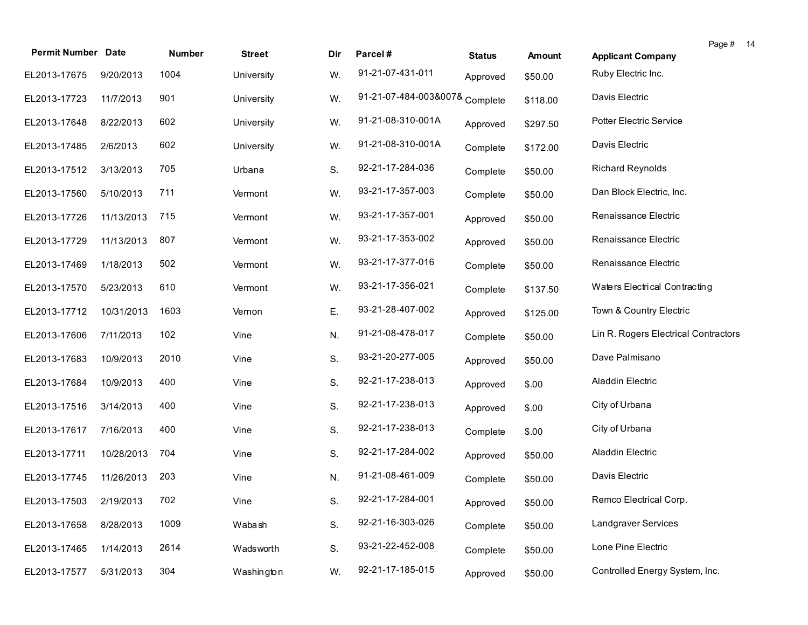| <b>Permit Number Date</b> |            | Number | <b>Street</b> | Dir | Parcel#                        | <b>Status</b> | <b>Amount</b> | <b>Applicant Company</b>             | Page # 14 |
|---------------------------|------------|--------|---------------|-----|--------------------------------|---------------|---------------|--------------------------------------|-----------|
| EL2013-17675              | 9/20/2013  | 1004   | University    | W.  | 91-21-07-431-011               | Approved      | \$50.00       | Ruby Electric Inc.                   |           |
| EL2013-17723              | 11/7/2013  | 901    | University    | W.  | 91-21-07-484-003&007& Complete |               | \$118.00      | Davis Electric                       |           |
| EL2013-17648              | 8/22/2013  | 602    | University    | W.  | 91-21-08-310-001A              | Approved      | \$297.50      | Potter Electric Service              |           |
| EL2013-17485              | 2/6/2013   | 602    | University    | W.  | 91-21-08-310-001A              | Complete      | \$172.00      | Davis Electric                       |           |
| EL2013-17512              | 3/13/2013  | 705    | Urbana        | S.  | 92-21-17-284-036               | Complete      | \$50.00       | <b>Richard Reynolds</b>              |           |
| EL2013-17560              | 5/10/2013  | 711    | Vermont       | W.  | 93-21-17-357-003               | Complete      | \$50.00       | Dan Block Electric, Inc.             |           |
| EL2013-17726              | 11/13/2013 | 715    | Vermont       | W.  | 93-21-17-357-001               | Approved      | \$50.00       | Renaissance Electric                 |           |
| EL2013-17729              | 11/13/2013 | 807    | Vermont       | W.  | 93-21-17-353-002               | Approved      | \$50.00       | Renaissance Electric                 |           |
| EL2013-17469              | 1/18/2013  | 502    | Vermont       | W.  | 93-21-17-377-016               | Complete      | \$50.00       | Renaissance Electric                 |           |
| EL2013-17570              | 5/23/2013  | 610    | Vermont       | W.  | 93-21-17-356-021               | Complete      | \$137.50      | Waters Electrical Contracting        |           |
| EL2013-17712              | 10/31/2013 | 1603   | Vernon        | Ε.  | 93-21-28-407-002               | Approved      | \$125.00      | Town & Country Electric              |           |
| EL2013-17606              | 7/11/2013  | 102    | Vine          | N.  | 91-21-08-478-017               | Complete      | \$50.00       | Lin R. Rogers Electrical Contractors |           |
| EL2013-17683              | 10/9/2013  | 2010   | Vine          | S.  | 93-21-20-277-005               | Approved      | \$50.00       | Dave Palmisano                       |           |
| EL2013-17684              | 10/9/2013  | 400    | Vine          | S.  | 92-21-17-238-013               | Approved      | \$.00         | Aladdin Electric                     |           |
| EL2013-17516              | 3/14/2013  | 400    | Vine          | S.  | 92-21-17-238-013               | Approved      | \$.00         | City of Urbana                       |           |
| EL2013-17617              | 7/16/2013  | 400    | Vine          | S.  | 92-21-17-238-013               | Complete      | \$.00         | City of Urbana                       |           |
| EL2013-17711              | 10/28/2013 | 704    | Vine          | S.  | 92-21-17-284-002               | Approved      | \$50.00       | Aladdin Electric                     |           |
| EL2013-17745              | 11/26/2013 | 203    | Vine          | N.  | 91-21-08-461-009               | Complete      | \$50.00       | Davis Electric                       |           |
| EL2013-17503 2/19/2013    |            | 702    | Vine          | S.  | 92-21-17-284-001               | Approved      | \$50.00       | Remco Electrical Corp.               |           |
| EL2013-17658              | 8/28/2013  | 1009   | Wabash        | S.  | 92-21-16-303-026               | Complete      | \$50.00       | Landgraver Services                  |           |
| EL2013-17465              | 1/14/2013  | 2614   | Wadsworth     | S.  | 93-21-22-452-008               | Complete      | \$50.00       | Lone Pine Electric                   |           |
| EL2013-17577              | 5/31/2013  | 304    | Washington    | W.  | 92-21-17-185-015               | Approved      | \$50.00       | Controlled Energy System, Inc.       |           |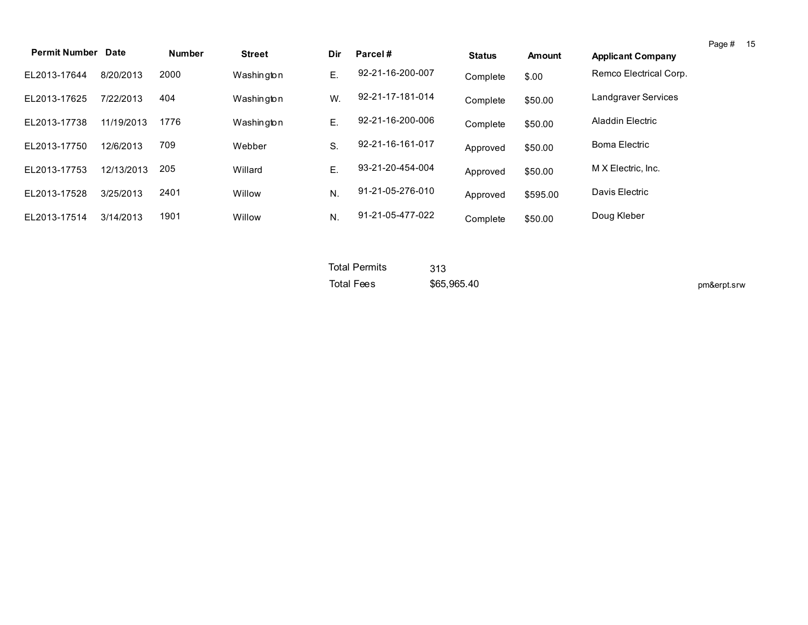| <b>Permit Number Date</b> |            | <b>Number</b> | <b>Street</b> | Dir | Parcel#          | <b>Status</b> | <b>Amount</b> | <b>Applicant Company</b> | Page # | 15 |
|---------------------------|------------|---------------|---------------|-----|------------------|---------------|---------------|--------------------------|--------|----|
| EL2013-17644              | 8/20/2013  | 2000          | Washington    | Е.  | 92-21-16-200-007 | Complete      | \$.00         | Remco Electrical Corp.   |        |    |
| EL2013-17625              | 7/22/2013  | 404           | Washington    | W.  | 92-21-17-181-014 | Complete      | \$50.00       | Landgraver Services      |        |    |
| EL2013-17738              | 11/19/2013 | 1776          | Washington    | Е.  | 92-21-16-200-006 | Complete      | \$50.00       | Aladdin Electric         |        |    |
| EL2013-17750              | 12/6/2013  | 709           | Webber        | S.  | 92-21-16-161-017 | Approved      | \$50.00       | <b>Boma Electric</b>     |        |    |
| EL2013-17753              | 12/13/2013 | 205           | Willard       | Е.  | 93-21-20-454-004 | Approved      | \$50.00       | M X Electric, Inc.       |        |    |
| EL2013-17528              | 3/25/2013  | 2401          | Willow        | N.  | 91-21-05-276-010 | Approved      | \$595.00      | Davis Electric           |        |    |
| EL2013-17514              | 3/14/2013  | 1901          | Willow        | N.  | 91-21-05-477-022 | Complete      | \$50.00       | Doug Kleber              |        |    |

| <b>Total Permits</b> | 313         |             |
|----------------------|-------------|-------------|
| Total Fees           | \$65,965,40 | pm&erpt.srw |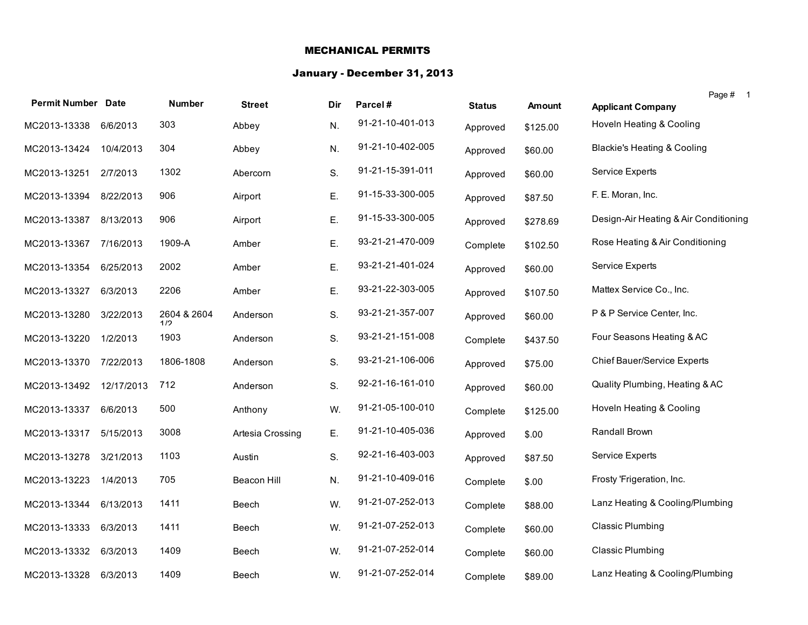## MECHANICAL PERMITS

#### January - December 31, 2013

| <b>Permit Number Date</b> |            | <b>Number</b>      | <b>Street</b>    | Dir | Parcel#          | <b>Status</b> | <b>Amount</b> | Page # 1<br><b>Applicant Company</b>   |
|---------------------------|------------|--------------------|------------------|-----|------------------|---------------|---------------|----------------------------------------|
| MC2013-13338              | 6/6/2013   | 303                | Abbey            | N.  | 91-21-10-401-013 | Approved      | \$125.00      | Hoveln Heating & Cooling               |
| MC2013-13424              | 10/4/2013  | 304                | Abbey            | N.  | 91-21-10-402-005 | Approved      | \$60.00       | <b>Blackie's Heating &amp; Cooling</b> |
| MC2013-13251              | 2/7/2013   | 1302               | Abercorn         | S.  | 91-21-15-391-011 | Approved      | \$60.00       | <b>Service Experts</b>                 |
| MC2013-13394              | 8/22/2013  | 906                | Airport          | Ε.  | 91-15-33-300-005 | Approved      | \$87.50       | F. E. Moran, Inc.                      |
| MC2013-13387              | 8/13/2013  | 906                | Airport          | Ε.  | 91-15-33-300-005 | Approved      | \$278.69      | Design-Air Heating & Air Conditioning  |
| MC2013-13367 7/16/2013    |            | 1909-A             | Amber            | Ε.  | 93-21-21-470-009 | Complete      | \$102.50      | Rose Heating & Air Conditioning        |
| MC2013-13354              | 6/25/2013  | 2002               | Amber            | Ε.  | 93-21-21-401-024 | Approved      | \$60.00       | Service Experts                        |
| MC2013-13327              | 6/3/2013   | 2206               | Amber            | Ε.  | 93-21-22-303-005 | Approved      | \$107.50      | Mattex Service Co., Inc.               |
| MC2013-13280              | 3/22/2013  | 2604 & 2604<br>1/2 | Anderson         | S.  | 93-21-21-357-007 | Approved      | \$60.00       | P & P Service Center, Inc.             |
| MC2013-13220              | 1/2/2013   | 1903               | Anderson         | S.  | 93-21-21-151-008 | Complete      | \$437.50      | Four Seasons Heating & AC              |
| MC2013-13370              | 7/22/2013  | 1806-1808          | Anderson         | S.  | 93-21-21-106-006 | Approved      | \$75.00       | <b>Chief Bauer/Service Experts</b>     |
| MC2013-13492              | 12/17/2013 | 712                | Anderson         | S.  | 92-21-16-161-010 | Approved      | \$60.00       | Quality Plumbing, Heating & AC         |
| MC2013-13337              | 6/6/2013   | 500                | Anthony          | W.  | 91-21-05-100-010 | Complete      | \$125.00      | Hoveln Heating & Cooling               |
| MC2013-13317              | 5/15/2013  | 3008               | Artesia Crossing | Ε.  | 91-21-10-405-036 | Approved      | \$.00         | Randall Brown                          |
| MC2013-13278              | 3/21/2013  | 1103               | Austin           | S.  | 92-21-16-403-003 | Approved      | \$87.50       | <b>Service Experts</b>                 |
| MC2013-13223              | 1/4/2013   | 705                | Beacon Hill      | N.  | 91-21-10-409-016 | Complete      | \$.00         | Frosty 'Frigeration, Inc.              |
| MC2013-13344              | 6/13/2013  | 1411               | Beech            | W.  | 91-21-07-252-013 | Complete      | \$88.00       | Lanz Heating & Cooling/Plumbing        |
| MC2013-13333              | 6/3/2013   | 1411               | Beech            | W.  | 91-21-07-252-013 | Complete      | \$60.00       | <b>Classic Plumbing</b>                |
| MC2013-13332              | 6/3/2013   | 1409               | Beech            | W.  | 91-21-07-252-014 | Complete      | \$60.00       | <b>Classic Plumbing</b>                |
| MC2013-13328              | 6/3/2013   | 1409               | Beech            | W.  | 91-21-07-252-014 | Complete      | \$89.00       | Lanz Heating & Cooling/Plumbing        |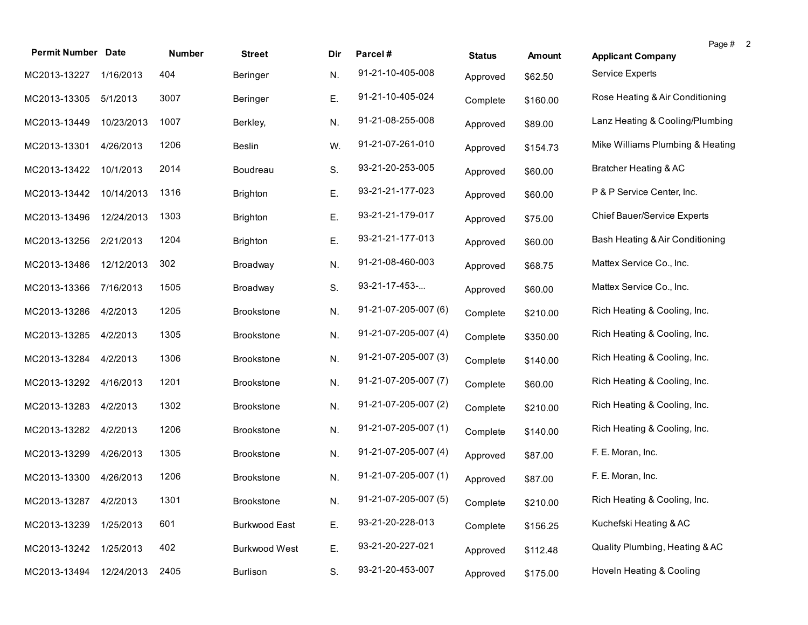| <b>Permit Number Date</b> |            | <b>Number</b> | <b>Street</b>        | Dir | Parcel#              | <b>Status</b> | <b>Amount</b> | Page # 2<br><b>Applicant Company</b> |  |
|---------------------------|------------|---------------|----------------------|-----|----------------------|---------------|---------------|--------------------------------------|--|
| MC2013-13227              | 1/16/2013  | 404           | Beringer             | N.  | 91-21-10-405-008     | Approved      | \$62.50       | <b>Service Experts</b>               |  |
| MC2013-13305              | 5/1/2013   | 3007          | Beringer             | Ε.  | 91-21-10-405-024     | Complete      | \$160.00      | Rose Heating & Air Conditioning      |  |
| MC2013-13449              | 10/23/2013 | 1007          | Berkley,             | N.  | 91-21-08-255-008     | Approved      | \$89.00       | Lanz Heating & Cooling/Plumbing      |  |
| MC2013-13301              | 4/26/2013  | 1206          | <b>Beslin</b>        | W.  | 91-21-07-261-010     | Approved      | \$154.73      | Mike Williams Plumbing & Heating     |  |
| MC2013-13422              | 10/1/2013  | 2014          | Boudreau             | S.  | 93-21-20-253-005     | Approved      | \$60.00       | Bratcher Heating & AC                |  |
| MC2013-13442              | 10/14/2013 | 1316          | <b>Brighton</b>      | Ε.  | 93-21-21-177-023     | Approved      | \$60.00       | P & P Service Center, Inc.           |  |
| MC2013-13496              | 12/24/2013 | 1303          | <b>Brighton</b>      | Ε.  | 93-21-21-179-017     | Approved      | \$75.00       | <b>Chief Bauer/Service Experts</b>   |  |
| MC2013-13256              | 2/21/2013  | 1204          | <b>Brighton</b>      | Ε.  | 93-21-21-177-013     | Approved      | \$60.00       | Bash Heating & Air Conditioning      |  |
| MC2013-13486              | 12/12/2013 | 302           | Broadway             | N.  | 91-21-08-460-003     | Approved      | \$68.75       | Mattex Service Co., Inc.             |  |
| MC2013-13366              | 7/16/2013  | 1505          | Broadway             | S.  | 93-21-17-453-        | Approved      | \$60.00       | Mattex Service Co., Inc.             |  |
| MC2013-13286              | 4/2/2013   | 1205          | <b>Brookstone</b>    | N.  | 91-21-07-205-007 (6) | Complete      | \$210.00      | Rich Heating & Cooling, Inc.         |  |
| MC2013-13285              | 4/2/2013   | 1305          | <b>Brookstone</b>    | N.  | 91-21-07-205-007 (4) | Complete      | \$350.00      | Rich Heating & Cooling, Inc.         |  |
| MC2013-13284              | 4/2/2013   | 1306          | <b>Brookstone</b>    | N.  | 91-21-07-205-007 (3) | Complete      | \$140.00      | Rich Heating & Cooling, Inc.         |  |
| MC2013-13292              | 4/16/2013  | 1201          | <b>Brookstone</b>    | N.  | 91-21-07-205-007 (7) | Complete      | \$60.00       | Rich Heating & Cooling, Inc.         |  |
| MC2013-13283              | 4/2/2013   | 1302          | <b>Brookstone</b>    | N.  | 91-21-07-205-007 (2) | Complete      | \$210.00      | Rich Heating & Cooling, Inc.         |  |
| MC2013-13282              | 4/2/2013   | 1206          | <b>Brookstone</b>    | N.  | 91-21-07-205-007 (1) | Complete      | \$140.00      | Rich Heating & Cooling, Inc.         |  |
| MC2013-13299              | 4/26/2013  | 1305          | <b>Brookstone</b>    | N.  | 91-21-07-205-007 (4) | Approved      | \$87.00       | F. E. Moran, Inc.                    |  |
| MC2013-13300              | 4/26/2013  | 1206          | <b>Brookstone</b>    | N.  | 91-21-07-205-007 (1) | Approved      | \$87.00       | F. E. Moran, Inc.                    |  |
| MC2013-13287 4/2/2013     |            | 1301          | Brookstone           | N.  | 91-21-07-205-007 (5) | Complete      | \$210.00      | Rich Heating & Cooling, Inc.         |  |
| MC2013-13239              | 1/25/2013  | 601           | <b>Burkwood East</b> | Ε.  | 93-21-20-228-013     | Complete      | \$156.25      | Kuchefski Heating & AC               |  |
| MC2013-13242              | 1/25/2013  | 402           | Burkwood West        | Ε.  | 93-21-20-227-021     | Approved      | \$112.48      | Quality Plumbing, Heating & AC       |  |
| MC2013-13494              | 12/24/2013 | 2405          | Burlison             | S.  | 93-21-20-453-007     | Approved      | \$175.00      | Hoveln Heating & Cooling             |  |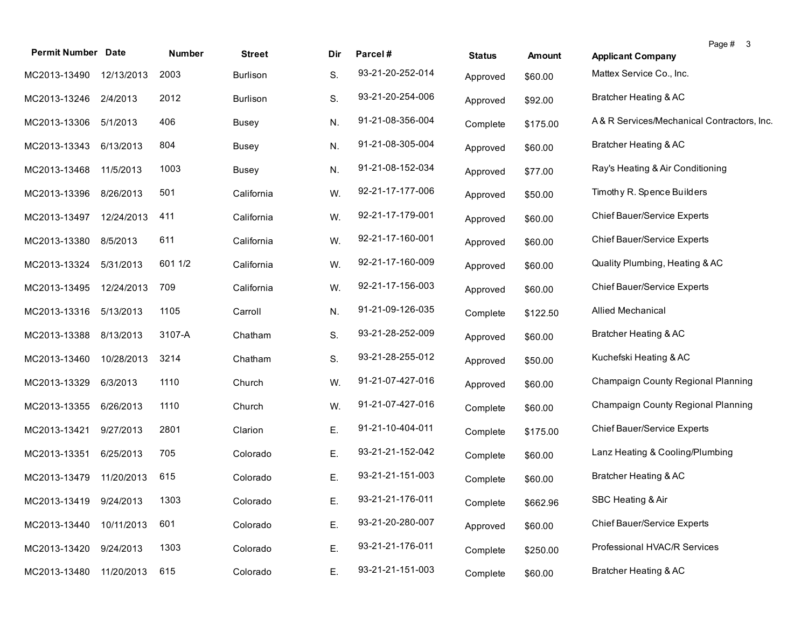| <b>Permit Number Date</b> |            | Number  | <b>Street</b>   | Dir | Parcel#          | <b>Status</b> | <b>Amount</b> | Page # 3<br><b>Applicant Company</b>       |
|---------------------------|------------|---------|-----------------|-----|------------------|---------------|---------------|--------------------------------------------|
| MC2013-13490              | 12/13/2013 | 2003    | Burlison        | S.  | 93-21-20-252-014 | Approved      | \$60.00       | Mattex Service Co., Inc.                   |
| MC2013-13246              | 2/4/2013   | 2012    | <b>Burlison</b> | S.  | 93-21-20-254-006 | Approved      | \$92.00       | Bratcher Heating & AC                      |
| MC2013-13306              | 5/1/2013   | 406     | <b>Busey</b>    | N.  | 91-21-08-356-004 | Complete      | \$175.00      | A& R Services/Mechanical Contractors, Inc. |
| MC2013-13343 6/13/2013    |            | 804     | Busey           | N.  | 91-21-08-305-004 | Approved      | \$60.00       | Bratcher Heating & AC                      |
| MC2013-13468              | 11/5/2013  | 1003    | Busey           | N.  | 91-21-08-152-034 | Approved      | \$77.00       | Ray's Heating & Air Conditioning           |
| MC2013-13396              | 8/26/2013  | 501     | California      | W.  | 92-21-17-177-006 | Approved      | \$50.00       | Timothy R. Spence Builders                 |
| MC2013-13497              | 12/24/2013 | 411     | California      | W.  | 92-21-17-179-001 | Approved      | \$60.00       | Chief Bauer/Service Experts                |
| MC2013-13380              | 8/5/2013   | 611     | California      | W.  | 92-21-17-160-001 | Approved      | \$60.00       | Chief Bauer/Service Experts                |
| MC2013-13324              | 5/31/2013  | 601 1/2 | California      | W.  | 92-21-17-160-009 | Approved      | \$60.00       | Quality Plumbing, Heating & AC             |
| MC2013-13495              | 12/24/2013 | 709     | California      | W.  | 92-21-17-156-003 | Approved      | \$60.00       | Chief Bauer/Service Experts                |
| MC2013-13316              | 5/13/2013  | 1105    | Carroll         | N.  | 91-21-09-126-035 | Complete      | \$122.50      | <b>Allied Mechanical</b>                   |
| MC2013-13388              | 8/13/2013  | 3107-A  | Chatham         | S.  | 93-21-28-252-009 | Approved      | \$60.00       | Bratcher Heating & AC                      |
| MC2013-13460              | 10/28/2013 | 3214    | Chatham         | S.  | 93-21-28-255-012 | Approved      | \$50.00       | Kuchefski Heating & AC                     |
| MC2013-13329              | 6/3/2013   | 1110    | Church          | W.  | 91-21-07-427-016 | Approved      | \$60.00       | Champaign County Regional Planning         |
| MC2013-13355              | 6/26/2013  | 1110    | Church          | W.  | 91-21-07-427-016 | Complete      | \$60.00       | Champaign County Regional Planning         |
| MC2013-13421              | 9/27/2013  | 2801    | Clarion         | Ε.  | 91-21-10-404-011 | Complete      | \$175.00      | Chief Bauer/Service Experts                |
| MC2013-13351              | 6/25/2013  | 705     | Colorado        | Ε.  | 93-21-21-152-042 | Complete      | \$60.00       | Lanz Heating & Cooling/Plumbing            |
| MC2013-13479              | 11/20/2013 | 615     | Colorado        | Е.  | 93-21-21-151-003 | Complete      | \$60.00       | Bratcher Heating & AC                      |
| MC2013-13419 9/24/2013    |            | 1303    | Colorado        | Ε.  | 93-21-21-176-011 | Complete      | \$662.96      | SBC Heating & Air                          |
| MC2013-13440              | 10/11/2013 | 601     | Colorado        | Ε.  | 93-21-20-280-007 | Approved      | \$60.00       | Chief Bauer/Service Experts                |
| MC2013-13420              | 9/24/2013  | 1303    | Colorado        | Ε.  | 93-21-21-176-011 | Complete      | \$250.00      | Professional HVAC/R Services               |
| MC2013-13480              | 11/20/2013 | 615     | Colorado        | Ε.  | 93-21-21-151-003 | Complete      | \$60.00       | Bratcher Heating & AC                      |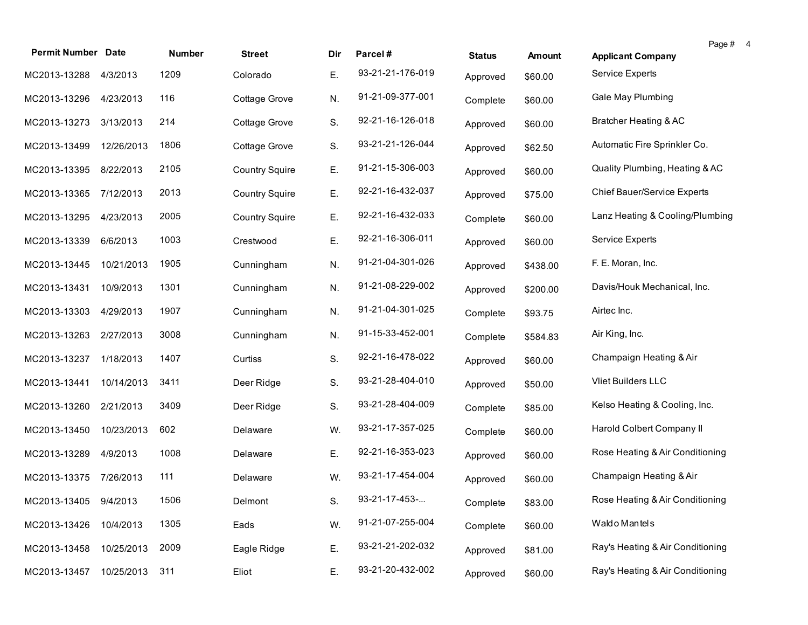| <b>Permit Number Date</b> |            | Number | <b>Street</b>         | Dir | Parcel#          | <b>Status</b> | <b>Amount</b> | Page # 4<br><b>Applicant Company</b> |  |
|---------------------------|------------|--------|-----------------------|-----|------------------|---------------|---------------|--------------------------------------|--|
|                           | 4/3/2013   | 1209   | Colorado              | Ε.  | 93-21-21-176-019 |               |               | Service Experts                      |  |
| MC2013-13288              |            |        |                       |     |                  | Approved      | \$60.00       |                                      |  |
| MC2013-13296              | 4/23/2013  | 116    | Cottage Grove         | N.  | 91-21-09-377-001 | Complete      | \$60.00       | Gale May Plumbing                    |  |
| MC2013-13273              | 3/13/2013  | 214    | Cottage Grove         | S.  | 92-21-16-126-018 | Approved      | \$60.00       | Bratcher Heating & AC                |  |
| MC2013-13499              | 12/26/2013 | 1806   | Cottage Grove         | S.  | 93-21-21-126-044 | Approved      | \$62.50       | Automatic Fire Sprinkler Co.         |  |
| MC2013-13395              | 8/22/2013  | 2105   | <b>Country Squire</b> | Ε.  | 91-21-15-306-003 | Approved      | \$60.00       | Quality Plumbing, Heating & AC       |  |
| MC2013-13365              | 7/12/2013  | 2013   | <b>Country Squire</b> | Ε.  | 92-21-16-432-037 | Approved      | \$75.00       | Chief Bauer/Service Experts          |  |
| MC2013-13295              | 4/23/2013  | 2005   | <b>Country Squire</b> | Ε.  | 92-21-16-432-033 | Complete      | \$60.00       | Lanz Heating & Cooling/Plumbing      |  |
| MC2013-13339              | 6/6/2013   | 1003   | Crestwood             | Ε.  | 92-21-16-306-011 | Approved      | \$60.00       | Service Experts                      |  |
| MC2013-13445              | 10/21/2013 | 1905   | Cunningham            | N.  | 91-21-04-301-026 | Approved      | \$438.00      | F. E. Moran, Inc.                    |  |
| MC2013-13431              | 10/9/2013  | 1301   | Cunningham            | N.  | 91-21-08-229-002 | Approved      | \$200.00      | Davis/Houk Mechanical, Inc.          |  |
| MC2013-13303              | 4/29/2013  | 1907   | Cunningham            | N.  | 91-21-04-301-025 | Complete      | \$93.75       | Airtec Inc.                          |  |
| MC2013-13263              | 2/27/2013  | 3008   | Cunningham            | N.  | 91-15-33-452-001 | Complete      | \$584.83      | Air King, Inc.                       |  |
| MC2013-13237              | 1/18/2013  | 1407   | Curtiss               | S.  | 92-21-16-478-022 | Approved      | \$60.00       | Champaign Heating & Air              |  |
| MC2013-13441              | 10/14/2013 | 3411   | Deer Ridge            | S.  | 93-21-28-404-010 | Approved      | \$50.00       | Vliet Builders LLC                   |  |
| MC2013-13260              | 2/21/2013  | 3409   | Deer Ridge            | S.  | 93-21-28-404-009 | Complete      | \$85.00       | Kelso Heating & Cooling, Inc.        |  |
| MC2013-13450              | 10/23/2013 | 602    | Delaware              | W.  | 93-21-17-357-025 | Complete      | \$60.00       | Harold Colbert Company II            |  |
| MC2013-13289              | 4/9/2013   | 1008   | Delaware              | Ε.  | 92-21-16-353-023 | Approved      | \$60.00       | Rose Heating & Air Conditioning      |  |
| MC2013-13375 7/26/2013    |            | 111    | Delaware              | W.  | 93-21-17-454-004 | Approved      | \$60.00       | Champaign Heating & Air              |  |
| MC2013-13405 9/4/2013     |            | 1506   | Delmont               | S.  | 93-21-17-453-    | Complete      | \$83.00       | Rose Heating & Air Conditioning      |  |
| MC2013-13426              | 10/4/2013  | 1305   | Eads                  | W.  | 91-21-07-255-004 | Complete      | \$60.00       | Waldo Mantels                        |  |
| MC2013-13458              | 10/25/2013 | 2009   | Eagle Ridge           | Ε.  | 93-21-21-202-032 | Approved      | \$81.00       | Ray's Heating & Air Conditioning     |  |
| MC2013-13457              | 10/25/2013 | 311    | Eliot                 | Е.  | 93-21-20-432-002 | Approved      | \$60.00       | Ray's Heating & Air Conditioning     |  |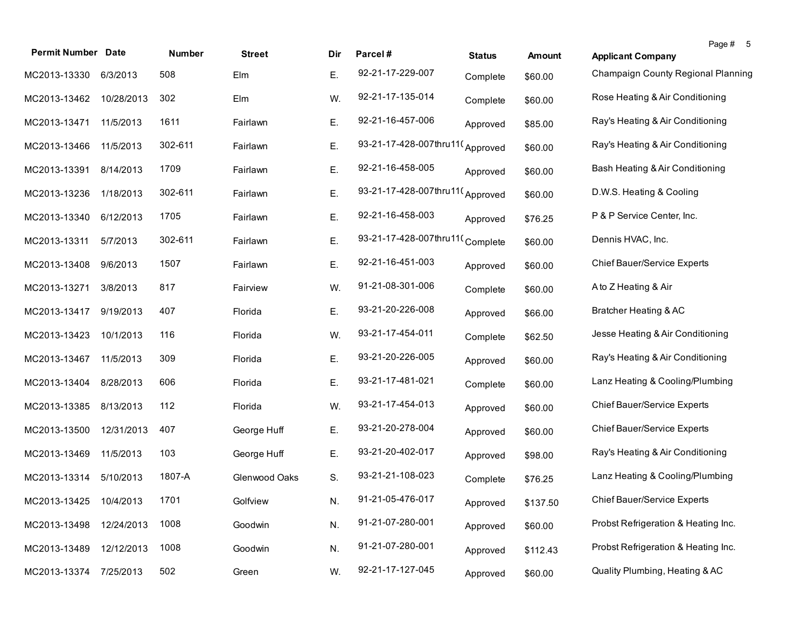| <b>Permit Number Date</b> |            | Number  | <b>Street</b> | Dir | Parcel#                         | <b>Status</b> | Amount   | Page # 5<br><b>Applicant Company</b> |
|---------------------------|------------|---------|---------------|-----|---------------------------------|---------------|----------|--------------------------------------|
| MC2013-13330              | 6/3/2013   | 508     | Elm           | Ε.  | 92-21-17-229-007                | Complete      | \$60.00  | Champaign County Regional Planning   |
| MC2013-13462              | 10/28/2013 | 302     | Elm           | W.  | 92-21-17-135-014                | Complete      | \$60.00  | Rose Heating & Air Conditioning      |
| MC2013-13471              | 11/5/2013  | 1611    | Fairlawn      | Ε.  | 92-21-16-457-006                | Approved      | \$85.00  | Ray's Heating & Air Conditioning     |
| MC2013-13466              | 11/5/2013  | 302-611 | Fairlawn      | Ε.  | 93-21-17-428-007thru11(Approved |               | \$60.00  | Ray's Heating & Air Conditioning     |
| MC2013-13391              | 8/14/2013  | 1709    | Fairlawn      | Ε.  | 92-21-16-458-005                | Approved      | \$60.00  | Bash Heating & Air Conditioning      |
| MC2013-13236              | 1/18/2013  | 302-611 | Fairlawn      | Ε.  | 93-21-17-428-007thru11(Approved |               | \$60.00  | D.W.S. Heating & Cooling             |
| MC2013-13340              | 6/12/2013  | 1705    | Fairlawn      | Ε.  | 92-21-16-458-003                | Approved      | \$76.25  | P & P Service Center, Inc.           |
| MC2013-13311              | 5/7/2013   | 302-611 | Fairlawn      | Ε.  | 93-21-17-428-007thru11(Complete |               | \$60.00  | Dennis HVAC, Inc.                    |
| MC2013-13408              | 9/6/2013   | 1507    | Fairlawn      | Ε.  | 92-21-16-451-003                | Approved      | \$60.00  | <b>Chief Bauer/Service Experts</b>   |
| MC2013-13271              | 3/8/2013   | 817     | Fairview      | W.  | 91-21-08-301-006                | Complete      | \$60.00  | A to Z Heating & Air                 |
| MC2013-13417              | 9/19/2013  | 407     | Florida       | Ε.  | 93-21-20-226-008                | Approved      | \$66.00  | Bratcher Heating & AC                |
| MC2013-13423              | 10/1/2013  | 116     | Florida       | W.  | 93-21-17-454-011                | Complete      | \$62.50  | Jesse Heating & Air Conditioning     |
| MC2013-13467              | 11/5/2013  | 309     | Florida       | Ε.  | 93-21-20-226-005                | Approved      | \$60.00  | Ray's Heating & Air Conditioning     |
| MC2013-13404              | 8/28/2013  | 606     | Florida       | Ε.  | 93-21-17-481-021                | Complete      | \$60.00  | Lanz Heating & Cooling/Plumbing      |
| MC2013-13385              | 8/13/2013  | 112     | Florida       | W.  | 93-21-17-454-013                | Approved      | \$60.00  | Chief Bauer/Service Experts          |
| MC2013-13500              | 12/31/2013 | 407     | George Huff   | Е.  | 93-21-20-278-004                | Approved      | \$60.00  | Chief Bauer/Service Experts          |
| MC2013-13469              | 11/5/2013  | 103     | George Huff   | Ε.  | 93-21-20-402-017                | Approved      | \$98.00  | Ray's Heating & Air Conditioning     |
| MC2013-13314              | 5/10/2013  | 1807-A  | Glenwood Oaks | S.  | 93-21-21-108-023                | Complete      | \$76.25  | Lanz Heating & Cooling/Plumbing      |
| MC2013-13425 10/4/2013    |            | 1701    | Golfview      | N.  | 91-21-05-476-017                | Approved      | \$137.50 | <b>Chief Bauer/Service Experts</b>   |
| MC2013-13498              | 12/24/2013 | 1008    | Goodwin       | N.  | 91-21-07-280-001                | Approved      | \$60.00  | Probst Refrigeration & Heating Inc.  |
| MC2013-13489              | 12/12/2013 | 1008    | Goodwin       | N.  | 91-21-07-280-001                | Approved      | \$112.43 | Probst Refrigeration & Heating Inc.  |
| MC2013-13374              | 7/25/2013  | 502     | Green         | W.  | 92-21-17-127-045                | Approved      | \$60.00  | Quality Plumbing, Heating & AC       |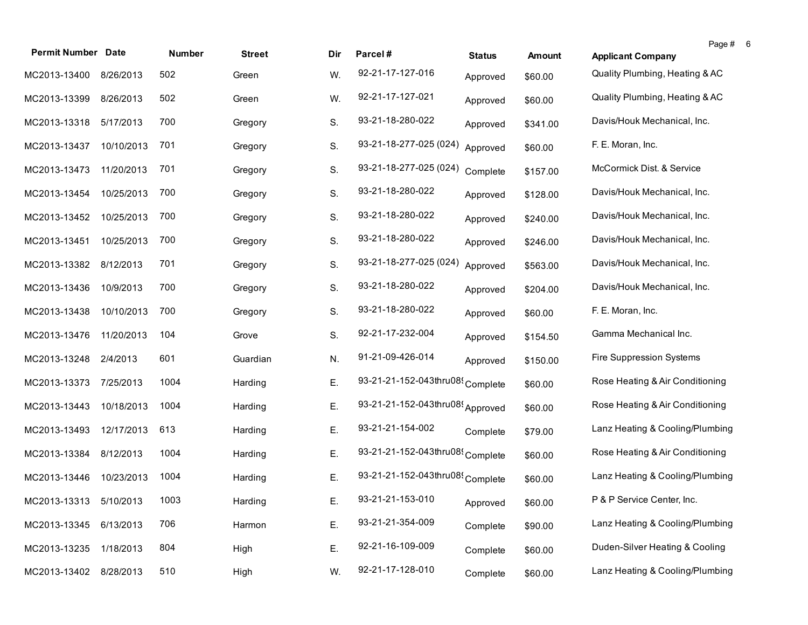| <b>Permit Number Date</b> |            | Number | <b>Street</b> | Dir. | Parcel#                                      | <b>Status</b> | Amount   | <b>Applicant Company</b>        | Page # | 6 |
|---------------------------|------------|--------|---------------|------|----------------------------------------------|---------------|----------|---------------------------------|--------|---|
| MC2013-13400              | 8/26/2013  | 502    | Green         | W.   | 92-21-17-127-016                             |               |          | Quality Plumbing, Heating & AC  |        |   |
|                           |            |        |               |      |                                              | Approved      | \$60.00  |                                 |        |   |
| MC2013-13399              | 8/26/2013  | 502    | Green         | W.   | 92-21-17-127-021                             | Approved      | \$60.00  | Quality Plumbing, Heating & AC  |        |   |
| MC2013-13318              | 5/17/2013  | 700    | Gregory       | S.   | 93-21-18-280-022                             | Approved      | \$341.00 | Davis/Houk Mechanical, Inc.     |        |   |
| MC2013-13437              | 10/10/2013 | 701    | Gregory       | S.   | 93-21-18-277-025 (024)                       | Approved      | \$60.00  | F. E. Moran, Inc.               |        |   |
| MC2013-13473              | 11/20/2013 | 701    | Gregory       | S.   | 93-21-18-277-025 (024)                       | Complete      | \$157.00 | McCormick Dist. & Service       |        |   |
| MC2013-13454              | 10/25/2013 | 700    | Gregory       | S.   | 93-21-18-280-022                             | Approved      | \$128.00 | Davis/Houk Mechanical, Inc.     |        |   |
| MC2013-13452              | 10/25/2013 | 700    | Gregory       | S.   | 93-21-18-280-022                             | Approved      | \$240.00 | Davis/Houk Mechanical, Inc.     |        |   |
| MC2013-13451              | 10/25/2013 | 700    | Gregory       | S.   | 93-21-18-280-022                             | Approved      | \$246.00 | Davis/Houk Mechanical, Inc.     |        |   |
| MC2013-13382              | 8/12/2013  | 701    | Gregory       | S.   | 93-21-18-277-025 (024)                       | Approved      | \$563.00 | Davis/Houk Mechanical, Inc.     |        |   |
| MC2013-13436              | 10/9/2013  | 700    | Gregory       | S.   | 93-21-18-280-022                             | Approved      | \$204.00 | Davis/Houk Mechanical, Inc.     |        |   |
| MC2013-13438              | 10/10/2013 | 700    | Gregory       | S.   | 93-21-18-280-022                             | Approved      | \$60.00  | F. E. Moran, Inc.               |        |   |
| MC2013-13476              | 11/20/2013 | 104    | Grove         | S.   | 92-21-17-232-004                             | Approved      | \$154.50 | Gamma Mechanical Inc.           |        |   |
| MC2013-13248              | 2/4/2013   | 601    | Guardian      | N.   | 91-21-09-426-014                             | Approved      | \$150.00 | Fire Suppression Systems        |        |   |
| MC2013-13373              | 7/25/2013  | 1004   | Harding       | Е.   | 93-21-21-152-043thru08 <sup>{</sup> Complete |               | \$60.00  | Rose Heating & Air Conditioning |        |   |
| MC2013-13443              | 10/18/2013 | 1004   | Harding       | Ε.   | 93-21-21-152-043thru08(Approved              |               | \$60.00  | Rose Heating & Air Conditioning |        |   |
| MC2013-13493              | 12/17/2013 | 613    | Harding       | Е.   | 93-21-21-154-002                             | Complete      | \$79.00  | Lanz Heating & Cooling/Plumbing |        |   |
| MC2013-13384              | 8/12/2013  | 1004   | Harding       | Ε.   | 93-21-21-152-043thru08(Complete              |               | \$60.00  | Rose Heating & Air Conditioning |        |   |
| MC2013-13446              | 10/23/2013 | 1004   | Harding       | Е.   | 93-21-21-152-043thru08 <sup>{</sup> Complete |               | \$60.00  | Lanz Heating & Cooling/Plumbing |        |   |
| MC2013-13313 5/10/2013    |            | 1003   | Harding       | E.   | 93-21-21-153-010                             | Approved      | \$60.00  | P & P Service Center, Inc.      |        |   |
| MC2013-13345              | 6/13/2013  | 706    | Harmon        | Ε.   | 93-21-21-354-009                             | Complete      | \$90.00  | Lanz Heating & Cooling/Plumbing |        |   |
| MC2013-13235              | 1/18/2013  | 804    | High          | Ε.   | 92-21-16-109-009                             | Complete      | \$60.00  | Duden-Silver Heating & Cooling  |        |   |
| MC2013-13402              | 8/28/2013  | 510    | High          | W.   | 92-21-17-128-010                             | Complete      | \$60.00  | Lanz Heating & Cooling/Plumbing |        |   |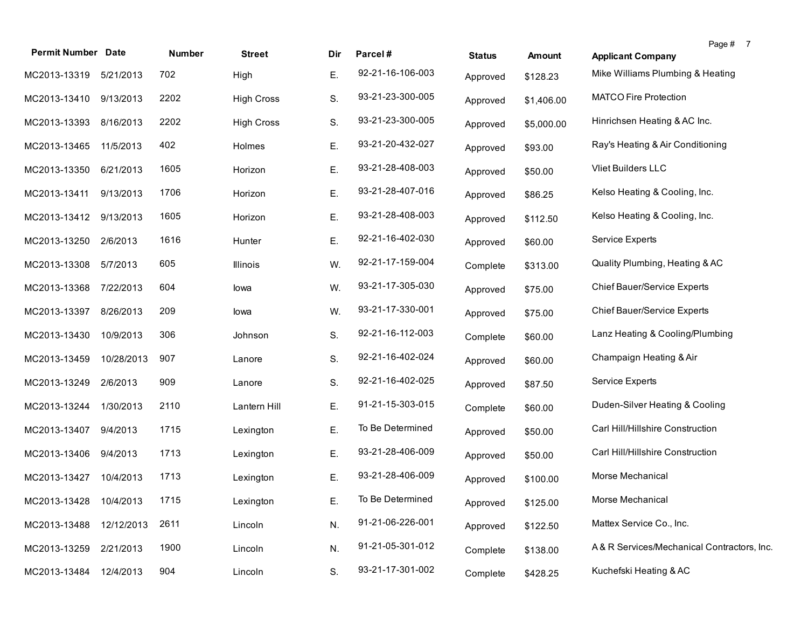| <b>Permit Number Date</b> |            | Number | <b>Street</b>     | Dir | Parcel#          | <b>Status</b> | Amount     | Page # 7<br><b>Applicant Company</b>       |
|---------------------------|------------|--------|-------------------|-----|------------------|---------------|------------|--------------------------------------------|
| MC2013-13319 5/21/2013    |            | 702    | High              | Е.  | 92-21-16-106-003 | Approved      | \$128.23   | Mike Williams Plumbing & Heating           |
| MC2013-13410 9/13/2013    |            | 2202   | <b>High Cross</b> | S.  | 93-21-23-300-005 | Approved      | \$1,406.00 | <b>MATCO Fire Protection</b>               |
| MC2013-13393              | 8/16/2013  | 2202   | <b>High Cross</b> | S.  | 93-21-23-300-005 | Approved      | \$5,000.00 | Hinrichsen Heating & AC Inc.               |
| MC2013-13465              | 11/5/2013  | 402    | Holmes            | Ε.  | 93-21-20-432-027 | Approved      | \$93.00    | Ray's Heating & Air Conditioning           |
| MC2013-13350              | 6/21/2013  | 1605   | Horizon           | Ε.  | 93-21-28-408-003 | Approved      | \$50.00    | Vliet Builders LLC                         |
| MC2013-13411              | 9/13/2013  | 1706   | Horizon           | Ε.  | 93-21-28-407-016 | Approved      | \$86.25    | Kelso Heating & Cooling, Inc.              |
| MC2013-13412              | 9/13/2013  | 1605   | Horizon           | Ε.  | 93-21-28-408-003 | Approved      | \$112.50   | Kelso Heating & Cooling, Inc.              |
| MC2013-13250              | 2/6/2013   | 1616   | Hunter            | Ε.  | 92-21-16-402-030 | Approved      | \$60.00    | Service Experts                            |
| MC2013-13308              | 5/7/2013   | 605    | Illinois          | W.  | 92-21-17-159-004 | Complete      | \$313.00   | Quality Plumbing, Heating & AC             |
| MC2013-13368              | 7/22/2013  | 604    | lowa              | W.  | 93-21-17-305-030 | Approved      | \$75.00    | Chief Bauer/Service Experts                |
| MC2013-13397              | 8/26/2013  | 209    | lowa              | W.  | 93-21-17-330-001 | Approved      | \$75.00    | Chief Bauer/Service Experts                |
| MC2013-13430              | 10/9/2013  | 306    | Johnson           | S.  | 92-21-16-112-003 | Complete      | \$60.00    | Lanz Heating & Cooling/Plumbing            |
| MC2013-13459              | 10/28/2013 | 907    | Lanore            | S.  | 92-21-16-402-024 | Approved      | \$60.00    | Champaign Heating & Air                    |
| MC2013-13249              | 2/6/2013   | 909    | Lanore            | S.  | 92-21-16-402-025 | Approved      | \$87.50    | Service Experts                            |
| MC2013-13244              | 1/30/2013  | 2110   | Lantern Hill      | Е.  | 91-21-15-303-015 | Complete      | \$60.00    | Duden-Silver Heating & Cooling             |
| MC2013-13407              | 9/4/2013   | 1715   | Lexington         | Ε.  | To Be Determined | Approved      | \$50.00    | Carl Hill/Hillshire Construction           |
| MC2013-13406              | 9/4/2013   | 1713   | Lexington         | Ε.  | 93-21-28-406-009 | Approved      | \$50.00    | Carl Hill/Hillshire Construction           |
| MC2013-13427              | 10/4/2013  | 1713   | Lexington         | Е.  | 93-21-28-406-009 | Approved      | \$100.00   | Morse Mechanical                           |
| MC2013-13428 10/4/2013    |            | 1715   | Lexington         | Е.  | To Be Determined | Approved      | \$125.00   | Morse Mechanical                           |
| MC2013-13488              | 12/12/2013 | 2611   | Lincoln           | N.  | 91-21-06-226-001 | Approved      | \$122.50   | Mattex Service Co., Inc.                   |
| MC2013-13259              | 2/21/2013  | 1900   | Lincoln           | N.  | 91-21-05-301-012 | Complete      | \$138.00   | A& R Services/Mechanical Contractors, Inc. |
| MC2013-13484              | 12/4/2013  | 904    | Lincoln           | S.  | 93-21-17-301-002 | Complete      | \$428.25   | Kuchefski Heating & AC                     |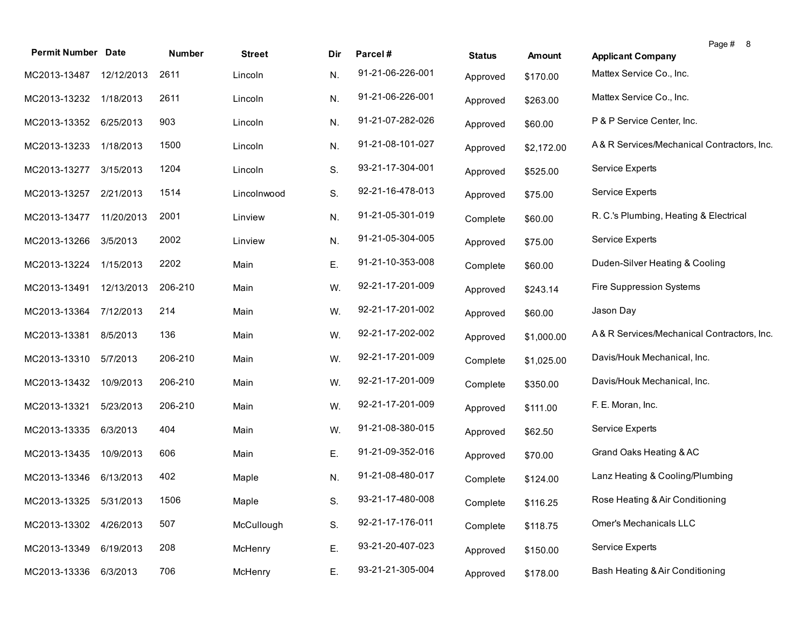| <b>Permit Number Date</b> |            | Number  | <b>Street</b> | Dir | Parcel#          | <b>Status</b> | <b>Amount</b> | Page # 8<br><b>Applicant Company</b>       |
|---------------------------|------------|---------|---------------|-----|------------------|---------------|---------------|--------------------------------------------|
| MC2013-13487              | 12/12/2013 | 2611    | Lincoln       | N.  | 91-21-06-226-001 | Approved      | \$170.00      | Mattex Service Co., Inc.                   |
| MC2013-13232              | 1/18/2013  | 2611    | Lincoln       | N.  | 91-21-06-226-001 | Approved      | \$263.00      | Mattex Service Co., Inc.                   |
| MC2013-13352              | 6/25/2013  | 903     | Lincoln       | N.  | 91-21-07-282-026 | Approved      | \$60.00       | P & P Service Center, Inc.                 |
| MC2013-13233              | 1/18/2013  | 1500    | Lincoln       | N.  | 91-21-08-101-027 | Approved      | \$2,172.00    | A& R Services/Mechanical Contractors, Inc. |
| MC2013-13277              | 3/15/2013  | 1204    | Lincoln       | S.  | 93-21-17-304-001 | Approved      | \$525.00      | Service Experts                            |
| MC2013-13257              | 2/21/2013  | 1514    | Lincolnwood   | S.  | 92-21-16-478-013 | Approved      | \$75.00       | Service Experts                            |
| MC2013-13477              | 11/20/2013 | 2001    | Linview       | N.  | 91-21-05-301-019 | Complete      | \$60.00       | R. C.'s Plumbing, Heating & Electrical     |
| MC2013-13266              | 3/5/2013   | 2002    | Linview       | N.  | 91-21-05-304-005 | Approved      | \$75.00       | Service Experts                            |
| MC2013-13224              | 1/15/2013  | 2202    | Main          | Ε.  | 91-21-10-353-008 | Complete      | \$60.00       | Duden-Silver Heating & Cooling             |
| MC2013-13491              | 12/13/2013 | 206-210 | Main          | W.  | 92-21-17-201-009 | Approved      | \$243.14      | Fire Suppression Systems                   |
| MC2013-13364              | 7/12/2013  | 214     | Main          | W.  | 92-21-17-201-002 | Approved      | \$60.00       | Jason Day                                  |
| MC2013-13381              | 8/5/2013   | 136     | Main          | W.  | 92-21-17-202-002 | Approved      | \$1,000.00    | A& R Services/Mechanical Contractors, Inc. |
| MC2013-13310              | 5/7/2013   | 206-210 | Main          | W.  | 92-21-17-201-009 | Complete      | \$1,025.00    | Davis/Houk Mechanical, Inc.                |
| MC2013-13432              | 10/9/2013  | 206-210 | Main          | W.  | 92-21-17-201-009 | Complete      | \$350.00      | Davis/Houk Mechanical, Inc.                |
| MC2013-13321              | 5/23/2013  | 206-210 | Main          | W.  | 92-21-17-201-009 | Approved      | \$111.00      | F. E. Moran, Inc.                          |
| MC2013-13335              | 6/3/2013   | 404     | Main          | W.  | 91-21-08-380-015 | Approved      | \$62.50       | Service Experts                            |
| MC2013-13435              | 10/9/2013  | 606     | Main          | Ε.  | 91-21-09-352-016 | Approved      | \$70.00       | Grand Oaks Heating & AC                    |
| MC2013-13346              | 6/13/2013  | 402     | Maple         | N.  | 91-21-08-480-017 | Complete      | \$124.00      | Lanz Heating & Cooling/Plumbing            |
| MC2013-13325              | 5/31/2013  | 1506    | Maple         | S.  | 93-21-17-480-008 | Complete      | \$116.25      | Rose Heating & Air Conditioning            |
| MC2013-13302              | 4/26/2013  | 507     | McCullough    | S.  | 92-21-17-176-011 | Complete      | \$118.75      | Omer's Mechanicals LLC                     |
| MC2013-13349              | 6/19/2013  | 208     | McHenry       | Ε.  | 93-21-20-407-023 | Approved      | \$150.00      | Service Experts                            |
| MC2013-13336              | 6/3/2013   | 706     | McHenry       | Ε.  | 93-21-21-305-004 | Approved      | \$178.00      | Bash Heating & Air Conditioning            |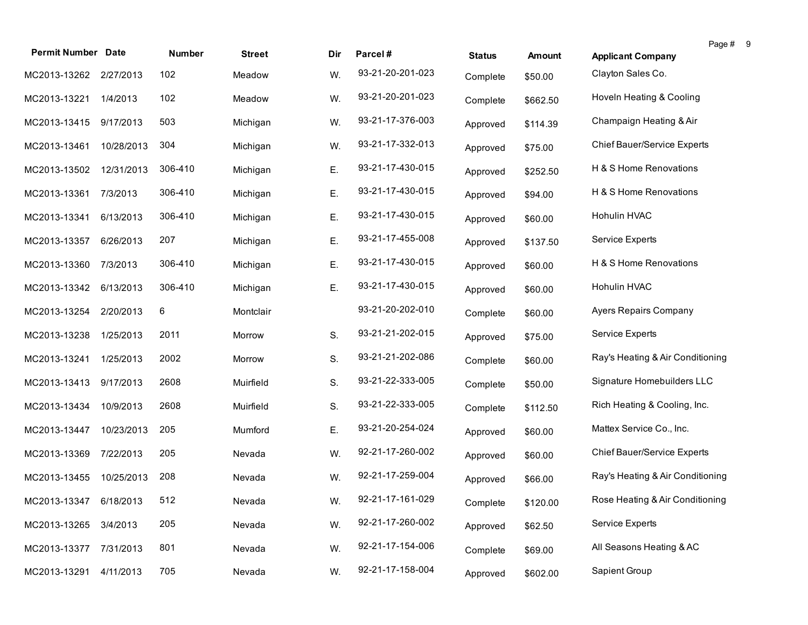| <b>Permit Number Date</b> |            | <b>Number</b> |               |     | Parcel#          |               |               |                                    | Page # 9 |  |
|---------------------------|------------|---------------|---------------|-----|------------------|---------------|---------------|------------------------------------|----------|--|
|                           |            |               | <b>Street</b> | Dir |                  | <b>Status</b> | <b>Amount</b> | <b>Applicant Company</b>           |          |  |
| MC2013-13262 2/27/2013    |            | 102           | Meadow        | W.  | 93-21-20-201-023 | Complete      | \$50.00       | Clayton Sales Co.                  |          |  |
| MC2013-13221              | 1/4/2013   | 102           | Meadow        | W.  | 93-21-20-201-023 | Complete      | \$662.50      | Hoveln Heating & Cooling           |          |  |
| MC2013-13415              | 9/17/2013  | 503           | Michigan      | W.  | 93-21-17-376-003 | Approved      | \$114.39      | Champaign Heating & Air            |          |  |
| MC2013-13461              | 10/28/2013 | 304           | Michigan      | W.  | 93-21-17-332-013 | Approved      | \$75.00       | Chief Bauer/Service Experts        |          |  |
| MC2013-13502              | 12/31/2013 | 306-410       | Michigan      | Ε.  | 93-21-17-430-015 | Approved      | \$252.50      | H & S Home Renovations             |          |  |
| MC2013-13361              | 7/3/2013   | 306-410       | Michigan      | Ε.  | 93-21-17-430-015 | Approved      | \$94.00       | H & S Home Renovations             |          |  |
| MC2013-13341              | 6/13/2013  | 306-410       | Michigan      | Ε.  | 93-21-17-430-015 | Approved      | \$60.00       | Hohulin HVAC                       |          |  |
| MC2013-13357              | 6/26/2013  | 207           | Michigan      | Ε.  | 93-21-17-455-008 | Approved      | \$137.50      | Service Experts                    |          |  |
| MC2013-13360              | 7/3/2013   | 306-410       | Michigan      | Ε.  | 93-21-17-430-015 | Approved      | \$60.00       | H & S Home Renovations             |          |  |
| MC2013-13342              | 6/13/2013  | 306-410       | Michigan      | Ε.  | 93-21-17-430-015 | Approved      | \$60.00       | Hohulin HVAC                       |          |  |
| MC2013-13254              | 2/20/2013  | 6             | Montclair     |     | 93-21-20-202-010 | Complete      | \$60.00       | Ayers Repairs Company              |          |  |
| MC2013-13238              | 1/25/2013  | 2011          | Morrow        | S.  | 93-21-21-202-015 | Approved      | \$75.00       | Service Experts                    |          |  |
| MC2013-13241              | 1/25/2013  | 2002          | Morrow        | S.  | 93-21-21-202-086 | Complete      | \$60.00       | Ray's Heating & Air Conditioning   |          |  |
| MC2013-13413              | 9/17/2013  | 2608          | Muirfield     | S.  | 93-21-22-333-005 | Complete      | \$50.00       | Signature Homebuilders LLC         |          |  |
| MC2013-13434              | 10/9/2013  | 2608          | Muirfield     | S.  | 93-21-22-333-005 | Complete      | \$112.50      | Rich Heating & Cooling, Inc.       |          |  |
| MC2013-13447              | 10/23/2013 | 205           | Mumford       | Ε.  | 93-21-20-254-024 | Approved      | \$60.00       | Mattex Service Co., Inc.           |          |  |
| MC2013-13369              | 7/22/2013  | 205           | Nevada        | W.  | 92-21-17-260-002 | Approved      | \$60.00       | <b>Chief Bauer/Service Experts</b> |          |  |
| MC2013-13455              | 10/25/2013 | 208           | Nevada        | W.  | 92-21-17-259-004 | Approved      | \$66.00       | Ray's Heating & Air Conditioning   |          |  |
| MC2013-13347 6/18/2013    |            | 512           | Nevada        | W.  | 92-21-17-161-029 | Complete      | \$120.00      | Rose Heating & Air Conditioning    |          |  |
| MC2013-13265              | 3/4/2013   | 205           | Nevada        | W.  | 92-21-17-260-002 | Approved      | \$62.50       | Service Experts                    |          |  |
| MC2013-13377              | 7/31/2013  | 801           | Nevada        | W.  | 92-21-17-154-006 | Complete      | \$69.00       | All Seasons Heating & AC           |          |  |
| MC2013-13291              | 4/11/2013  | 705           | Nevada        | W.  | 92-21-17-158-004 | Approved      | \$602.00      | Sapient Group                      |          |  |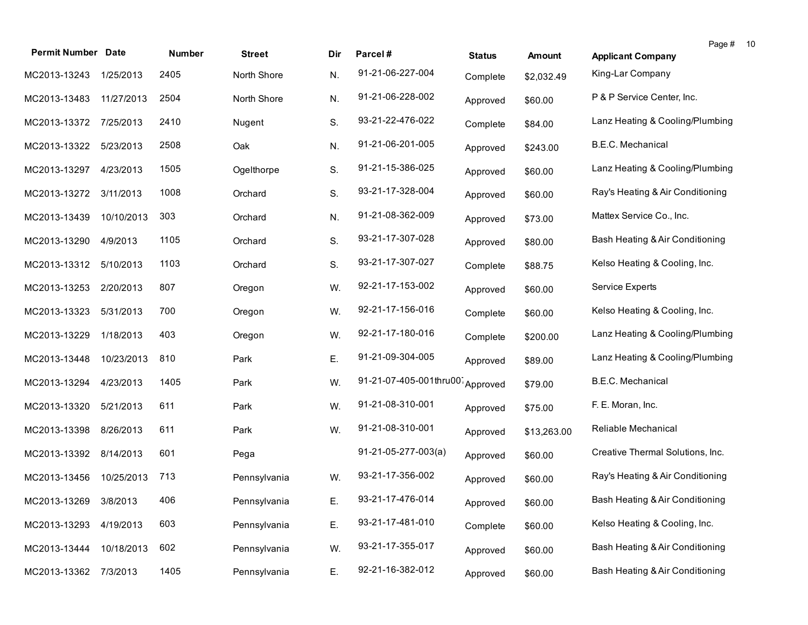| <b>Permit Number Date</b> |            | Number | <b>Street</b> | Dir | Parcel#                         | <b>Status</b> | <b>Amount</b> | Page #<br><b>Applicant Company</b> | -10 |
|---------------------------|------------|--------|---------------|-----|---------------------------------|---------------|---------------|------------------------------------|-----|
| MC2013-13243              | 1/25/2013  | 2405   | North Shore   | N.  | 91-21-06-227-004                | Complete      | \$2,032.49    | King-Lar Company                   |     |
| MC2013-13483              | 11/27/2013 | 2504   | North Shore   | N.  | 91-21-06-228-002                | Approved      | \$60.00       | P & P Service Center, Inc.         |     |
| MC2013-13372              | 7/25/2013  | 2410   | Nugent        | S.  | 93-21-22-476-022                | Complete      | \$84.00       | Lanz Heating & Cooling/Plumbing    |     |
| MC2013-13322              | 5/23/2013  | 2508   | Oak           | N.  | 91-21-06-201-005                | Approved      | \$243.00      | B.E.C. Mechanical                  |     |
| MC2013-13297              | 4/23/2013  | 1505   | Ogelthorpe    | S.  | 91-21-15-386-025                | Approved      | \$60.00       | Lanz Heating & Cooling/Plumbing    |     |
| MC2013-13272              | 3/11/2013  | 1008   | Orchard       | S.  | 93-21-17-328-004                | Approved      | \$60.00       | Ray's Heating & Air Conditioning   |     |
| MC2013-13439              | 10/10/2013 | 303    | Orchard       | N.  | 91-21-08-362-009                | Approved      | \$73.00       | Mattex Service Co., Inc.           |     |
| MC2013-13290              | 4/9/2013   | 1105   | Orchard       | S.  | 93-21-17-307-028                | Approved      | \$80.00       | Bash Heating & Air Conditioning    |     |
| MC2013-13312              | 5/10/2013  | 1103   | Orchard       | S.  | 93-21-17-307-027                | Complete      | \$88.75       | Kelso Heating & Cooling, Inc.      |     |
| MC2013-13253              | 2/20/2013  | 807    | Oregon        | W.  | 92-21-17-153-002                | Approved      | \$60.00       | Service Experts                    |     |
| MC2013-13323              | 5/31/2013  | 700    | Oregon        | W.  | 92-21-17-156-016                | Complete      | \$60.00       | Kelso Heating & Cooling, Inc.      |     |
| MC2013-13229              | 1/18/2013  | 403    | Oregon        | W.  | 92-21-17-180-016                | Complete      | \$200.00      | Lanz Heating & Cooling/Plumbing    |     |
| MC2013-13448              | 10/23/2013 | 810    | Park          | Ε.  | 91-21-09-304-005                | Approved      | \$89.00       | Lanz Heating & Cooling/Plumbing    |     |
| MC2013-13294              | 4/23/2013  | 1405   | Park          | W.  | 91-21-07-405-001thru00 Approved |               | \$79.00       | B.E.C. Mechanical                  |     |
| MC2013-13320              | 5/21/2013  | 611    | Park          | W.  | 91-21-08-310-001                | Approved      | \$75.00       | F. E. Moran, Inc.                  |     |
| MC2013-13398              | 8/26/2013  | 611    | Park          | W.  | 91-21-08-310-001                | Approved      | \$13,263.00   | Reliable Mechanical                |     |
| MC2013-13392              | 8/14/2013  | 601    | Pega          |     | $91-21-05-277-003(a)$           | Approved      | \$60.00       | Creative Thermal Solutions, Inc.   |     |
| MC2013-13456              | 10/25/2013 | 713    | Pennsylvania  | W.  | 93-21-17-356-002                | Approved      | \$60.00       | Ray's Heating & Air Conditioning   |     |
| MC2013-13269 3/8/2013     |            | 406    | Pennsylvania  | Ε.  | 93-21-17-476-014                | Approved      | \$60.00       | Bash Heating & Air Conditioning    |     |
| MC2013-13293              | 4/19/2013  | 603    | Pennsylvania  | Ε.  | 93-21-17-481-010                | Complete      | \$60.00       | Kelso Heating & Cooling, Inc.      |     |
| MC2013-13444              | 10/18/2013 | 602    | Pennsylvania  | W.  | 93-21-17-355-017                | Approved      | \$60.00       | Bash Heating & Air Conditioning    |     |
| MC2013-13362              | 7/3/2013   | 1405   | Pennsylvania  | Ε.  | 92-21-16-382-012                | Approved      | \$60.00       | Bash Heating & Air Conditioning    |     |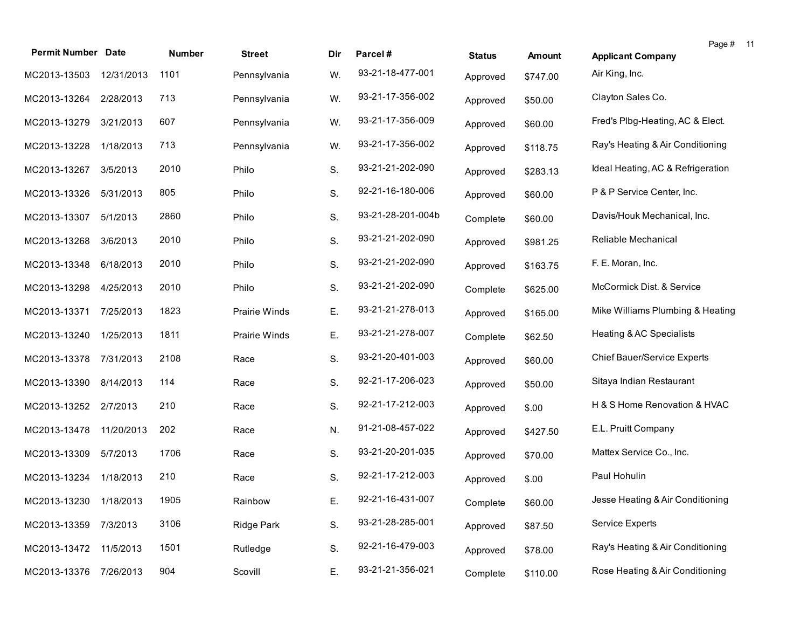| <b>Permit Number Date</b> |            | Number | <b>Street</b> | Dir | Parcel#           | <b>Status</b> | Amount   | Page # 11<br><b>Applicant Company</b> |  |
|---------------------------|------------|--------|---------------|-----|-------------------|---------------|----------|---------------------------------------|--|
| MC2013-13503              | 12/31/2013 | 1101   | Pennsylvania  | W.  | 93-21-18-477-001  | Approved      | \$747.00 | Air King, Inc.                        |  |
| MC2013-13264              | 2/28/2013  | 713    | Pennsylvania  | W.  | 93-21-17-356-002  | Approved      | \$50.00  | Clayton Sales Co.                     |  |
| MC2013-13279              | 3/21/2013  | 607    | Pennsylvania  | W.  | 93-21-17-356-009  | Approved      | \$60.00  | Fred's Plbg-Heating, AC & Elect.      |  |
| MC2013-13228              | 1/18/2013  | 713    | Pennsylvania  | W.  | 93-21-17-356-002  | Approved      | \$118.75 | Ray's Heating & Air Conditioning      |  |
| MC2013-13267              | 3/5/2013   | 2010   | Philo         | S.  | 93-21-21-202-090  | Approved      | \$283.13 | Ideal Heating, AC & Refrigeration     |  |
| MC2013-13326              | 5/31/2013  | 805    | Philo         | S.  | 92-21-16-180-006  | Approved      | \$60.00  | P & P Service Center, Inc.            |  |
| MC2013-13307              | 5/1/2013   | 2860   | Philo         | S.  | 93-21-28-201-004b | Complete      | \$60.00  | Davis/Houk Mechanical, Inc.           |  |
| MC2013-13268              | 3/6/2013   | 2010   | Philo         | S.  | 93-21-21-202-090  | Approved      | \$981.25 | Reliable Mechanical                   |  |
| MC2013-13348              | 6/18/2013  | 2010   | Philo         | S.  | 93-21-21-202-090  | Approved      | \$163.75 | F. E. Moran, Inc.                     |  |
| MC2013-13298              | 4/25/2013  | 2010   | Philo         | S.  | 93-21-21-202-090  | Complete      | \$625.00 | McCormick Dist. & Service             |  |
| MC2013-13371              | 7/25/2013  | 1823   | Prairie Winds | Ε.  | 93-21-21-278-013  | Approved      | \$165.00 | Mike Williams Plumbing & Heating      |  |
| MC2013-13240              | 1/25/2013  | 1811   | Prairie Winds | Ε.  | 93-21-21-278-007  | Complete      | \$62.50  | Heating & AC Specialists              |  |
| MC2013-13378              | 7/31/2013  | 2108   | Race          | S.  | 93-21-20-401-003  | Approved      | \$60.00  | Chief Bauer/Service Experts           |  |
| MC2013-13390              | 8/14/2013  | 114    | Race          | S.  | 92-21-17-206-023  | Approved      | \$50.00  | Sitaya Indian Restaurant              |  |
| MC2013-13252              | 2/7/2013   | 210    | Race          | S.  | 92-21-17-212-003  | Approved      | \$.00    | H & S Home Renovation & HVAC          |  |
| MC2013-13478              | 11/20/2013 | 202    | Race          | N.  | 91-21-08-457-022  | Approved      | \$427.50 | E.L. Pruitt Company                   |  |
| MC2013-13309              | 5/7/2013   | 1706   | Race          | S.  | 93-21-20-201-035  | Approved      | \$70.00  | Mattex Service Co., Inc.              |  |
| MC2013-13234              | 1/18/2013  | 210    | Race          | S.  | 92-21-17-212-003  | Approved      | \$.00    | Paul Hohulin                          |  |
| MC2013-13230 1/18/2013    |            | 1905   | Rainbow       | Ε.  | 92-21-16-431-007  | Complete      | \$60.00  | Jesse Heating & Air Conditioning      |  |
| MC2013-13359              | 7/3/2013   | 3106   | Ridge Park    | S.  | 93-21-28-285-001  | Approved      | \$87.50  | Service Experts                       |  |
| MC2013-13472              | 11/5/2013  | 1501   | Rutledge      | S.  | 92-21-16-479-003  | Approved      | \$78.00  | Ray's Heating & Air Conditioning      |  |
| MC2013-13376              | 7/26/2013  | 904    | Scovill       | Ε.  | 93-21-21-356-021  | Complete      | \$110.00 | Rose Heating & Air Conditioning       |  |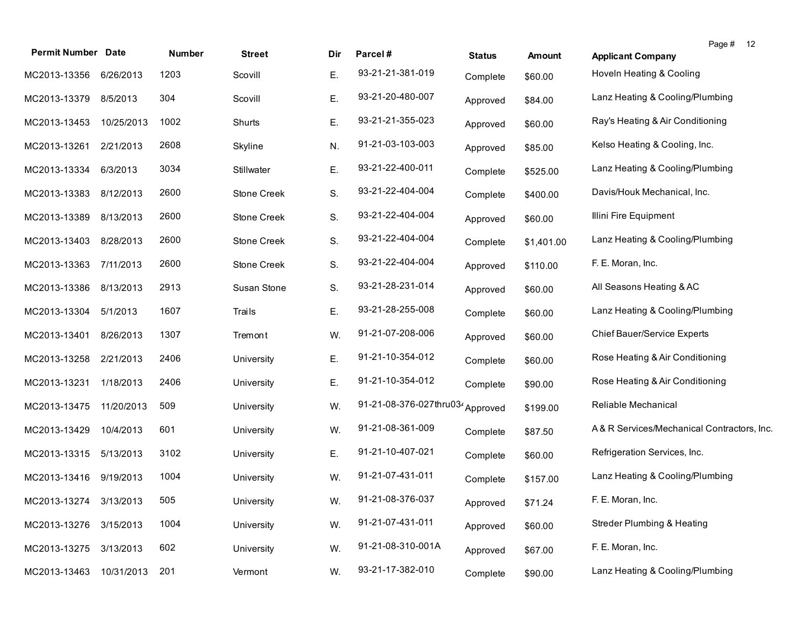| <b>Permit Number Date</b> |            | Number | <b>Street</b>      | Dir | Parcel#                 | <b>Status</b> | Amount     | Page # 12<br><b>Applicant Company</b>      |
|---------------------------|------------|--------|--------------------|-----|-------------------------|---------------|------------|--------------------------------------------|
| MC2013-13356              | 6/26/2013  | 1203   | Scovill            | Ε.  | 93-21-21-381-019        | Complete      | \$60.00    | Hoveln Heating & Cooling                   |
| MC2013-13379              | 8/5/2013   | 304    | Scovill            | Ε.  | 93-21-20-480-007        | Approved      | \$84.00    | Lanz Heating & Cooling/Plumbing            |
| MC2013-13453              | 10/25/2013 | 1002   | Shurts             | Ε.  | 93-21-21-355-023        | Approved      | \$60.00    | Ray's Heating & Air Conditioning           |
| MC2013-13261              | 2/21/2013  | 2608   | Skyline            | N.  | 91-21-03-103-003        | Approved      | \$85.00    | Kelso Heating & Cooling, Inc.              |
| MC2013-13334              | 6/3/2013   | 3034   | Stillwater         | Ε.  | 93-21-22-400-011        | Complete      | \$525.00   | Lanz Heating & Cooling/Plumbing            |
| MC2013-13383              | 8/12/2013  | 2600   | <b>Stone Creek</b> | S.  | 93-21-22-404-004        | Complete      | \$400.00   | Davis/Houk Mechanical, Inc.                |
| MC2013-13389              | 8/13/2013  | 2600   | Stone Creek        | S.  | 93-21-22-404-004        | Approved      | \$60.00    | Illini Fire Equipment                      |
| MC2013-13403              | 8/28/2013  | 2600   | <b>Stone Creek</b> | S.  | 93-21-22-404-004        | Complete      | \$1,401.00 | Lanz Heating & Cooling/Plumbing            |
| MC2013-13363              | 7/11/2013  | 2600   | Stone Creek        | S.  | 93-21-22-404-004        | Approved      | \$110.00   | F. E. Moran, Inc.                          |
| MC2013-13386              | 8/13/2013  | 2913   | Susan Stone        | S.  | 93-21-28-231-014        | Approved      | \$60.00    | All Seasons Heating & AC                   |
| MC2013-13304              | 5/1/2013   | 1607   | Trails             | Ε.  | 93-21-28-255-008        | Complete      | \$60.00    | Lanz Heating & Cooling/Plumbing            |
| MC2013-13401              | 8/26/2013  | 1307   | Tremont            | W.  | 91-21-07-208-006        | Approved      | \$60.00    | Chief Bauer/Service Experts                |
| MC2013-13258              | 2/21/2013  | 2406   | University         | Ε.  | 91-21-10-354-012        | Complete      | \$60.00    | Rose Heating & Air Conditioning            |
| MC2013-13231              | 1/18/2013  | 2406   | University         | Ε.  | 91-21-10-354-012        | Complete      | \$90.00    | Rose Heating & Air Conditioning            |
| MC2013-13475              | 11/20/2013 | 509    | University         | W.  | 91-21-08-376-027thru034 | Approved      | \$199.00   | Reliable Mechanical                        |
| MC2013-13429              | 10/4/2013  | 601    | University         | W.  | 91-21-08-361-009        | Complete      | \$87.50    | A& R Services/Mechanical Contractors, Inc. |
| MC2013-13315              | 5/13/2013  | 3102   | University         | Ε.  | 91-21-10-407-021        | Complete      | \$60.00    | Refrigeration Services, Inc.               |
| MC2013-13416              | 9/19/2013  | 1004   | University         | W.  | 91-21-07-431-011        | Complete      | \$157.00   | Lanz Heating & Cooling/Plumbing            |
| MC2013-13274 3/13/2013    |            | 505    | University         | W.  | 91-21-08-376-037        | Approved      | \$71.24    | F. E. Moran, Inc.                          |
| MC2013-13276              | 3/15/2013  | 1004   | University         | W.  | 91-21-07-431-011        | Approved      | \$60.00    | <b>Streder Plumbing &amp; Heating</b>      |
| MC2013-13275              | 3/13/2013  | 602    | University         | W.  | 91-21-08-310-001A       | Approved      | \$67.00    | F. E. Moran, Inc.                          |
| MC2013-13463              | 10/31/2013 | 201    | Vermont            | W.  | 93-21-17-382-010        | Complete      | \$90.00    | Lanz Heating & Cooling/Plumbing            |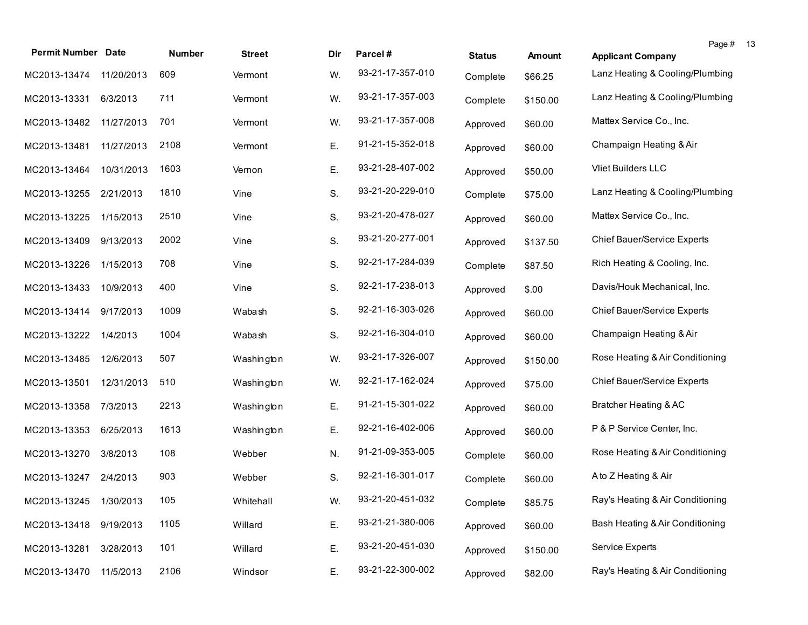| <b>Permit Number Date</b> |            | Number | <b>Street</b> | Dir | Parcel#          | <b>Status</b> | Amount   | Page #<br><b>Applicant Company</b> | -13 |
|---------------------------|------------|--------|---------------|-----|------------------|---------------|----------|------------------------------------|-----|
| MC2013-13474              | 11/20/2013 | 609    | Vermont       | W.  | 93-21-17-357-010 | Complete      | \$66.25  | Lanz Heating & Cooling/Plumbing    |     |
| MC2013-13331              | 6/3/2013   | 711    | Vermont       | W.  | 93-21-17-357-003 | Complete      | \$150.00 | Lanz Heating & Cooling/Plumbing    |     |
| MC2013-13482              | 11/27/2013 | 701    | Vermont       | W.  | 93-21-17-357-008 | Approved      | \$60.00  | Mattex Service Co., Inc.           |     |
| MC2013-13481              | 11/27/2013 | 2108   | Vermont       | Ε.  | 91-21-15-352-018 | Approved      | \$60.00  | Champaign Heating & Air            |     |
| MC2013-13464              | 10/31/2013 | 1603   | Vernon        | Ε.  | 93-21-28-407-002 | Approved      | \$50.00  | Vliet Builders LLC                 |     |
| MC2013-13255              | 2/21/2013  | 1810   | Vine          | S.  | 93-21-20-229-010 | Complete      | \$75.00  | Lanz Heating & Cooling/Plumbing    |     |
| MC2013-13225              | 1/15/2013  | 2510   | Vine          | S.  | 93-21-20-478-027 | Approved      | \$60.00  | Mattex Service Co., Inc.           |     |
| MC2013-13409              | 9/13/2013  | 2002   | Vine          | S.  | 93-21-20-277-001 | Approved      | \$137.50 | Chief Bauer/Service Experts        |     |
| MC2013-13226              | 1/15/2013  | 708    | Vine          | S.  | 92-21-17-284-039 | Complete      | \$87.50  | Rich Heating & Cooling, Inc.       |     |
| MC2013-13433              | 10/9/2013  | 400    | Vine          | S.  | 92-21-17-238-013 | Approved      | \$.00    | Davis/Houk Mechanical, Inc.        |     |
| MC2013-13414              | 9/17/2013  | 1009   | Wabash        | S.  | 92-21-16-303-026 | Approved      | \$60.00  | Chief Bauer/Service Experts        |     |
| MC2013-13222              | 1/4/2013   | 1004   | Wabash        | S.  | 92-21-16-304-010 | Approved      | \$60.00  | Champaign Heating & Air            |     |
| MC2013-13485              | 12/6/2013  | 507    | Washington    | W.  | 93-21-17-326-007 | Approved      | \$150.00 | Rose Heating & Air Conditioning    |     |
| MC2013-13501              | 12/31/2013 | 510    | Washington    | W.  | 92-21-17-162-024 | Approved      | \$75.00  | Chief Bauer/Service Experts        |     |
| MC2013-13358              | 7/3/2013   | 2213   | Washington    | Ε.  | 91-21-15-301-022 | Approved      | \$60.00  | Bratcher Heating & AC              |     |
| MC2013-13353              | 6/25/2013  | 1613   | Washington    | Ε.  | 92-21-16-402-006 | Approved      | \$60.00  | P & P Service Center, Inc.         |     |
| MC2013-13270              | 3/8/2013   | 108    | Webber        | N.  | 91-21-09-353-005 | Complete      | \$60.00  | Rose Heating & Air Conditioning    |     |
| MC2013-13247 2/4/2013     |            | 903    | Webber        | S.  | 92-21-16-301-017 | Complete      | \$60.00  | A to Z Heating & Air               |     |
| MC2013-13245 1/30/2013    |            | 105    | Whitehall     | W.  | 93-21-20-451-032 | Complete      | \$85.75  | Ray's Heating & Air Conditioning   |     |
| MC2013-13418              | 9/19/2013  | 1105   | Willard       | Ε.  | 93-21-21-380-006 | Approved      | \$60.00  | Bash Heating & Air Conditioning    |     |
| MC2013-13281              | 3/28/2013  | 101    | Willard       | Ε.  | 93-21-20-451-030 | Approved      | \$150.00 | <b>Service Experts</b>             |     |
| MC2013-13470              | 11/5/2013  | 2106   | Windsor       | Ε.  | 93-21-22-300-002 | Approved      | \$82.00  | Ray's Heating & Air Conditioning   |     |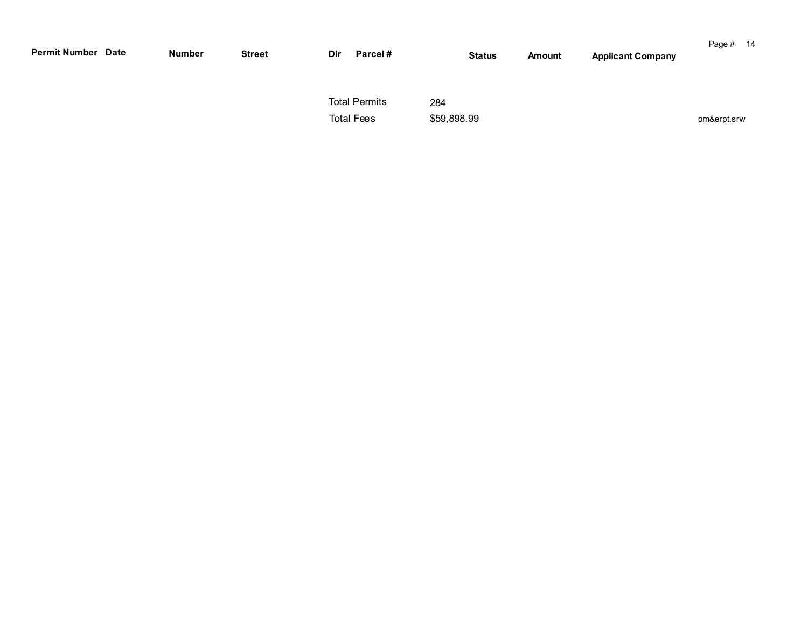| <b>Permit Number Date</b> | Number | <b>Street</b> | Dir | Parcel#                                   |                    | <b>Status</b> | Amount | <b>Applicant Company</b> | Page # 14   |  |
|---------------------------|--------|---------------|-----|-------------------------------------------|--------------------|---------------|--------|--------------------------|-------------|--|
|                           |        |               |     | <b>Total Permits</b><br><b>Total Fees</b> | 284<br>\$59,898.99 |               |        |                          | pm&erpt.srw |  |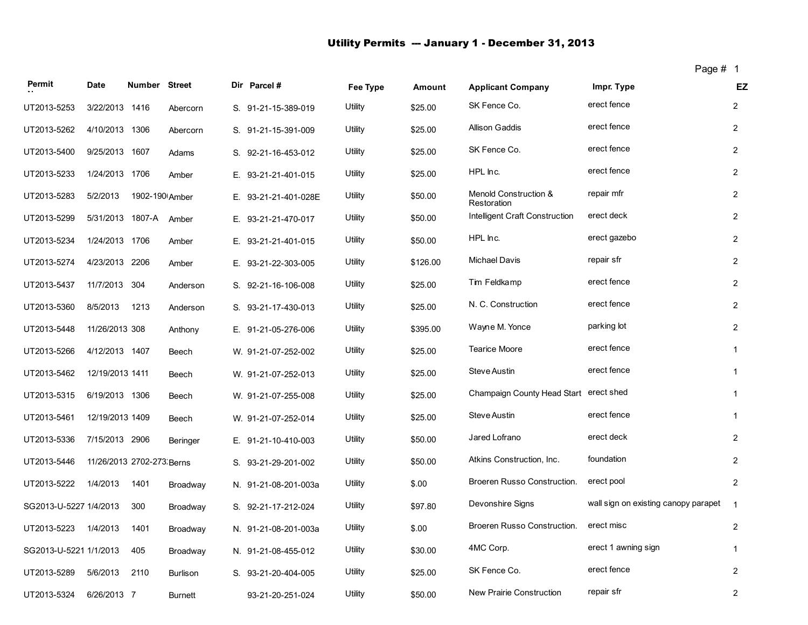# Utility Permits -- January 1 - December 31, 2013

| Page # |  |
|--------|--|
|--------|--|

| Permit                 | <b>Date</b>     | Number Street             |                 | Dir Parcel#          | Fee Type | <b>Amount</b> | <b>Applicant Company</b>               | Impr. Type                           | EZ             |
|------------------------|-----------------|---------------------------|-----------------|----------------------|----------|---------------|----------------------------------------|--------------------------------------|----------------|
| UT2013-5253            | 3/22/2013 1416  |                           | Abercorn        | S. 91-21-15-389-019  | Utility  | \$25.00       | SK Fence Co.                           | erect fence                          | $\overline{c}$ |
| UT2013-5262            | 4/10/2013 1306  |                           | Abercorn        | S. 91-21-15-391-009  | Utility  | \$25.00       | <b>Allison Gaddis</b>                  | erect fence                          | $\overline{2}$ |
| UT2013-5400            | 9/25/2013       | 1607                      | Adams           | S. 92-21-16-453-012  | Utility  | \$25.00       | SK Fence Co.                           | erect fence                          | $\overline{2}$ |
| UT2013-5233            | 1/24/2013 1706  |                           | Amber           | E. 93-21-21-401-015  | Utility  | \$25.00       | HPL Inc.                               | erect fence                          | $\overline{2}$ |
| UT2013-5283            | 5/2/2013        | 1902-190 Amber            |                 | E. 93-21-21-401-028E | Utility  | \$50.00       | Menold Construction &<br>Restoration   | repair mfr                           | $\overline{2}$ |
| UT2013-5299            |                 | 5/31/2013 1807-A Amber    |                 | E. 93-21-21-470-017  | Utility  | \$50.00       | Intelligent Craft Construction         | erect deck                           | $\overline{2}$ |
| UT2013-5234            | 1/24/2013 1706  |                           | Amber           | E. 93-21-21-401-015  | Utility  | \$50.00       | HPL Inc.                               | erect gazebo                         | $\overline{2}$ |
| UT2013-5274            | 4/23/2013 2206  |                           | Amber           | E. 93-21-22-303-005  | Utility  | \$126.00      | <b>Michael Davis</b>                   | repair sfr                           | $\overline{2}$ |
| UT2013-5437            | 11/7/2013       | 304                       | Anderson        | S. 92-21-16-106-008  | Utility  | \$25.00       | Tim Feldkamp                           | erect fence                          | $\overline{2}$ |
| UT2013-5360            | 8/5/2013        | 1213                      | Anderson        | S. 93-21-17-430-013  | Utility  | \$25.00       | N. C. Construction                     | erect fence                          | $\overline{2}$ |
| UT2013-5448            | 11/26/2013 308  |                           | Anthony         | E. 91-21-05-276-006  | Utility  | \$395.00      | Wayne M. Yonce                         | parking lot                          | $\overline{2}$ |
| UT2013-5266            | 4/12/2013 1407  |                           | Beech           | W. 91-21-07-252-002  | Utility  | \$25.00       | Tearice Moore                          | erect fence                          | $\mathbf{1}$   |
| UT2013-5462            | 12/19/2013 1411 |                           | Beech           | W. 91-21-07-252-013  | Utility  | \$25.00       | Steve Austin                           | erect fence                          | $\mathbf{1}$   |
| UT2013-5315            | 6/19/2013 1306  |                           | Beech           | W. 91-21-07-255-008  | Utility  | \$25.00       | Champaign County Head Start erect shed |                                      | $\mathbf{1}$   |
| UT2013-5461            | 12/19/2013 1409 |                           | Beech           | W. 91-21-07-252-014  | Utility  | \$25.00       | Steve Austin                           | erect fence                          | $\mathbf{1}$   |
| UT2013-5336            | 7/15/2013 2906  |                           | Beringer        | E. 91-21-10-410-003  | Utility  | \$50.00       | Jared Lofrano                          | erect deck                           | $\mathbf{2}$   |
| UT2013-5446            |                 | 11/26/2013 2702-273 Berns |                 | S. 93-21-29-201-002  | Utility  | \$50.00       | Atkins Construction, Inc.              | foundation                           | $\overline{2}$ |
| UT2013-5222            | 1/4/2013        | 1401                      | Broadway        | N. 91-21-08-201-003a | Utility  | \$.00         | Broeren Russo Construction.            | erect pool                           | $\overline{2}$ |
| SG2013-U-5227 1/4/2013 |                 | 300                       | Broadway        | S. 92-21-17-212-024  | Utility  | \$97.80       | Devonshire Signs                       | wall sign on existing canopy parapet | $\overline{1}$ |
| UT2013-5223            | 1/4/2013        | 1401                      | Broadway        | N. 91-21-08-201-003a | Utility  | \$.00         | Broeren Russo Construction.            | erect misc                           | $\overline{2}$ |
| SG2013-U-5221 1/1/2013 |                 | 405                       | Broadway        | N. 91-21-08-455-012  | Utility  | \$30.00       | 4MC Corp.                              | erect 1 awning sign                  | $\mathbf{1}$   |
| UT2013-5289            | 5/6/2013        | 2110                      | <b>Burlison</b> | S. 93-21-20-404-005  | Utility  | \$25.00       | SK Fence Co.                           | erect fence                          | $\overline{2}$ |
| UT2013-5324            | 6/26/2013 7     |                           | <b>Burnett</b>  | 93-21-20-251-024     | Utility  | \$50.00       | New Prairie Construction               | repair sfr                           | $\mathbf 2$    |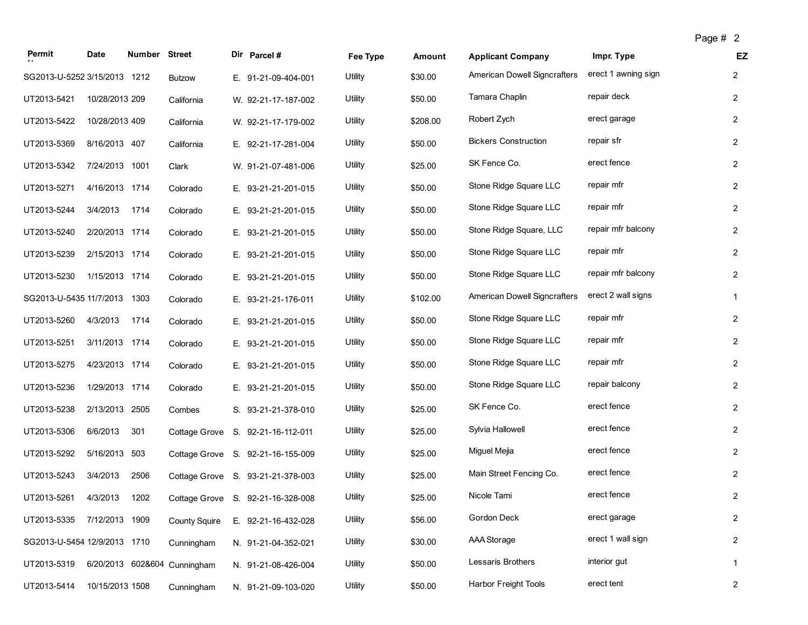| age |  |  |
|-----|--|--|
|-----|--|--|

| Permit                       | Date            | Number Street |                              | Dir Parcel #                      | Fee Type       | Amount   | <b>Applicant Company</b>            | Impr. Type          | <b>EZ</b>               |
|------------------------------|-----------------|---------------|------------------------------|-----------------------------------|----------------|----------|-------------------------------------|---------------------|-------------------------|
| SG2013-U-5252 3/15/2013 1212 |                 |               | <b>Butzow</b>                | E. 91-21-09-404-001               | <b>Utility</b> | \$30.00  | American Dowell Signcrafters        | erect 1 awning sign | $\overline{2}$          |
| UT2013-5421                  | 10/28/2013 209  |               | California                   | W. 92-21-17-187-002               | Utility        | \$50.00  | Tamara Chaplin                      | repair deck         | $\overline{2}$          |
| UT2013-5422                  | 10/28/2013 409  |               | California                   | W. 92-21-17-179-002               | Utility        | \$208.00 | Robert Zych                         | erect garage        | $\overline{2}$          |
| UT2013-5369                  | 8/16/2013 407   |               | California                   | E. 92-21-17-281-004               | Utility        | \$50.00  | <b>Bickers Construction</b>         | repair sfr          | $\overline{2}$          |
| UT2013-5342                  | 7/24/2013       | 1001          | Clark                        | W. 91-21-07-481-006               | Utility        | \$25.00  | SK Fence Co.                        | erect fence         | $\overline{2}$          |
| UT2013-5271                  | 4/16/2013 1714  |               | Colorado                     | E. 93-21-21-201-015               | Utility        | \$50.00  | Stone Ridge Square LLC              | repair mfr          | $\overline{2}$          |
| UT2013-5244                  | 3/4/2013        | 1714          | Colorado                     | E. 93-21-21-201-015               | Utility        | \$50.00  | Stone Ridge Square LLC              | repair mfr          | $\overline{2}$          |
| UT2013-5240                  | 2/20/2013 1714  |               | Colorado                     | E. 93-21-21-201-015               | Utility        | \$50.00  | Stone Ridge Square, LLC             | repair mfr balcony  | $\overline{2}$          |
| UT2013-5239                  | 2/15/2013 1714  |               | Colorado                     | E. 93-21-21-201-015               | Utility        | \$50.00  | Stone Ridge Square LLC              | repair mfr          | $\overline{2}$          |
| UT2013-5230                  | 1/15/2013 1714  |               | Colorado                     | E. 93-21-21-201-015               | Utility        | \$50.00  | Stone Ridge Square LLC              | repair mfr balcony  | $\overline{2}$          |
| SG2013-U-5435 11/7/2013      |                 | 1303          | Colorado                     | E. 93-21-21-176-011               | Utility        | \$102.00 | <b>American Dowell Signcrafters</b> | erect 2 wall signs  | $\mathbf{1}$            |
| UT2013-5260                  | 4/3/2013        | 1714          | Colorado                     | E. 93-21-21-201-015               | Utility        | \$50.00  | Stone Ridge Square LLC              | repair mfr          | $\overline{2}$          |
| UT2013-5251                  | 3/11/2013 1714  |               | Colorado                     | E. 93-21-21-201-015               | Utility        | \$50.00  | Stone Ridge Square LLC              | repair mfr          | $\overline{2}$          |
| UT2013-5275                  | 4/23/2013 1714  |               | Colorado                     | E. 93-21-21-201-015               | Utility        | \$50.00  | Stone Ridge Square LLC              | repair mfr          | $\overline{2}$          |
| UT2013-5236                  | 1/29/2013 1714  |               | Colorado                     | E. 93-21-21-201-015               | Utility        | \$50.00  | Stone Ridge Square LLC              | repair balcony      | $\overline{2}$          |
| UT2013-5238                  | 2/13/2013 2505  |               | Combes                       | S. 93-21-21-378-010               | Utility        | \$25.00  | SK Fence Co.                        | erect fence         | $\overline{2}$          |
| UT2013-5306                  | 6/6/2013        | 301           |                              | Cottage Grove S. 92-21-16-112-011 | Utility        | \$25.00  | Sylvia Hallowell                    | erect fence         | $\overline{2}$          |
| UT2013-5292                  | 5/16/2013       | 503           |                              | Cottage Grove S. 92-21-16-155-009 | Utility        | \$25.00  | Miguel Mejia                        | erect fence         | $\overline{2}$          |
| UT2013-5243                  | 3/4/2013        | 2506          |                              | Cottage Grove S. 93-21-21-378-003 | Utility        | \$25.00  | Main Street Fencing Co.             | erect fence         | $\overline{2}$          |
| UT2013-5261                  | 4/3/2013        | 1202          |                              | Cottage Grove S. 92-21-16-328-008 | Utility        | \$25.00  | Nicole Tami                         | erect fence         | $\overline{2}$          |
| UT2013-5335 7/12/2013 1909   |                 |               | <b>County Squire</b>         | E. 92-21-16-432-028               | Utility        | \$56.00  | Gordon Deck                         | erect garage        | $\overline{2}$          |
| SG2013-U-5454 12/9/2013 1710 |                 |               | Cunningham                   | N. 91-21-04-352-021               | Utility        | \$30.00  | <b>AAA Storage</b>                  | erect 1 wall sign   | $\overline{\mathbf{c}}$ |
| UT2013-5319                  |                 |               | 6/20/2013 602&604 Cunningham | N. 91-21-08-426-004               | Utility        | \$50.00  | Lessaris Brothers                   | interior gut        | $\mathbf{1}$            |
| UT2013-5414                  | 10/15/2013 1508 |               | Cunningham                   | N. 91-21-09-103-020               | Utility        | \$50.00  | Harbor Freight Tools                | erect tent          | $\overline{2}$          |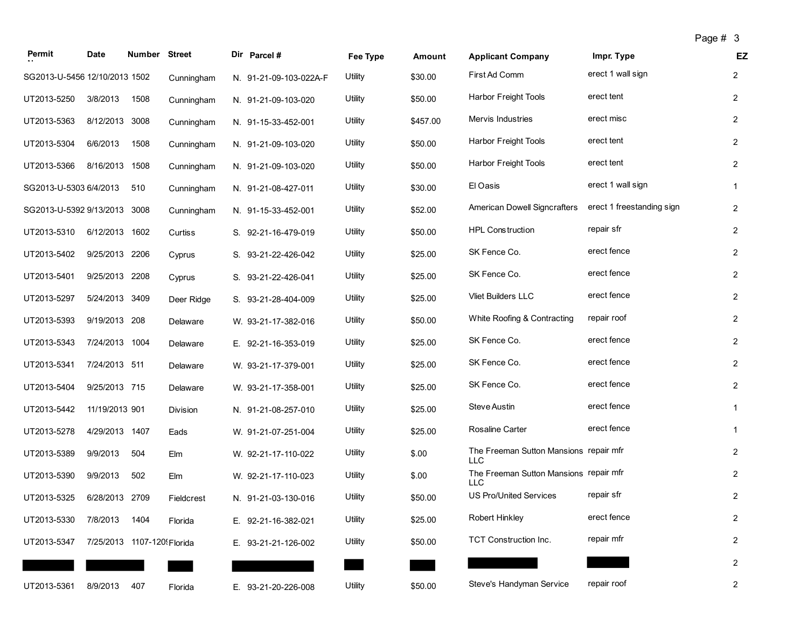| Permit                        | <b>Date</b>                | Number Street |            | Dir Parcel #           | Fee Type | Amount   | <b>Applicant Company</b>                             | Impr. Type                | EZ             |
|-------------------------------|----------------------------|---------------|------------|------------------------|----------|----------|------------------------------------------------------|---------------------------|----------------|
| SG2013-U-5456 12/10/2013 1502 |                            |               | Cunningham | N. 91-21-09-103-022A-F | Utility  | \$30.00  | First Ad Comm                                        | erect 1 wall sign         | $\overline{2}$ |
| UT2013-5250                   | 3/8/2013                   | 1508          | Cunningham | N. 91-21-09-103-020    | Utility  | \$50.00  | Harbor Freight Tools                                 | erect tent                | $\overline{c}$ |
| UT2013-5363                   | 8/12/2013 3008             |               | Cunningham | N. 91-15-33-452-001    | Utility  | \$457.00 | Mervis Industries                                    | erect misc                | $\overline{2}$ |
| UT2013-5304                   | 6/6/2013                   | 1508          | Cunningham | N. 91-21-09-103-020    | Utility  | \$50.00  | Harbor Freight Tools                                 | erect tent                | $\mathbf{2}$   |
| UT2013-5366                   | 8/16/2013 1508             |               | Cunningham | N. 91-21-09-103-020    | Utility  | \$50.00  | <b>Harbor Freight Tools</b>                          | erect tent                | $\overline{2}$ |
| SG2013-U-5303 6/4/2013        |                            | 510           | Cunningham | N. 91-21-08-427-011    | Utility  | \$30.00  | El Oasis                                             | erect 1 wall sign         | $\mathbf{1}$   |
| SG2013-U-5392 9/13/2013       |                            | 3008          | Cunningham | N. 91-15-33-452-001    | Utility  | \$52.00  | <b>American Dowell Signcrafters</b>                  | erect 1 freestanding sign | $\overline{c}$ |
| UT2013-5310                   | 6/12/2013 1602             |               | Curtiss    | S. 92-21-16-479-019    | Utility  | \$50.00  | <b>HPL Construction</b>                              | repair sfr                | $\overline{2}$ |
| UT2013-5402                   | 9/25/2013 2206             |               | Cyprus     | S. 93-21-22-426-042    | Utility  | \$25.00  | SK Fence Co.                                         | erect fence               | $\overline{2}$ |
| UT2013-5401                   | 9/25/2013 2208             |               | Cyprus     | S. 93-21-22-426-041    | Utility  | \$25.00  | SK Fence Co.                                         | erect fence               | $\overline{2}$ |
| UT2013-5297                   | 5/24/2013                  | 3409          | Deer Ridge | S. 93-21-28-404-009    | Utility  | \$25.00  | Vliet Builders LLC                                   | erect fence               | $\overline{2}$ |
| UT2013-5393                   | 9/19/2013 208              |               | Delaware   | W. 93-21-17-382-016    | Utility  | \$50.00  | White Roofing & Contracting                          | repair roof               | $\overline{c}$ |
| UT2013-5343                   | 7/24/2013 1004             |               | Delaware   | E. 92-21-16-353-019    | Utility  | \$25.00  | SK Fence Co.                                         | erect fence               | $\overline{c}$ |
| UT2013-5341                   | 7/24/2013 511              |               | Delaware   | W. 93-21-17-379-001    | Utility  | \$25.00  | SK Fence Co.                                         | erect fence               | $\overline{2}$ |
| UT2013-5404                   | 9/25/2013 715              |               | Delaware   | W. 93-21-17-358-001    | Utility  | \$25.00  | SK Fence Co.                                         | erect fence               | $\overline{c}$ |
| UT2013-5442                   | 11/19/2013 901             |               | Division   | N. 91-21-08-257-010    | Utility  | \$25.00  | Steve Austin                                         | erect fence               | $\mathbf{1}$   |
| UT2013-5278                   | 4/29/2013 1407             |               | Eads       | W. 91-21-07-251-004    | Utility  | \$25.00  | <b>Rosaline Carter</b>                               | erect fence               | $\mathbf{1}$   |
| UT2013-5389                   | 9/9/2013                   | 504           | Elm        | W. 92-21-17-110-022    | Utility  | \$.00    | The Freeman Sutton Mansions repair mfr<br><b>LLC</b> |                           | $\overline{2}$ |
| UT2013-5390                   | 9/9/2013                   | 502           | Elm        | W. 92-21-17-110-023    | Utility  | \$.00    | The Freeman Sutton Mansions repair mfr<br><b>LLC</b> |                           | $\overline{2}$ |
| UT2013-5325                   | 6/28/2013 2709             |               | Fieldcrest | N. 91-21-03-130-016    | Utility  | \$50.00  | <b>US Pro/United Services</b>                        | repair sfr                | $\overline{2}$ |
| UT2013-5330                   | 7/8/2013                   | 1404          | Florida    | E. 92-21-16-382-021    | Utility  | \$25.00  | Robert Hinkley                                       | erect fence               | $\overline{c}$ |
| UT2013-5347                   | 7/25/2013 1107-120 Florida |               |            | E. 93-21-21-126-002    | Utility  | \$50.00  | TCT Construction Inc.                                | repair mfr                | $\overline{2}$ |
|                               |                            |               |            |                        |          |          |                                                      |                           | $\overline{c}$ |
| UT2013-5361                   | 8/9/2013                   | 407           | Florida    | E. 93-21-20-226-008    | Utility  | \$50.00  | Steve's Handyman Service                             | repair roof               | $\overline{2}$ |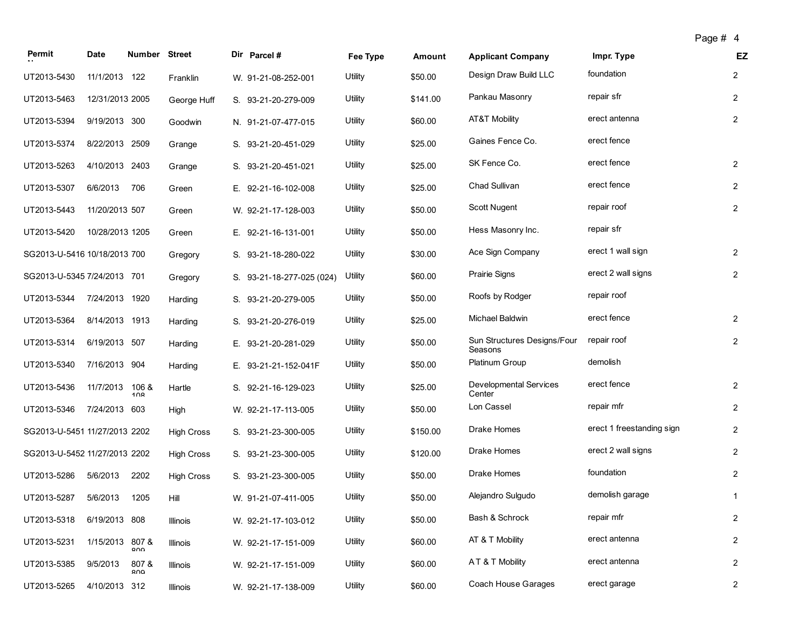| Permit                        | Date            | Number Street |                   | Dir Parcel #              | Fee Type | Amount   | <b>Applicant Company</b>               | Impr. Type                | EZ             |
|-------------------------------|-----------------|---------------|-------------------|---------------------------|----------|----------|----------------------------------------|---------------------------|----------------|
| UT2013-5430                   | 11/1/2013 122   |               | Franklin          | W. 91-21-08-252-001       | Utility  | \$50.00  | Design Draw Build LLC                  | foundation                | $\overline{2}$ |
| UT2013-5463                   | 12/31/2013 2005 |               | George Huff       | S. 93-21-20-279-009       | Utility  | \$141.00 | Pankau Masonry                         | repair sfr                | $\overline{2}$ |
| UT2013-5394                   | 9/19/2013 300   |               | Goodwin           | N. 91-21-07-477-015       | Utility  | \$60.00  | AT&T Mobility                          | erect antenna             | $\overline{2}$ |
| UT2013-5374                   | 8/22/2013       | 2509          | Grange            | S. 93-21-20-451-029       | Utility  | \$25.00  | Gaines Fence Co.                       | erect fence               |                |
| UT2013-5263                   | 4/10/2013 2403  |               | Grange            | S. 93-21-20-451-021       | Utility  | \$25.00  | SK Fence Co.                           | erect fence               | $\overline{2}$ |
| UT2013-5307                   | 6/6/2013        | 706           | Green             | E. 92-21-16-102-008       | Utility  | \$25.00  | Chad Sullivan                          | erect fence               | $\overline{2}$ |
| UT2013-5443                   | 11/20/2013 507  |               | Green             | W. 92-21-17-128-003       | Utility  | \$50.00  | Scott Nugent                           | repair roof               | $\overline{2}$ |
| UT2013-5420                   | 10/28/2013 1205 |               | Green             | E. 92-21-16-131-001       | Utility  | \$50.00  | Hess Masonry Inc.                      | repair sfr                |                |
| SG2013-U-5416 10/18/2013 700  |                 |               | Gregory           | S. 93-21-18-280-022       | Utility  | \$30.00  | Ace Sign Company                       | erect 1 wall sign         | $\mathbf{2}$   |
| SG2013-U-5345 7/24/2013 701   |                 |               | Gregory           | S. 93-21-18-277-025 (024) | Utility  | \$60.00  | <b>Prairie Signs</b>                   | erect 2 wall signs        | $\overline{2}$ |
| UT2013-5344                   | 7/24/2013 1920  |               | Harding           | S. 93-21-20-279-005       | Utility  | \$50.00  | Roofs by Rodger                        | repair roof               |                |
| UT2013-5364                   | 8/14/2013       | 1913          | Harding           | S. 93-21-20-276-019       | Utility  | \$25.00  | Michael Baldwin                        | erect fence               | $\overline{2}$ |
| UT2013-5314                   | 6/19/2013 507   |               | Harding           | E. 93-21-20-281-029       | Utility  | \$50.00  | Sun Structures Designs/Four<br>Seasons | repair roof               | $\overline{2}$ |
| UT2013-5340                   | 7/16/2013 904   |               | Harding           | E. 93-21-21-152-041F      | Utility  | \$50.00  | Platinum Group                         | demolish                  |                |
| UT2013-5436                   | 11/7/2013       | 106 &<br>100  | Hartle            | S. 92-21-16-129-023       | Utility  | \$25.00  | Developmental Services<br>Center       | erect fence               | $\overline{2}$ |
| UT2013-5346                   | 7/24/2013 603   |               | High              | W. 92-21-17-113-005       | Utility  | \$50.00  | Lon Cassel                             | repair mfr                | $\overline{2}$ |
| SG2013-U-5451 11/27/2013 2202 |                 |               | <b>High Cross</b> | S. 93-21-23-300-005       | Utility  | \$150.00 | Drake Homes                            | erect 1 freestanding sign | $\overline{2}$ |
| SG2013-U-5452 11/27/2013 2202 |                 |               | <b>High Cross</b> | S. 93-21-23-300-005       | Utility  | \$120.00 | Drake Homes                            | erect 2 wall signs        | $\overline{2}$ |
| UT2013-5286                   | 5/6/2013        | 2202          | <b>High Cross</b> | S. 93-21-23-300-005       | Utility  | \$50.00  | Drake Homes                            | foundation                | $\overline{2}$ |
| UT2013-5287                   | 5/6/2013        | 1205          | Hill              | W. 91-21-07-411-005       | Utility  | \$50.00  | Alejandro Sulgudo                      | demolish garage           | 1              |
| UT2013-5318                   | 6/19/2013 808   |               | Illinois          | W. 92-21-17-103-012       | Utility  | \$50.00  | Bash & Schrock                         | repair mfr                | $\overline{c}$ |
| UT2013-5231                   | 1/15/2013       | 807 &<br>∩∩פ  | Illinois          | W. 92-21-17-151-009       | Utility  | \$60.00  | AT & T Mobility                        | erect antenna             | $\overline{2}$ |
| UT2013-5385                   | 9/5/2013        | 807 &<br>Q∩Q  | Illinois          | W. 92-21-17-151-009       | Utility  | \$60.00  | AT & T Mobility                        | erect antenna             | $\overline{c}$ |
| UT2013-5265                   | 4/10/2013 312   |               | Illinois          | W. 92-21-17-138-009       | Utility  | \$60.00  | Coach House Garages                    | erect garage              | $\overline{a}$ |

Page # 4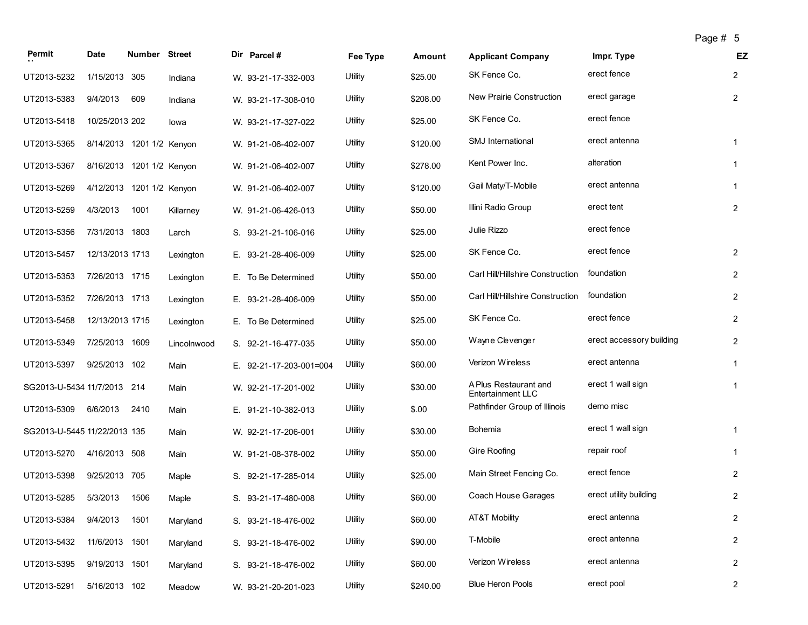|                              |                           |                      |             |                         |          |          |                                            |                          | Page # 5 |                |
|------------------------------|---------------------------|----------------------|-------------|-------------------------|----------|----------|--------------------------------------------|--------------------------|----------|----------------|
| Permit                       | Date                      | <b>Number Street</b> |             | Dir Parcel #            | Fee Type | Amount   | <b>Applicant Company</b>                   | Impr. Type               |          | EZ             |
| UT2013-5232                  | 1/15/2013 305             |                      | Indiana     | W. 93-21-17-332-003     | Utility  | \$25.00  | SK Fence Co.                               | erect fence              |          | $\overline{2}$ |
| UT2013-5383                  | 9/4/2013                  | 609                  | Indiana     | W. 93-21-17-308-010     | Utility  | \$208.00 | New Prairie Construction                   | erect garage             |          | $\overline{2}$ |
| UT2013-5418                  | 10/25/2013 202            |                      | lowa        | W. 93-21-17-327-022     | Utility  | \$25.00  | SK Fence Co.                               | erect fence              |          |                |
| UT2013-5365                  | 8/14/2013 1201 1/2 Kenyon |                      |             | W. 91-21-06-402-007     | Utility  | \$120.00 | SMJ International                          | erect antenna            |          | $\mathbf{1}$   |
| UT2013-5367                  | 8/16/2013 1201 1/2 Kenyon |                      |             | W. 91-21-06-402-007     | Utility  | \$278.00 | Kent Power Inc.                            | alteration               |          | $\mathbf{1}$   |
| UT2013-5269                  | 4/12/2013                 | 1201 1/2 Kenyon      |             | W. 91-21-06-402-007     | Utility  | \$120.00 | Gail Maty/T-Mobile                         | erect antenna            |          | 1              |
| UT2013-5259                  | 4/3/2013                  | 1001                 | Killarney   | W. 91-21-06-426-013     | Utility  | \$50.00  | Illini Radio Group                         | erect tent               |          | $\overline{2}$ |
| UT2013-5356                  | 7/31/2013 1803            |                      | Larch       | S. 93-21-21-106-016     | Utility  | \$25.00  | Julie Rizzo                                | erect fence              |          |                |
| UT2013-5457                  | 12/13/2013 1713           |                      | Lexington   | E. 93-21-28-406-009     | Utility  | \$25.00  | SK Fence Co.                               | erect fence              |          | $\overline{2}$ |
| UT2013-5353                  | 7/26/2013 1715            |                      | Lexington   | E. To Be Determined     | Utility  | \$50.00  | Carl Hill/Hillshire Construction           | foundation               |          | $\overline{2}$ |
| UT2013-5352                  | 7/26/2013 1713            |                      | Lexington   | E. 93-21-28-406-009     | Utility  | \$50.00  | Carl Hill/Hillshire Construction           | foundation               |          | $\mathbf{2}$   |
| UT2013-5458                  | 12/13/2013 1715           |                      | Lexington   | E. To Be Determined     | Utility  | \$25.00  | SK Fence Co.                               | erect fence              |          | $\overline{2}$ |
| UT2013-5349                  | 7/25/2013 1609            |                      | Lincolnwood | S. 92-21-16-477-035     | Utility  | \$50.00  | Wayne Clevenger                            | erect accessory building |          | $\mathbf{2}$   |
| UT2013-5397                  | 9/25/2013 102             |                      | Main        | E. 92-21-17-203-001=004 | Utility  | \$60.00  | Verizon Wireless                           | erect antenna            |          | 1              |
| SG2013-U-5434 11/7/2013 214  |                           |                      | Main        | W. 92-21-17-201-002     | Utility  | \$30.00  | A Plus Restaurant and<br>Entertainment LLC | erect 1 wall sign        |          | $\mathbf{1}$   |
| UT2013-5309                  | 6/6/2013                  | 2410                 | Main        | E. 91-21-10-382-013     | Utility  | \$.00    | Pathfinder Group of Illinois               | demo misc                |          |                |
| SG2013-U-5445 11/22/2013 135 |                           |                      | Main        | W. 92-21-17-206-001     | Utility  | \$30.00  | <b>Bohemia</b>                             | erect 1 wall sign        |          | $\mathbf{1}$   |
| UT2013-5270                  | 4/16/2013 508             |                      | Main        | W. 91-21-08-378-002     | Utility  | \$50.00  | <b>Gire Roofing</b>                        | repair roof              |          | 1              |
| UT2013-5398                  | 9/25/2013 705             |                      | Maple       | S. 92-21-17-285-014     | Utility  | \$25.00  | Main Street Fencing Co.                    | erect fence              |          | $\overline{2}$ |
| UT2013-5285                  | 5/3/2013                  | 1506                 | Maple       | S. 93-21-17-480-008     | Utility  | \$60.00  | Coach House Garages                        | erect utility building   |          | $\overline{2}$ |
| UT2013-5384                  | 9/4/2013                  | 1501                 | Maryland    | S. 93-21-18-476-002     | Utility  | \$60.00  | AT&T Mobility                              | erect antenna            |          | $\overline{2}$ |
| UT2013-5432                  | 11/6/2013 1501            |                      | Maryland    | S. 93-21-18-476-002     | Utility  | \$90.00  | T-Mobile                                   | erect antenna            |          | $\overline{2}$ |
| UT2013-5395                  | 9/19/2013 1501            |                      | Maryland    | S. 93-21-18-476-002     | Utility  | \$60.00  | Verizon Wireless                           | erect antenna            |          | $\overline{2}$ |
| UT2013-5291                  | 5/16/2013 102             |                      | Meadow      | W. 93-21-20-201-023     | Utility  | \$240.00 | <b>Blue Heron Pools</b>                    | erect pool               |          | 2              |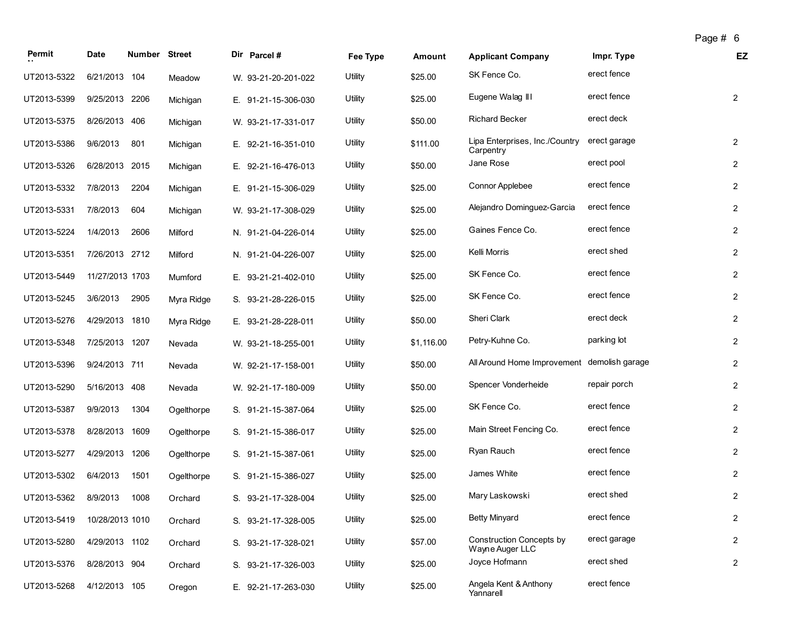| Permit      | <b>Date</b>     | Number Street |            | Dir Parcel #        | Fee Type | Amount     | <b>Applicant Company</b>                           | Impr. Type   | EZ             |
|-------------|-----------------|---------------|------------|---------------------|----------|------------|----------------------------------------------------|--------------|----------------|
| UT2013-5322 | 6/21/2013 104   |               | Meadow     | W. 93-21-20-201-022 | Utility  | \$25.00    | SK Fence Co.                                       | erect fence  |                |
| UT2013-5399 | 9/25/2013 2206  |               | Michigan   | E. 91-21-15-306-030 | Utility  | \$25.00    | Eugene Walag III                                   | erect fence  | $\overline{2}$ |
| UT2013-5375 | 8/26/2013 406   |               | Michigan   | W. 93-21-17-331-017 | Utility  | \$50.00    | <b>Richard Becker</b>                              | erect deck   |                |
| UT2013-5386 | 9/6/2013        | 801           | Michigan   | E. 92-21-16-351-010 | Utility  | \$111.00   | Lipa Enterprises, Inc./Country<br>Carpentry        | erect garage | $\mathbf{2}$   |
| UT2013-5326 | 6/28/2013 2015  |               | Michigan   | E. 92-21-16-476-013 | Utility  | \$50.00    | Jane Rose                                          | erect pool   | $\overline{2}$ |
| UT2013-5332 | 7/8/2013        | 2204          | Michigan   | E. 91-21-15-306-029 | Utility  | \$25.00    | <b>Connor Applebee</b>                             | erect fence  | $\overline{2}$ |
| UT2013-5331 | 7/8/2013        | 604           | Michigan   | W. 93-21-17-308-029 | Utility  | \$25.00    | Alejandro Dominguez-Garcia                         | erect fence  | $\overline{2}$ |
| UT2013-5224 | 1/4/2013        | 2606          | Milford    | N. 91-21-04-226-014 | Utility  | \$25.00    | Gaines Fence Co.                                   | erect fence  | $\overline{2}$ |
| UT2013-5351 | 7/26/2013 2712  |               | Milford    | N. 91-21-04-226-007 | Utility  | \$25.00    | Kelli Morris                                       | erect shed   | $\overline{2}$ |
| UT2013-5449 | 11/27/2013 1703 |               | Mumford    | E. 93-21-21-402-010 | Utility  | \$25.00    | SK Fence Co.                                       | erect fence  | $\overline{2}$ |
| UT2013-5245 | 3/6/2013        | 2905          | Myra Ridge | S. 93-21-28-226-015 | Utility  | \$25.00    | SK Fence Co.                                       | erect fence  | $\overline{2}$ |
| UT2013-5276 | 4/29/2013 1810  |               | Myra Ridge | E. 93-21-28-228-011 | Utility  | \$50.00    | Sheri Clark                                        | erect deck   | $\overline{2}$ |
| UT2013-5348 | 7/25/2013 1207  |               | Nevada     | W. 93-21-18-255-001 | Utility  | \$1,116.00 | Petry-Kuhne Co.                                    | parking lot  | $\overline{2}$ |
| UT2013-5396 | 9/24/2013 711   |               | Nevada     | W. 92-21-17-158-001 | Utility  | \$50.00    | All Around Home Improvement demolish garage        |              | $\overline{2}$ |
| UT2013-5290 | 5/16/2013 408   |               | Nevada     | W. 92-21-17-180-009 | Utility  | \$50.00    | Spencer Vonderheide                                | repair porch | $\overline{2}$ |
| UT2013-5387 | 9/9/2013        | 1304          | Ogelthorpe | S. 91-21-15-387-064 | Utility  | \$25.00    | SK Fence Co.                                       | erect fence  | $\overline{2}$ |
| UT2013-5378 | 8/28/2013       | 1609          | Ogelthorpe | S. 91-21-15-386-017 | Utility  | \$25.00    | Main Street Fencing Co.                            | erect fence  | $\mathbf{2}$   |
| UT2013-5277 | 4/29/2013 1206  |               | Ogelthorpe | S. 91-21-15-387-061 | Utility  | \$25.00    | Ryan Rauch                                         | erect fence  | $\overline{2}$ |
| UT2013-5302 | 6/4/2013        | 1501          | Ogelthorpe | S. 91-21-15-386-027 | Utility  | \$25.00    | James White                                        | erect fence  | $\overline{2}$ |
| UT2013-5362 | 8/9/2013        | 1008          | Orchard    | S. 93-21-17-328-004 | Utility  | \$25.00    | Mary Laskowski                                     | erect shed   | $\overline{2}$ |
| UT2013-5419 | 10/28/2013 1010 |               | Orchard    | S. 93-21-17-328-005 | Utility  | \$25.00    | <b>Betty Minyard</b>                               | erect fence  | $\overline{c}$ |
| UT2013-5280 | 4/29/2013 1102  |               | Orchard    | S. 93-21-17-328-021 | Utility  | \$57.00    | <b>Construction Concepts by</b><br>Wayne Auger LLC | erect garage | $\mathbf{2}$   |
| UT2013-5376 | 8/28/2013 904   |               | Orchard    | S. 93-21-17-326-003 | Utility  | \$25.00    | Joyce Hofmann                                      | erect shed   | $\overline{2}$ |
| UT2013-5268 | 4/12/2013 105   |               | Oregon     | E. 92-21-17-263-030 | Utility  | \$25.00    | Angela Kent & Anthony<br>Yannarell                 | erect fence  |                |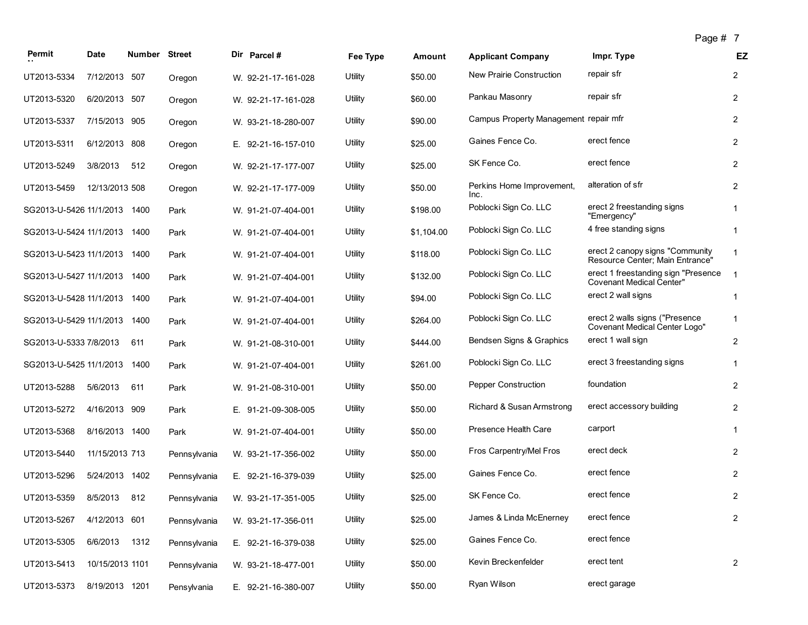|  | age | $\tau$ |  |
|--|-----|--------|--|
|--|-----|--------|--|

|                              |                 |        |               |                     |                |            |                                       | Page # 1                                                               |                         |
|------------------------------|-----------------|--------|---------------|---------------------|----------------|------------|---------------------------------------|------------------------------------------------------------------------|-------------------------|
| Permit                       | Date            | Number | <b>Street</b> | Dir Parcel#         | Fee Type       | Amount     | <b>Applicant Company</b>              | Impr. Type                                                             | EZ                      |
| UT2013-5334                  | 7/12/2013 507   |        | Oregon        | W. 92-21-17-161-028 | Utility        | \$50.00    | New Prairie Construction              | repair sfr                                                             | 2                       |
| UT2013-5320                  | 6/20/2013 507   |        | Oregon        | W. 92-21-17-161-028 | Utility        | \$60.00    | Pankau Masonry                        | repair sfr                                                             | $\overline{2}$          |
| UT2013-5337                  | 7/15/2013 905   |        | Oregon        | W. 93-21-18-280-007 | Utility        | \$90.00    | Campus Property Management repair mfr |                                                                        | $\overline{2}$          |
| UT2013-5311                  | 6/12/2013 808   |        | Oregon        | E. 92-21-16-157-010 | Utility        | \$25.00    | Gaines Fence Co.                      | erect fence                                                            | $\overline{2}$          |
| UT2013-5249                  | 3/8/2013        | 512    | Oregon        | W. 92-21-17-177-007 | Utility        | \$25.00    | SK Fence Co.                          | erect fence                                                            | 2                       |
| UT2013-5459                  | 12/13/2013 508  |        | Oregon        | W. 92-21-17-177-009 | <b>Utility</b> | \$50.00    | Perkins Home Improvement,<br>Inc.     | alteration of sfr                                                      | 2                       |
| SG2013-U-5426 11/1/2013      |                 | 1400   | Park          | W. 91-21-07-404-001 | Utility        | \$198.00   | Poblocki Sign Co. LLC                 | erect 2 freestanding signs<br>"Emergency"                              |                         |
| SG2013-U-5424 11/1/2013      |                 | 1400   | Park          | W. 91-21-07-404-001 | Utility        | \$1,104.00 | Poblocki Sign Co. LLC                 | 4 free standing signs                                                  | 1                       |
| SG2013-U-5423 11/1/2013 1400 |                 |        | Park          | W. 91-21-07-404-001 | Utility        | \$118.00   | Poblocki Sign Co. LLC                 | erect 2 canopy signs "Community<br>Resource Center; Main Entrance"     | -1                      |
| SG2013-U-5427 11/1/2013      |                 | 1400   | Park          | W. 91-21-07-404-001 | Utility        | \$132.00   | Poblocki Sign Co. LLC                 | erect 1 freestanding sign "Presence<br><b>Covenant Medical Center"</b> |                         |
| SG2013-U-5428 11/1/2013      |                 | 1400   | Park          | W. 91-21-07-404-001 | Utility        | \$94.00    | Poblocki Sign Co. LLC                 | erect 2 wall signs                                                     | 1                       |
| SG2013-U-5429 11/1/2013      |                 | 1400   | Park          | W. 91-21-07-404-001 | Utility        | \$264.00   | Poblocki Sign Co. LLC                 | erect 2 walls signs ("Presence"<br>Covenant Medical Center Logo"       | 1                       |
| SG2013-U-5333 7/8/2013       |                 | 611    | Park          | W. 91-21-08-310-001 | Utility        | \$444.00   | Bendsen Signs & Graphics              | erect 1 wall sign                                                      | 2                       |
| SG2013-U-5425 11/1/2013      |                 | 1400   | Park          | W. 91-21-07-404-001 | Utility        | \$261.00   | Poblocki Sign Co. LLC                 | erect 3 freestanding signs                                             | -1                      |
| UT2013-5288                  | 5/6/2013        | 611    | Park          | W. 91-21-08-310-001 | Utility        | \$50.00    | Pepper Construction                   | foundation                                                             | 2                       |
| UT2013-5272                  | 4/16/2013       | 909    | Park          | E. 91-21-09-308-005 | Utility        | \$50.00    | Richard & Susan Armstrong             | erect accessory building                                               | 2                       |
| UT2013-5368                  | 8/16/2013 1400  |        | Park          | W. 91-21-07-404-001 | Utility        | \$50.00    | Presence Health Care                  | carport                                                                | 1                       |
| UT2013-5440                  | 11/15/2013 713  |        | Pennsylvania  | W. 93-21-17-356-002 | Utility        | \$50.00    | Fros Carpentry/Mel Fros               | erect deck                                                             | 2                       |
| UT2013-5296                  | 5/24/2013 1402  |        | Pennsylvania  | E. 92-21-16-379-039 | Utility        | \$25.00    | Gaines Fence Co.                      | erect fence                                                            | $\overline{c}$          |
| UT2013-5359 8/5/2013 812     |                 |        | Pennsylvania  | W. 93-21-17-351-005 | Utility        | \$25.00    | SK Fence Co.                          | erect fence                                                            | 2                       |
| UT2013-5267                  | 4/12/2013 601   |        | Pennsylvania  | W. 93-21-17-356-011 | Utility        | \$25.00    | James & Linda McEnerney               | erect fence                                                            | $\overline{\mathbf{c}}$ |
| UT2013-5305                  | 6/6/2013 1312   |        | Pennsylvania  | E. 92-21-16-379-038 | Utility        | \$25.00    | Gaines Fence Co.                      | erect fence                                                            |                         |
| UT2013-5413                  | 10/15/2013 1101 |        | Pennsylvania  | W. 93-21-18-477-001 | Utility        | \$50.00    | Kevin Breckenfelder                   | erect tent                                                             | $\overline{2}$          |
| UT2013-5373                  | 8/19/2013 1201  |        | Pensylvania   | E. 92-21-16-380-007 | Utility        | \$50.00    | Ryan Wilson                           | erect garage                                                           |                         |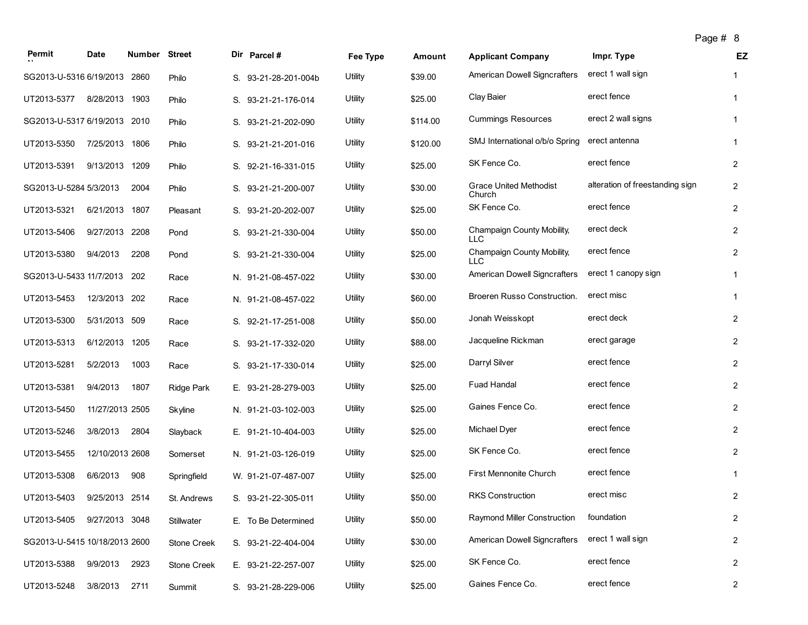|  | Page # |  | 8 |
|--|--------|--|---|
|--|--------|--|---|

|                               |                 |               |               |                      |          |          |                                          | Page #o                         |                |           |
|-------------------------------|-----------------|---------------|---------------|----------------------|----------|----------|------------------------------------------|---------------------------------|----------------|-----------|
| Permit                        | Date            | <b>Number</b> | <b>Street</b> | Dir Parcel#          | Fee Type | Amount   | <b>Applicant Company</b>                 | Impr. Type                      |                | <b>EZ</b> |
| SG2013-U-5316 6/19/2013       |                 | 2860          | Philo         | S. 93-21-28-201-004b | Utility  | \$39.00  | <b>American Dowell Signcrafters</b>      | erect 1 wall sign               |                |           |
| UT2013-5377                   | 8/28/2013       | 1903          | Philo         | S. 93-21-21-176-014  | Utility  | \$25.00  | Clay Baier                               | erect fence                     | 1              |           |
| SG2013-U-5317 6/19/2013 2010  |                 |               | Philo         | S. 93-21-21-202-090  | Utility  | \$114.00 | <b>Cummings Resources</b>                | erect 2 wall signs              | 1              |           |
| UT2013-5350                   | 7/25/2013 1806  |               | Philo         | S. 93-21-21-201-016  | Utility  | \$120.00 | SMJ International o/b/o Spring           | erect antenna                   | -1             |           |
| UT2013-5391                   | 9/13/2013       | 1209          | Philo         | S. 92-21-16-331-015  | Utility  | \$25.00  | SK Fence Co.                             | erect fence                     | 2              |           |
| SG2013-U-5284 5/3/2013        |                 | 2004          | Philo         | S. 93-21-21-200-007  | Utility  | \$30.00  | <b>Grace United Methodist</b><br>Church  | alteration of freestanding sign | $\overline{2}$ |           |
| UT2013-5321                   | 6/21/2013       | 1807          | Pleasant      | S. 93-21-20-202-007  | Utility  | \$25.00  | SK Fence Co.                             | erect fence                     | $\overline{2}$ |           |
| UT2013-5406                   | 9/27/2013       | 2208          | Pond          | S. 93-21-21-330-004  | Utility  | \$50.00  | Champaign County Mobility,<br><b>LLC</b> | erect deck                      | $\overline{2}$ |           |
| UT2013-5380                   | 9/4/2013        | 2208          | Pond          | S. 93-21-21-330-004  | Utility  | \$25.00  | Champaign County Mobility,<br><b>LLC</b> | erect fence                     | $\overline{2}$ |           |
| SG2013-U-5433 11/7/2013       |                 | 202           | Race          | N. 91-21-08-457-022  | Utility  | \$30.00  | <b>American Dowell Signcrafters</b>      | erect 1 canopy sign             | -1             |           |
| UT2013-5453                   | 12/3/2013 202   |               | Race          | N. 91-21-08-457-022  | Utility  | \$60.00  | Broeren Russo Construction.              | erect misc                      | 1              |           |
| UT2013-5300                   | 5/31/2013 509   |               | Race          | S. 92-21-17-251-008  | Utility  | \$50.00  | Jonah Weisskopt                          | erect deck                      | $\overline{2}$ |           |
| UT2013-5313                   | 6/12/2013       | 1205          | Race          | S. 93-21-17-332-020  | Utility  | \$88.00  | Jacqueline Rickman                       | erect garage                    | 2              |           |
| UT2013-5281                   | 5/2/2013        | 1003          | Race          | S. 93-21-17-330-014  | Utility  | \$25.00  | Darryl Silver                            | erect fence                     | $\overline{2}$ |           |
| UT2013-5381                   | 9/4/2013        | 1807          | Ridge Park    | E. 93-21-28-279-003  | Utility  | \$25.00  | <b>Fuad Handal</b>                       | erect fence                     | $\overline{2}$ |           |
| UT2013-5450                   | 11/27/2013 2505 |               | Skyline       | N. 91-21-03-102-003  | Utility  | \$25.00  | Gaines Fence Co.                         | erect fence                     | 2              |           |
| UT2013-5246                   | 3/8/2013        | 2804          | Slayback      | E. 91-21-10-404-003  | Utility  | \$25.00  | Michael Dyer                             | erect fence                     | $\overline{2}$ |           |
| UT2013-5455                   | 12/10/2013 2608 |               | Somerset      | N. 91-21-03-126-019  | Utility  | \$25.00  | SK Fence Co.                             | erect fence                     | 2              |           |
| UT2013-5308                   | 6/6/2013        | 908           | Springfield   | W. 91-21-07-487-007  | Utility  | \$25.00  | First Mennonite Church                   | erect fence                     |                |           |
| UT2013-5403                   | 9/25/2013 2514  |               | St. Andrews   | S. 93-21-22-305-011  | Utility  | \$50.00  | RKS Construction                         | erect misc                      | 2              |           |
| UT2013-5405 9/27/2013 3048    |                 |               | Stillwater    | E. To Be Determined  | Utility  | \$50.00  | Raymond Miller Construction              | foundation                      | $\overline{2}$ |           |
| SG2013-U-5415 10/18/2013 2600 |                 |               | Stone Creek   | S. 93-21-22-404-004  | Utility  | \$30.00  | American Dowell Signcrafters             | erect 1 wall sign               | $\overline{2}$ |           |
| UT2013-5388                   | 9/9/2013        | 2923          | Stone Creek   | E. 93-21-22-257-007  | Utility  | \$25.00  | SK Fence Co.                             | erect fence                     | $\overline{2}$ |           |
| UT2013-5248                   | 3/8/2013        | 2711          | Summit        | S. 93-21-28-229-006  | Utility  | \$25.00  | Gaines Fence Co.                         | erect fence                     | $\overline{2}$ |           |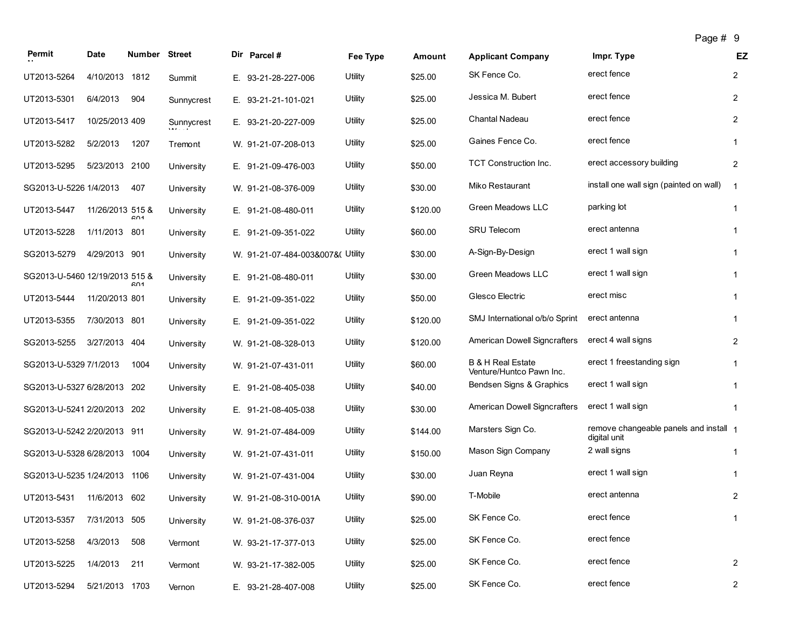|                                |                  |                      |            |                                   |          |          |                                                          | Page # 9                                               |                |
|--------------------------------|------------------|----------------------|------------|-----------------------------------|----------|----------|----------------------------------------------------------|--------------------------------------------------------|----------------|
| Permit                         | <b>Date</b>      | <b>Number Street</b> |            | Dir Parcel#                       | Fee Type | Amount   | <b>Applicant Company</b>                                 | Impr. Type                                             | EZ             |
| UT2013-5264                    | 4/10/2013        | 1812                 | Summit     | E. 93-21-28-227-006               | Utility  | \$25.00  | SK Fence Co.                                             | erect fence                                            | $\overline{2}$ |
| UT2013-5301                    | 6/4/2013         | 904                  | Sunnycrest | E. 93-21-21-101-021               | Utility  | \$25.00  | Jessica M. Bubert                                        | erect fence                                            | $\overline{2}$ |
| UT2013-5417                    | 10/25/2013 409   |                      | Sunnycrest | E. 93-21-20-227-009               | Utility  | \$25.00  | Chantal Nadeau                                           | erect fence                                            | $\overline{c}$ |
| UT2013-5282                    | 5/2/2013         | 1207                 | Tremont    | W. 91-21-07-208-013               | Utility  | \$25.00  | Gaines Fence Co.                                         | erect fence                                            | 1              |
| UT2013-5295                    | 5/23/2013 2100   |                      | University | E. 91-21-09-476-003               | Utility  | \$50.00  | <b>TCT Construction Inc.</b>                             | erect accessory building                               | $\overline{c}$ |
| SG2013-U-5226 1/4/2013         |                  | 407                  | University | W. 91-21-08-376-009               | Utility  | \$30.00  | Miko Restaurant                                          | install one wall sign (painted on wall)                | $\overline{1}$ |
| UT2013-5447                    | 11/26/2013 515 & | 601                  | University | E. 91-21-08-480-011               | Utility  | \$120.00 | Green Meadows LLC                                        | parking lot                                            | 1              |
| UT2013-5228                    | 1/11/2013        | 801                  | University | E. 91-21-09-351-022               | Utility  | \$60.00  | <b>SRU Telecom</b>                                       | erect antenna                                          | 1              |
| SG2013-5279                    | 4/29/2013 901    |                      | University | W. 91-21-07-484-003&007&( Utility |          | \$30.00  | A-Sign-By-Design                                         | erect 1 wall sign                                      | 1              |
| SG2013-U-5460 12/19/2013 515 & |                  | 601                  | University | E. 91-21-08-480-011               | Utility  | \$30.00  | Green Meadows LLC                                        | erect 1 wall sign                                      | $\mathbf{1}$   |
| UT2013-5444                    | 11/20/2013 801   |                      | University | E. 91-21-09-351-022               | Utility  | \$50.00  | Glesco Electric                                          | erect misc                                             | 1              |
| UT2013-5355                    | 7/30/2013 801    |                      | University | E. 91-21-09-351-022               | Utility  | \$120.00 | SMJ International o/b/o Sprint                           | erect antenna                                          | $\mathbf{1}$   |
| SG2013-5255                    | 3/27/2013 404    |                      | University | W. 91-21-08-328-013               | Utility  | \$120.00 | American Dowell Signcrafters                             | erect 4 wall signs                                     | 2              |
| SG2013-U-5329 7/1/2013         |                  | 1004                 | University | W. 91-21-07-431-011               | Utility  | \$60.00  | <b>B &amp; H Real Estate</b><br>Venture/Huntco Pawn Inc. | erect 1 freestanding sign                              | 1              |
| SG2013-U-5327 6/28/2013        |                  | 202                  | University | E. 91-21-08-405-038               | Utility  | \$40.00  | Bendsen Signs & Graphics                                 | erect 1 wall sign                                      | 1              |
| SG2013-U-5241 2/20/2013        |                  | 202                  | University | E. 91-21-08-405-038               | Utility  | \$30.00  | American Dowell Signcrafters                             | erect 1 wall sign                                      | 1              |
| SG2013-U-5242 2/20/2013 911    |                  |                      | University | W. 91-21-07-484-009               | Utility  | \$144.00 | Marsters Sign Co.                                        | remove changeable panels and install 1<br>digital unit |                |
| SG2013-U-5328 6/28/2013        |                  | 1004                 | University | W. 91-21-07-431-011               | Utility  | \$150.00 | Mason Sign Company                                       | 2 wall signs                                           | $\mathbf{1}$   |
| SG2013-U-5235 1/24/2013        |                  | 1106                 | University | W. 91-21-07-431-004               | Utility  | \$30.00  | Juan Reyna                                               | erect 1 wall sign                                      | 1              |
| UT2013-5431                    | 11/6/2013 602    |                      | University | W. 91-21-08-310-001A              | Utility  | \$90.00  | T-Mobile                                                 | erect antenna                                          | $\overline{2}$ |
| UT2013-5357                    | 7/31/2013 505    |                      | University | W. 91-21-08-376-037               | Utility  | \$25.00  | SK Fence Co.                                             | erect fence                                            | 1              |
| UT2013-5258                    | 4/3/2013         | 508                  | Vermont    | W. 93-21-17-377-013               | Utility  | \$25.00  | SK Fence Co.                                             | erect fence                                            |                |
| UT2013-5225                    | 1/4/2013         | 211                  | Vermont    | W. 93-21-17-382-005               | Utility  | \$25.00  | SK Fence Co.                                             | erect fence                                            | $\overline{2}$ |
| UT2013-5294                    | 5/21/2013 1703   |                      | Vernon     | E. 93-21-28-407-008               | Utility  | \$25.00  | SK Fence Co.                                             | erect fence                                            | $\overline{2}$ |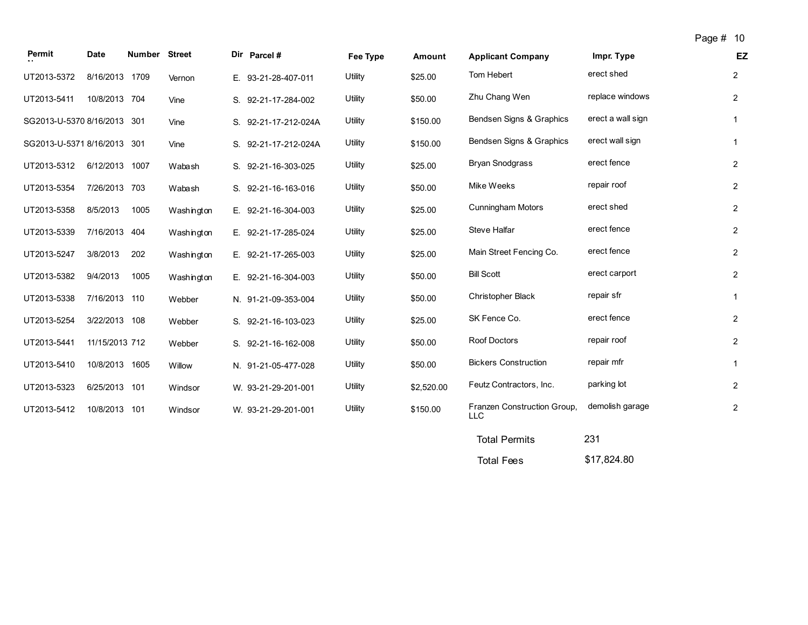| Permit                      | <b>Date</b>    | <b>Number Street</b> |            | Dir Parcel #         | Fee Type | Amount     | <b>Applicant Company</b>                  | Impr. Type        | EZ             |
|-----------------------------|----------------|----------------------|------------|----------------------|----------|------------|-------------------------------------------|-------------------|----------------|
| UT2013-5372                 | 8/16/2013 1709 |                      | Vernon     | E. 93-21-28-407-011  | Utility  | \$25.00    | Tom Hebert                                | erect shed        | $\overline{2}$ |
| UT2013-5411                 | 10/8/2013 704  |                      | Vine       | S. 92-21-17-284-002  | Utility  | \$50.00    | Zhu Chang Wen                             | replace windows   | $\overline{2}$ |
| SG2013-U-5370 8/16/2013 301 |                |                      | Vine       | S. 92-21-17-212-024A | Utility  | \$150.00   | Bendsen Signs & Graphics                  | erect a wall sign | $\mathbf{1}$   |
| SG2013-U-5371 8/16/2013 301 |                |                      | Vine       | S. 92-21-17-212-024A | Utility  | \$150.00   | Bendsen Signs & Graphics                  | erect wall sign   | $\mathbf{1}$   |
| UT2013-5312                 | 6/12/2013 1007 |                      | Wabash     | S. 92-21-16-303-025  | Utility  | \$25.00    | Bryan Snodgrass                           | erect fence       | $\overline{2}$ |
| UT2013-5354                 | 7/26/2013 703  |                      | Wabash     | S. 92-21-16-163-016  | Utility  | \$50.00    | Mike Weeks                                | repair roof       | $\overline{2}$ |
| UT2013-5358                 | 8/5/2013       | 1005                 | Washington | E. 92-21-16-304-003  | Utility  | \$25.00    | <b>Cunningham Motors</b>                  | erect shed        | $\overline{2}$ |
| UT2013-5339                 | 7/16/2013 404  |                      | Washington | E. 92-21-17-285-024  | Utility  | \$25.00    | Steve Halfar                              | erect fence       | $\overline{2}$ |
| UT2013-5247                 | 3/8/2013       | 202                  | Washington | E. 92-21-17-265-003  | Utility  | \$25.00    | Main Street Fencing Co.                   | erect fence       | $\overline{2}$ |
| UT2013-5382                 | 9/4/2013       | 1005                 | Washington | E. 92-21-16-304-003  | Utility  | \$50.00    | <b>Bill Scott</b>                         | erect carport     | $\overline{2}$ |
| UT2013-5338                 | 7/16/2013 110  |                      | Webber     | N. 91-21-09-353-004  | Utility  | \$50.00    | <b>Christopher Black</b>                  | repair sfr        | $\mathbf{1}$   |
| UT2013-5254                 | 3/22/2013 108  |                      | Webber     | S. 92-21-16-103-023  | Utility  | \$25.00    | SK Fence Co.                              | erect fence       | $\overline{2}$ |
| UT2013-5441                 | 11/15/2013 712 |                      | Webber     | S. 92-21-16-162-008  | Utility  | \$50.00    | Roof Doctors                              | repair roof       | $\overline{2}$ |
| UT2013-5410                 | 10/8/2013 1605 |                      | Willow     | N. 91-21-05-477-028  | Utility  | \$50.00    | <b>Bickers Construction</b>               | repair mfr        | $\mathbf{1}$   |
| UT2013-5323                 | 6/25/2013 101  |                      | Windsor    | W. 93-21-29-201-001  | Utility  | \$2,520.00 | Feutz Contractors, Inc.                   | parking lot       | $\overline{2}$ |
| UT2013-5412                 | 10/8/2013 101  |                      | Windsor    | W. 93-21-29-201-001  | Utility  | \$150.00   | Franzen Construction Group,<br><b>LLC</b> | demolish garage   | $\overline{2}$ |
|                             |                |                      |            |                      |          |            | <b>Total Permits</b>                      | 231               |                |

Total Fees \$17,824.80

Page # 10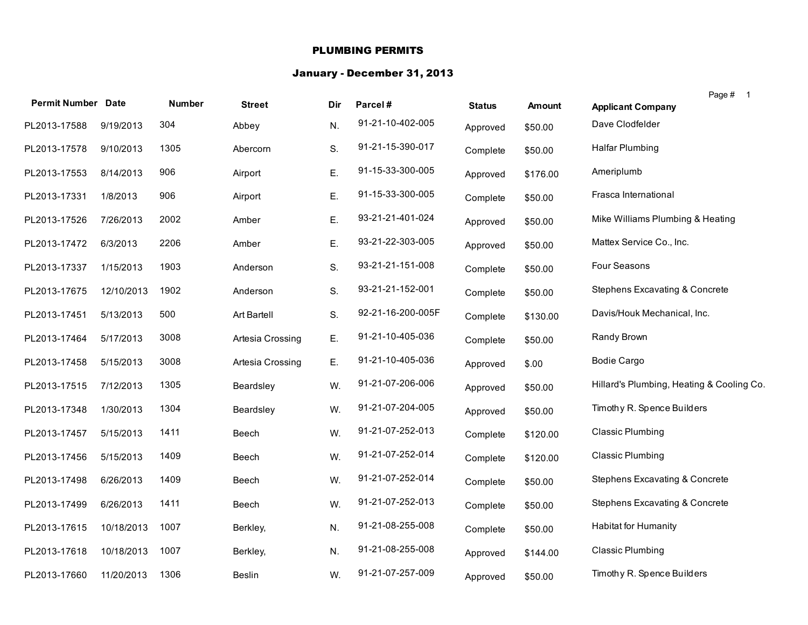#### PLUMBING PERMITS

#### January - December 31, 2013

| <b>Permit Number Date</b> |            | <b>Number</b> |                  |     |                   |               |               | Page # 1                                  |
|---------------------------|------------|---------------|------------------|-----|-------------------|---------------|---------------|-------------------------------------------|
|                           |            |               | <b>Street</b>    | Dir | Parcel#           | <b>Status</b> | <b>Amount</b> | <b>Applicant Company</b>                  |
| PL2013-17588              | 9/19/2013  | 304           | Abbey            | N.  | 91-21-10-402-005  | Approved      | \$50.00       | Dave Clodfelder                           |
| PL2013-17578              | 9/10/2013  | 1305          | Abercorn         | S.  | 91-21-15-390-017  | Complete      | \$50.00       | <b>Halfar Plumbing</b>                    |
| PL2013-17553              | 8/14/2013  | 906           | Airport          | Ε.  | 91-15-33-300-005  | Approved      | \$176.00      | Ameriplumb                                |
| PL2013-17331              | 1/8/2013   | 906           | Airport          | Ε.  | 91-15-33-300-005  | Complete      | \$50.00       | Frasca International                      |
| PL2013-17526              | 7/26/2013  | 2002          | Amber            | Ε.  | 93-21-21-401-024  | Approved      | \$50.00       | Mike Williams Plumbing & Heating          |
| PL2013-17472              | 6/3/2013   | 2206          | Amber            | Ε.  | 93-21-22-303-005  | Approved      | \$50.00       | Mattex Service Co., Inc.                  |
| PL2013-17337              | 1/15/2013  | 1903          | Anderson         | S.  | 93-21-21-151-008  | Complete      | \$50.00       | Four Seasons                              |
| PL2013-17675              | 12/10/2013 | 1902          | Anderson         | S.  | 93-21-21-152-001  | Complete      | \$50.00       | Stephens Excavating & Concrete            |
| PL2013-17451              | 5/13/2013  | 500           | Art Bartell      | S.  | 92-21-16-200-005F | Complete      | \$130.00      | Davis/Houk Mechanical, Inc.               |
| PL2013-17464              | 5/17/2013  | 3008          | Artesia Crossing | Ε.  | 91-21-10-405-036  | Complete      | \$50.00       | Randy Brown                               |
| PL2013-17458              | 5/15/2013  | 3008          | Artesia Crossing | Ε.  | 91-21-10-405-036  | Approved      | \$.00         | <b>Bodie Cargo</b>                        |
| PL2013-17515              | 7/12/2013  | 1305          | Beardsley        | W.  | 91-21-07-206-006  | Approved      | \$50.00       | Hillard's Plumbing, Heating & Cooling Co. |
| PL2013-17348              | 1/30/2013  | 1304          | Beardsley        | W.  | 91-21-07-204-005  | Approved      | \$50.00       | Timothy R. Spence Builders                |
| PL2013-17457              | 5/15/2013  | 1411          | Beech            | W.  | 91-21-07-252-013  | Complete      | \$120.00      | <b>Classic Plumbing</b>                   |
| PL2013-17456              | 5/15/2013  | 1409          | Beech            | W.  | 91-21-07-252-014  | Complete      | \$120.00      | <b>Classic Plumbing</b>                   |
| PL2013-17498              | 6/26/2013  | 1409          | Beech            | W.  | 91-21-07-252-014  | Complete      | \$50.00       | Stephens Excavating & Concrete            |
| PL2013-17499              | 6/26/2013  | 1411          | Beech            | W.  | 91-21-07-252-013  | Complete      | \$50.00       | Stephens Excavating & Concrete            |
| PL2013-17615              | 10/18/2013 | 1007          | Berkley,         | N.  | 91-21-08-255-008  | Complete      | \$50.00       | <b>Habitat for Humanity</b>               |
| PL2013-17618              | 10/18/2013 | 1007          | Berkley,         | N.  | 91-21-08-255-008  | Approved      | \$144.00      | <b>Classic Plumbing</b>                   |
| PL2013-17660              | 11/20/2013 | 1306          | Beslin           | W.  | 91-21-07-257-009  | Approved      | \$50.00       | Timothy R. Spence Builders                |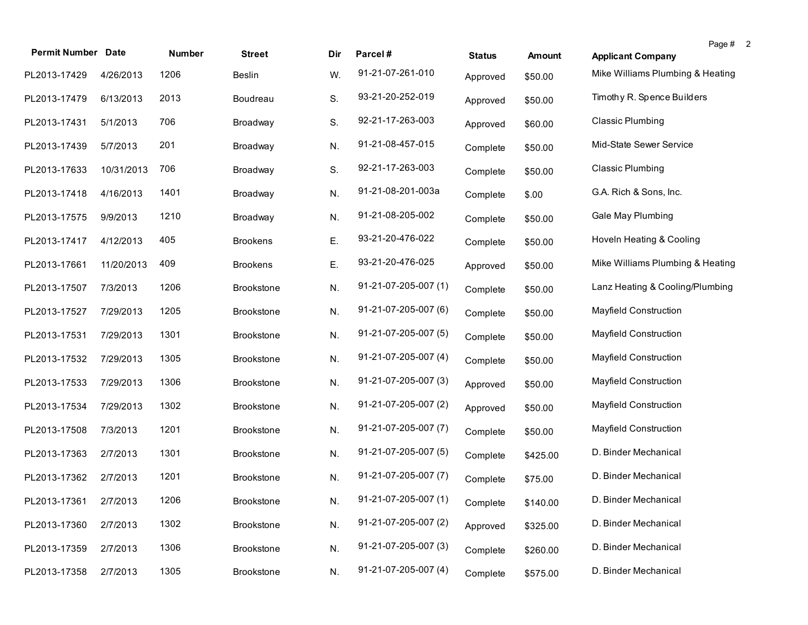| <b>Permit Number Date</b> |            | Number | <b>Street</b>     | Dir | Parcel#              | <b>Status</b> | Amount   | Page #<br>$\overline{2}$<br><b>Applicant Company</b> |
|---------------------------|------------|--------|-------------------|-----|----------------------|---------------|----------|------------------------------------------------------|
| PL2013-17429              | 4/26/2013  | 1206   | <b>Beslin</b>     | W.  | 91-21-07-261-010     | Approved      | \$50.00  | Mike Williams Plumbing & Heating                     |
| PL2013-17479              | 6/13/2013  | 2013   | Boudreau          | S.  | 93-21-20-252-019     | Approved      | \$50.00  | Timothy R. Spence Builders                           |
| PL2013-17431              | 5/1/2013   | 706    | Broadway          | S.  | 92-21-17-263-003     | Approved      | \$60.00  | <b>Classic Plumbing</b>                              |
| PL2013-17439              | 5/7/2013   | 201    | Broadway          | N.  | 91-21-08-457-015     | Complete      | \$50.00  | Mid-State Sewer Service                              |
| PL2013-17633              | 10/31/2013 | 706    | Broadway          | S.  | 92-21-17-263-003     | Complete      | \$50.00  | <b>Classic Plumbing</b>                              |
| PL2013-17418              | 4/16/2013  | 1401   | Broadway          | N.  | 91-21-08-201-003a    | Complete      | \$.00    | G.A. Rich & Sons, Inc.                               |
| PL2013-17575              | 9/9/2013   | 1210   | Broadway          | N.  | 91-21-08-205-002     | Complete      | \$50.00  | Gale May Plumbing                                    |
| PL2013-17417              | 4/12/2013  | 405    | <b>Brookens</b>   | Ε.  | 93-21-20-476-022     | Complete      | \$50.00  | Hoveln Heating & Cooling                             |
| PL2013-17661              | 11/20/2013 | 409    | <b>Brookens</b>   | Ε.  | 93-21-20-476-025     | Approved      | \$50.00  | Mike Williams Plumbing & Heating                     |
| PL2013-17507              | 7/3/2013   | 1206   | <b>Brookstone</b> | N.  | 91-21-07-205-007 (1) | Complete      | \$50.00  | Lanz Heating & Cooling/Plumbing                      |
| PL2013-17527              | 7/29/2013  | 1205   | <b>Brookstone</b> | N.  | 91-21-07-205-007 (6) | Complete      | \$50.00  | <b>Mayfield Construction</b>                         |
| PL2013-17531              | 7/29/2013  | 1301   | <b>Brookstone</b> | N.  | 91-21-07-205-007 (5) | Complete      | \$50.00  | <b>Mayfield Construction</b>                         |
| PL2013-17532              | 7/29/2013  | 1305   | <b>Brookstone</b> | N.  | 91-21-07-205-007 (4) | Complete      | \$50.00  | Mayfield Construction                                |
| PL2013-17533              | 7/29/2013  | 1306   | <b>Brookstone</b> | N.  | 91-21-07-205-007 (3) | Approved      | \$50.00  | Mayfield Construction                                |
| PL2013-17534              | 7/29/2013  | 1302   | <b>Brookstone</b> | N.  | 91-21-07-205-007 (2) | Approved      | \$50.00  | <b>Mayfield Construction</b>                         |
| PL2013-17508              | 7/3/2013   | 1201   | <b>Brookstone</b> | N.  | 91-21-07-205-007 (7) | Complete      | \$50.00  | Mayfield Construction                                |
| PL2013-17363              | 2/7/2013   | 1301   | <b>Brookstone</b> | N.  | 91-21-07-205-007 (5) | Complete      | \$425.00 | D. Binder Mechanical                                 |
| PL2013-17362              | 2/7/2013   | 1201   | <b>Brookstone</b> | N.  | 91-21-07-205-007 (7) | Complete      | \$75.00  | D. Binder Mechanical                                 |
| PL2013-17361 2/7/2013     |            | 1206   | Brookstone        | N.  | 91-21-07-205-007 (1) | Complete      | \$140.00 | D. Binder Mechanical                                 |
| PL2013-17360              | 2/7/2013   | 1302   | Brookstone        | N.  | 91-21-07-205-007 (2) | Approved      | \$325.00 | D. Binder Mechanical                                 |
| PL2013-17359              | 2/7/2013   | 1306   | <b>Brookstone</b> | N.  | 91-21-07-205-007 (3) | Complete      | \$260.00 | D. Binder Mechanical                                 |
| PL2013-17358              | 2/7/2013   | 1305   | Brookstone        | N.  | 91-21-07-205-007 (4) | Complete      | \$575.00 | D. Binder Mechanical                                 |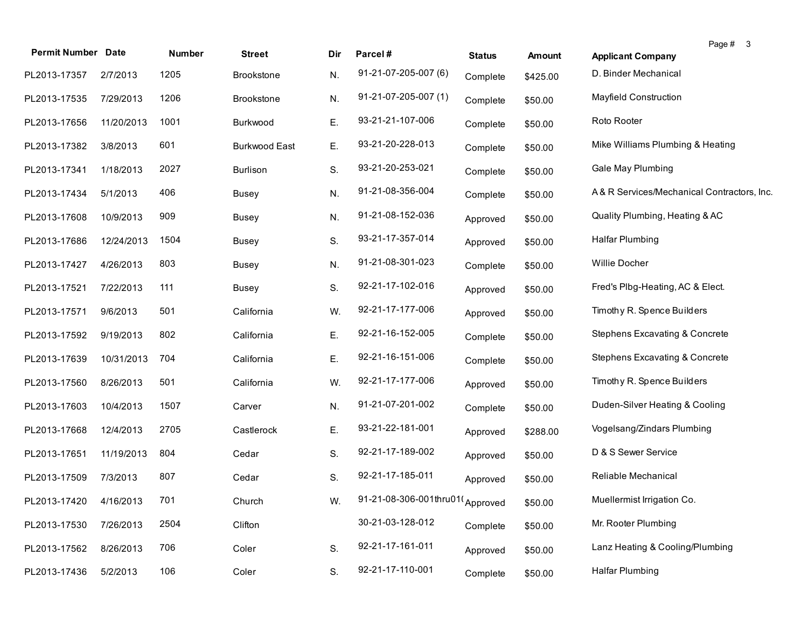| <b>Permit Number Date</b> |            | Number | <b>Street</b>        | Dir | Parcel#                         | <b>Status</b> | <b>Amount</b> | Page # 3<br><b>Applicant Company</b>       |
|---------------------------|------------|--------|----------------------|-----|---------------------------------|---------------|---------------|--------------------------------------------|
| PL2013-17357              | 2/7/2013   | 1205   | <b>Brookstone</b>    | N.  | 91-21-07-205-007 (6)            | Complete      | \$425.00      | D. Binder Mechanical                       |
| PL2013-17535              | 7/29/2013  | 1206   | <b>Brookstone</b>    | N.  | 91-21-07-205-007 (1)            | Complete      | \$50.00       | Mayfield Construction                      |
| PL2013-17656              | 11/20/2013 | 1001   | Burkwood             | Е.  | 93-21-21-107-006                | Complete      | \$50.00       | Roto Rooter                                |
| PL2013-17382              | 3/8/2013   | 601    | <b>Burkwood East</b> | Ε.  | 93-21-20-228-013                | Complete      | \$50.00       | Mike Williams Plumbing & Heating           |
| PL2013-17341              | 1/18/2013  | 2027   | <b>Burlison</b>      | S.  | 93-21-20-253-021                | Complete      | \$50.00       | Gale May Plumbing                          |
| PL2013-17434              | 5/1/2013   | 406    | <b>Busey</b>         | N.  | 91-21-08-356-004                | Complete      | \$50.00       | A& R Services/Mechanical Contractors, Inc. |
| PL2013-17608              | 10/9/2013  | 909    | <b>Busey</b>         | N.  | 91-21-08-152-036                | Approved      | \$50.00       | Quality Plumbing, Heating & AC             |
| PL2013-17686              | 12/24/2013 | 1504   | <b>Busey</b>         | S.  | 93-21-17-357-014                | Approved      | \$50.00       | <b>Halfar Plumbing</b>                     |
| PL2013-17427              | 4/26/2013  | 803    | <b>Busey</b>         | N.  | 91-21-08-301-023                | Complete      | \$50.00       | Willie Docher                              |
| PL2013-17521              | 7/22/2013  | 111    | <b>Busey</b>         | S.  | 92-21-17-102-016                | Approved      | \$50.00       | Fred's Plbg-Heating, AC & Elect.           |
| PL2013-17571              | 9/6/2013   | 501    | California           | W.  | 92-21-17-177-006                | Approved      | \$50.00       | Timothy R. Spence Builders                 |
| PL2013-17592              | 9/19/2013  | 802    | California           | Ε.  | 92-21-16-152-005                | Complete      | \$50.00       | Stephens Excavating & Concrete             |
| PL2013-17639              | 10/31/2013 | 704    | California           | Е.  | 92-21-16-151-006                | Complete      | \$50.00       | Stephens Excavating & Concrete             |
| PL2013-17560              | 8/26/2013  | 501    | California           | W.  | 92-21-17-177-006                | Approved      | \$50.00       | Timothy R. Spence Builders                 |
| PL2013-17603              | 10/4/2013  | 1507   | Carver               | N.  | 91-21-07-201-002                | Complete      | \$50.00       | Duden-Silver Heating & Cooling             |
| PL2013-17668              | 12/4/2013  | 2705   | Castlerock           | Е.  | 93-21-22-181-001                | Approved      | \$288.00      | Vogelsang/Zindars Plumbing                 |
| PL2013-17651              | 11/19/2013 | 804    | Cedar                | S.  | 92-21-17-189-002                | Approved      | \$50.00       | D & S Sewer Service                        |
| PL2013-17509              | 7/3/2013   | 807    | Cedar                | S.  | 92-21-17-185-011                | Approved      | \$50.00       | Reliable Mechanical                        |
| PL2013-17420 4/16/2013    |            | 701    | Church               | W.  | 91-21-08-306-001thru01(Approved |               | \$50.00       | Muellermist Irrigation Co.                 |
| PL2013-17530              | 7/26/2013  | 2504   | Clifton              |     | 30-21-03-128-012                | Complete      | \$50.00       | Mr. Rooter Plumbing                        |
| PL2013-17562              | 8/26/2013  | 706    | Coler                | S.  | 92-21-17-161-011                | Approved      | \$50.00       | Lanz Heating & Cooling/Plumbing            |
| PL2013-17436              | 5/2/2013   | 106    | Coler                | S.  | 92-21-17-110-001                | Complete      | \$50.00       | <b>Halfar Plumbing</b>                     |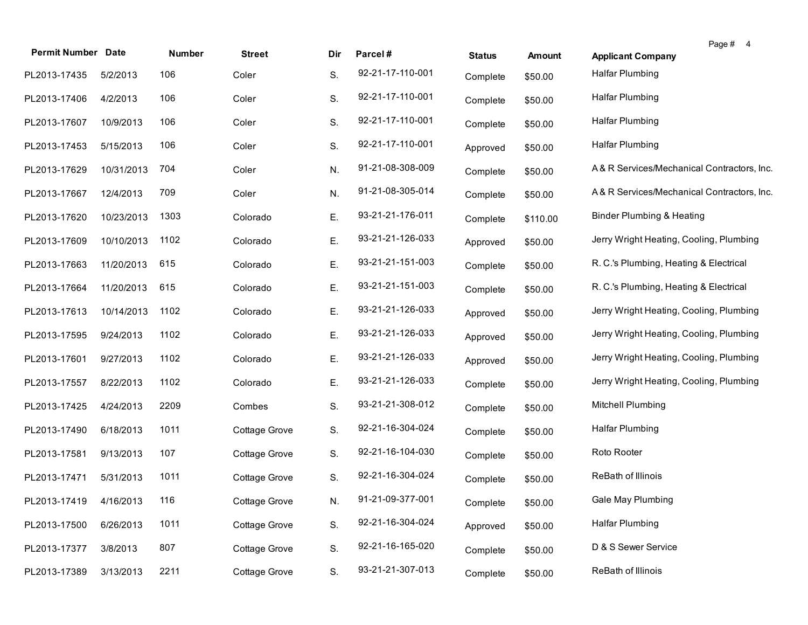| <b>Permit Number Date</b> |            | Number | <b>Street</b> | Dir | Parcel#          | <b>Status</b> | <b>Amount</b> | Page # 4<br><b>Applicant Company</b>       |
|---------------------------|------------|--------|---------------|-----|------------------|---------------|---------------|--------------------------------------------|
| PL2013-17435              | 5/2/2013   | 106    | Coler         | S.  | 92-21-17-110-001 | Complete      | \$50.00       | <b>Halfar Plumbing</b>                     |
| PL2013-17406              | 4/2/2013   | 106    | Coler         | S.  | 92-21-17-110-001 | Complete      | \$50.00       | <b>Halfar Plumbing</b>                     |
| PL2013-17607              | 10/9/2013  | 106    | Coler         | S.  | 92-21-17-110-001 | Complete      | \$50.00       | <b>Halfar Plumbing</b>                     |
| PL2013-17453              | 5/15/2013  | 106    | Coler         | S.  | 92-21-17-110-001 | Approved      | \$50.00       | <b>Halfar Plumbing</b>                     |
| PL2013-17629              | 10/31/2013 | 704    | Coler         | N.  | 91-21-08-308-009 | Complete      | \$50.00       | A& R Services/Mechanical Contractors, Inc. |
| PL2013-17667              | 12/4/2013  | 709    | Coler         | N.  | 91-21-08-305-014 | Complete      | \$50.00       | A& R Services/Mechanical Contractors, Inc. |
| PL2013-17620              | 10/23/2013 | 1303   | Colorado      | Е.  | 93-21-21-176-011 | Complete      | \$110.00      | <b>Binder Plumbing &amp; Heating</b>       |
| PL2013-17609              | 10/10/2013 | 1102   | Colorado      | Ε.  | 93-21-21-126-033 | Approved      | \$50.00       | Jerry Wright Heating, Cooling, Plumbing    |
| PL2013-17663              | 11/20/2013 | 615    | Colorado      | Е.  | 93-21-21-151-003 | Complete      | \$50.00       | R. C.'s Plumbing, Heating & Electrical     |
| PL2013-17664              | 11/20/2013 | 615    | Colorado      | Е.  | 93-21-21-151-003 | Complete      | \$50.00       | R. C.'s Plumbing, Heating & Electrical     |
| PL2013-17613              | 10/14/2013 | 1102   | Colorado      | Е.  | 93-21-21-126-033 | Approved      | \$50.00       | Jerry Wright Heating, Cooling, Plumbing    |
| PL2013-17595              | 9/24/2013  | 1102   | Colorado      | Ε.  | 93-21-21-126-033 | Approved      | \$50.00       | Jerry Wright Heating, Cooling, Plumbing    |
| PL2013-17601              | 9/27/2013  | 1102   | Colorado      | Ε.  | 93-21-21-126-033 | Approved      | \$50.00       | Jerry Wright Heating, Cooling, Plumbing    |
| PL2013-17557              | 8/22/2013  | 1102   | Colorado      | Ε.  | 93-21-21-126-033 | Complete      | \$50.00       | Jerry Wright Heating, Cooling, Plumbing    |
| PL2013-17425              | 4/24/2013  | 2209   | Combes        | S.  | 93-21-21-308-012 | Complete      | \$50.00       | Mitchell Plumbing                          |
| PL2013-17490              | 6/18/2013  | 1011   | Cottage Grove | S.  | 92-21-16-304-024 | Complete      | \$50.00       | <b>Halfar Plumbing</b>                     |
| PL2013-17581              | 9/13/2013  | 107    | Cottage Grove | S.  | 92-21-16-104-030 | Complete      | \$50.00       | Roto Rooter                                |
| PL2013-17471              | 5/31/2013  | 1011   | Cottage Grove | S.  | 92-21-16-304-024 | Complete      | \$50.00       | ReBath of Illinois                         |
| PL2013-17419 4/16/2013    |            | 116    | Cottage Grove | N.  | 91-21-09-377-001 | Complete      | \$50.00       | Gale May Plumbing                          |
| PL2013-17500              | 6/26/2013  | 1011   | Cottage Grove | S.  | 92-21-16-304-024 | Approved      | \$50.00       | <b>Halfar Plumbing</b>                     |
| PL2013-17377              | 3/8/2013   | 807    | Cottage Grove | S.  | 92-21-16-165-020 | Complete      | \$50.00       | D & S Sewer Service                        |
| PL2013-17389              | 3/13/2013  | 2211   | Cottage Grove | S.  | 93-21-21-307-013 | Complete      | \$50.00       | ReBath of Illinois                         |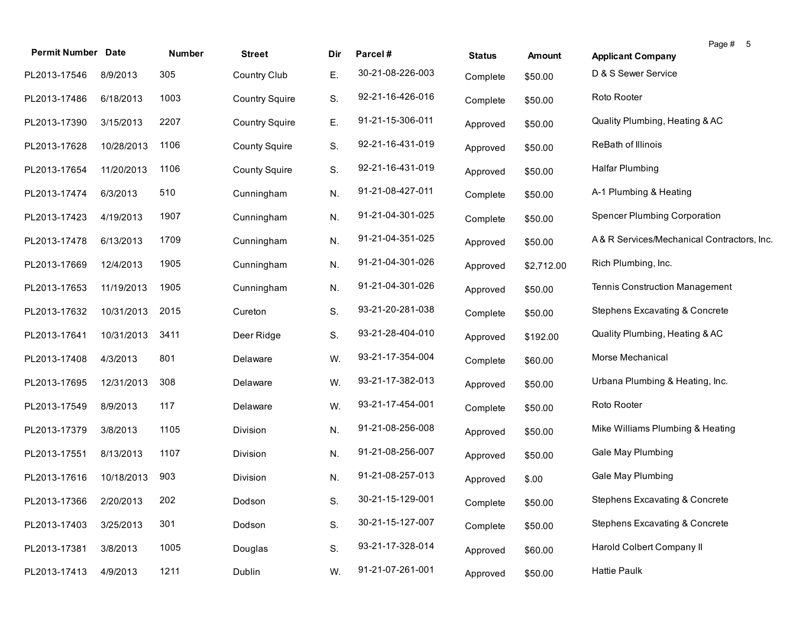| <b>Permit Number Date</b> |            | Number | <b>Street</b>         | Dir | Parcel#          | <b>Status</b> | Amount     | Page # 5<br><b>Applicant Company</b>       |
|---------------------------|------------|--------|-----------------------|-----|------------------|---------------|------------|--------------------------------------------|
| PL2013-17546              | 8/9/2013   | 305    | <b>Country Club</b>   | Е.  | 30-21-08-226-003 | Complete      | \$50.00    | D & S Sewer Service                        |
| PL2013-17486              | 6/18/2013  | 1003   | <b>Country Squire</b> | S.  | 92-21-16-426-016 | Complete      | \$50.00    | Roto Rooter                                |
| PL2013-17390              | 3/15/2013  | 2207   | <b>Country Squire</b> | Е.  | 91-21-15-306-011 | Approved      | \$50.00    | Quality Plumbing, Heating & AC             |
| PL2013-17628              | 10/28/2013 | 1106   | <b>County Squire</b>  | S.  | 92-21-16-431-019 | Approved      | \$50.00    | ReBath of Illinois                         |
| PL2013-17654              | 11/20/2013 | 1106   | <b>County Squire</b>  | S.  | 92-21-16-431-019 | Approved      | \$50.00    | Halfar Plumbing                            |
| PL2013-17474              | 6/3/2013   | 510    | Cunningham            | N.  | 91-21-08-427-011 | Complete      | \$50.00    | A-1 Plumbing & Heating                     |
| PL2013-17423              | 4/19/2013  | 1907   | Cunningham            | N.  | 91-21-04-301-025 | Complete      | \$50.00    | <b>Spencer Plumbing Corporation</b>        |
| PL2013-17478              | 6/13/2013  | 1709   | Cunningham            | N.  | 91-21-04-351-025 | Approved      | \$50.00    | A& R Services/Mechanical Contractors, Inc. |
| PL2013-17669              | 12/4/2013  | 1905   | Cunningham            | N.  | 91-21-04-301-026 | Approved      | \$2,712.00 | Rich Plumbing, Inc.                        |
| PL2013-17653              | 11/19/2013 | 1905   | Cunningham            | N.  | 91-21-04-301-026 | Approved      | \$50.00    | Tennis Construction Management             |
| PL2013-17632              | 10/31/2013 | 2015   | Cureton               | S.  | 93-21-20-281-038 | Complete      | \$50.00    | Stephens Excavating & Concrete             |
| PL2013-17641              | 10/31/2013 | 3411   | Deer Ridge            | S.  | 93-21-28-404-010 | Approved      | \$192.00   | Quality Plumbing, Heating & AC             |
| PL2013-17408              | 4/3/2013   | 801    | Delaware              | W.  | 93-21-17-354-004 | Complete      | \$60.00    | Morse Mechanical                           |
| PL2013-17695              | 12/31/2013 | 308    | Delaware              | W.  | 93-21-17-382-013 | Approved      | \$50.00    | Urbana Plumbing & Heating, Inc.            |
| PL2013-17549              | 8/9/2013   | 117    | Delaware              | W.  | 93-21-17-454-001 | Complete      | \$50.00    | Roto Rooter                                |
| PL2013-17379              | 3/8/2013   | 1105   | Division              | N.  | 91-21-08-256-008 | Approved      | \$50.00    | Mike Williams Plumbing & Heating           |
| PL2013-17551              | 8/13/2013  | 1107   | Division              | N.  | 91-21-08-256-007 | Approved      | \$50.00    | Gale May Plumbing                          |
| PL2013-17616              | 10/18/2013 | 903    | Division              | N.  | 91-21-08-257-013 | Approved      | \$.00      | Gale May Plumbing                          |
| PL2013-17366 2/20/2013    |            | 202    | Dodson                | S.  | 30-21-15-129-001 | Complete      | \$50.00    | Stephens Excavating & Concrete             |
| PL2013-17403              | 3/25/2013  | 301    | Dodson                | S.  | 30-21-15-127-007 | Complete      | \$50.00    | Stephens Excavating & Concrete             |
| PL2013-17381              | 3/8/2013   | 1005   | Douglas               | S.  | 93-21-17-328-014 | Approved      | \$60.00    | Harold Colbert Company II                  |
| PL2013-17413              | 4/9/2013   | 1211   | Dublin                | W.  | 91-21-07-261-001 | Approved      | \$50.00    | <b>Hattie Paulk</b>                        |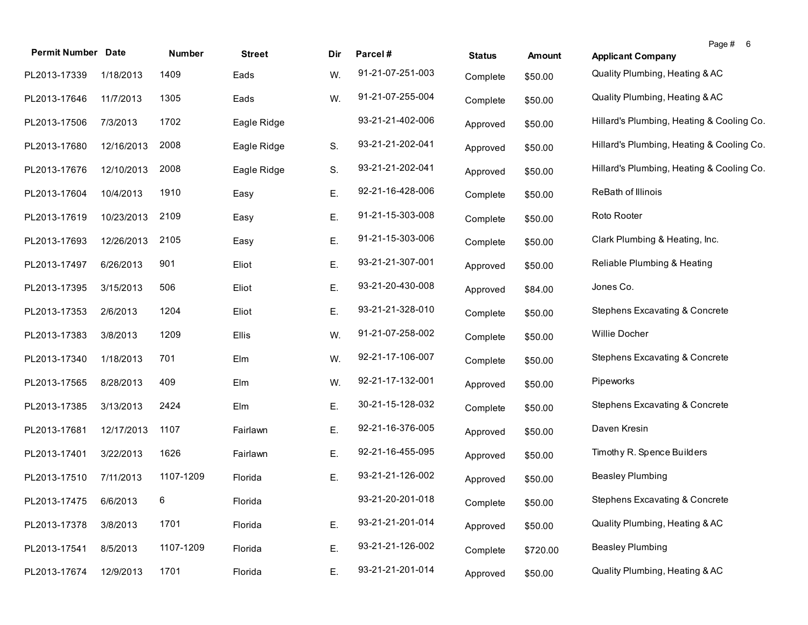| <b>Permit Number Date</b> |            | Number    | <b>Street</b> | Dir | Parcel#          | <b>Status</b> | Amount   | <b>Applicant Company</b>                  | Page #<br>- 6 |
|---------------------------|------------|-----------|---------------|-----|------------------|---------------|----------|-------------------------------------------|---------------|
| PL2013-17339              | 1/18/2013  | 1409      | Eads          | W.  | 91-21-07-251-003 | Complete      | \$50.00  | Quality Plumbing, Heating & AC            |               |
| PL2013-17646              | 11/7/2013  | 1305      | Eads          | W.  | 91-21-07-255-004 | Complete      | \$50.00  | Quality Plumbing, Heating & AC            |               |
| PL2013-17506              | 7/3/2013   | 1702      | Eagle Ridge   |     | 93-21-21-402-006 | Approved      | \$50.00  | Hillard's Plumbing, Heating & Cooling Co. |               |
| PL2013-17680              | 12/16/2013 | 2008      | Eagle Ridge   | S.  | 93-21-21-202-041 | Approved      | \$50.00  | Hillard's Plumbing, Heating & Cooling Co. |               |
| PL2013-17676              | 12/10/2013 | 2008      | Eagle Ridge   | S.  | 93-21-21-202-041 | Approved      | \$50.00  | Hillard's Plumbing, Heating & Cooling Co. |               |
| PL2013-17604              | 10/4/2013  | 1910      | Easy          | Ε.  | 92-21-16-428-006 | Complete      | \$50.00  | ReBath of Illinois                        |               |
| PL2013-17619              | 10/23/2013 | 2109      | Easy          | Ε.  | 91-21-15-303-008 | Complete      | \$50.00  | Roto Rooter                               |               |
| PL2013-17693              | 12/26/2013 | 2105      | Easy          | Е.  | 91-21-15-303-006 | Complete      | \$50.00  | Clark Plumbing & Heating, Inc.            |               |
| PL2013-17497              | 6/26/2013  | 901       | Eliot         | Е.  | 93-21-21-307-001 | Approved      | \$50.00  | Reliable Plumbing & Heating               |               |
| PL2013-17395              | 3/15/2013  | 506       | Eliot         | Ε.  | 93-21-20-430-008 | Approved      | \$84.00  | Jones Co.                                 |               |
| PL2013-17353              | 2/6/2013   | 1204      | Eliot         | Е.  | 93-21-21-328-010 | Complete      | \$50.00  | Stephens Excavating & Concrete            |               |
| PL2013-17383              | 3/8/2013   | 1209      | Ellis         | W.  | 91-21-07-258-002 | Complete      | \$50.00  | Willie Docher                             |               |
| PL2013-17340              | 1/18/2013  | 701       | Elm           | W.  | 92-21-17-106-007 | Complete      | \$50.00  | Stephens Excavating & Concrete            |               |
| PL2013-17565              | 8/28/2013  | 409       | Elm           | W.  | 92-21-17-132-001 | Approved      | \$50.00  | Pipeworks                                 |               |
| PL2013-17385              | 3/13/2013  | 2424      | Elm           | Е.  | 30-21-15-128-032 | Complete      | \$50.00  | Stephens Excavating & Concrete            |               |
| PL2013-17681              | 12/17/2013 | 1107      | Fairlawn      | Е.  | 92-21-16-376-005 | Approved      | \$50.00  | Daven Kresin                              |               |
| PL2013-17401              | 3/22/2013  | 1626      | Fairlawn      | Е.  | 92-21-16-455-095 | Approved      | \$50.00  | Timothy R. Spence Builders                |               |
| PL2013-17510              | 7/11/2013  | 1107-1209 | Florida       | Е.  | 93-21-21-126-002 | Approved      | \$50.00  | <b>Beasley Plumbing</b>                   |               |
| PL2013-17475 6/6/2013     |            | 6         | Florida       |     | 93-21-20-201-018 | Complete      | \$50.00  | Stephens Excavating & Concrete            |               |
| PL2013-17378              | 3/8/2013   | 1701      | Florida       | Ε.  | 93-21-21-201-014 | Approved      | \$50.00  | Quality Plumbing, Heating & AC            |               |
| PL2013-17541              | 8/5/2013   | 1107-1209 | Florida       | Ε.  | 93-21-21-126-002 | Complete      | \$720.00 | <b>Beasley Plumbing</b>                   |               |
| PL2013-17674              | 12/9/2013  | 1701      | Florida       | Е.  | 93-21-21-201-014 | Approved      | \$50.00  | Quality Plumbing, Heating & AC            |               |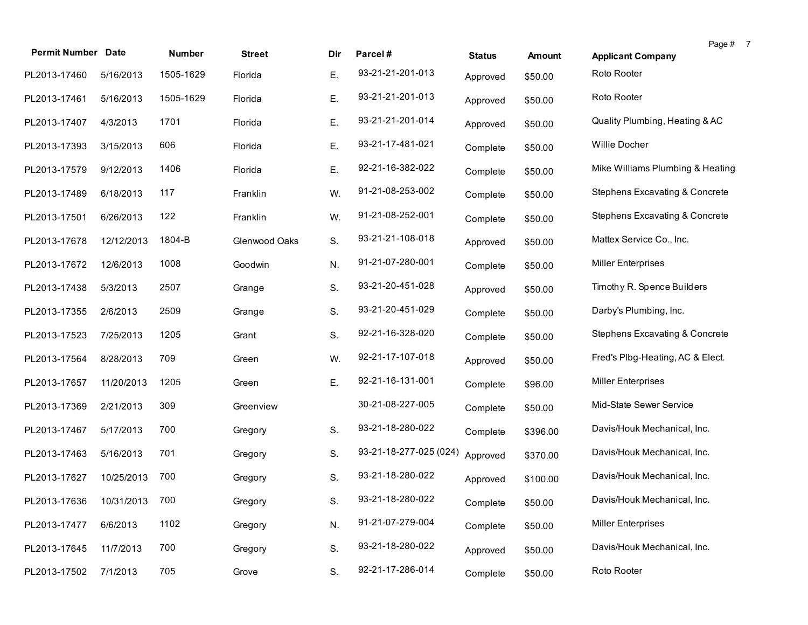| <b>Permit Number Date</b>   |            | Number    | <b>Street</b> | Dir. | Parcel#                | <b>Status</b> | Amount   | <b>Applicant Company</b>                  | Page # 7 |
|-----------------------------|------------|-----------|---------------|------|------------------------|---------------|----------|-------------------------------------------|----------|
| PL2013-17460                | 5/16/2013  | 1505-1629 | Florida       | Ε.   | 93-21-21-201-013       | Approved      | \$50.00  | Roto Rooter                               |          |
|                             |            | 1505-1629 |               | Ε.   | 93-21-21-201-013       |               |          | Roto Rooter                               |          |
| PL2013-17461                | 5/16/2013  |           | Florida       |      |                        | Approved      | \$50.00  |                                           |          |
| PL2013-17407                | 4/3/2013   | 1701      | Florida       | Ε.   | 93-21-21-201-014       | Approved      | \$50.00  | Quality Plumbing, Heating & AC            |          |
| PL2013-17393                | 3/15/2013  | 606       | Florida       | Ε.   | 93-21-17-481-021       | Complete      | \$50.00  | Willie Docher                             |          |
| PL2013-17579                | 9/12/2013  | 1406      | Florida       | Ε.   | 92-21-16-382-022       | Complete      | \$50.00  | Mike Williams Plumbing & Heating          |          |
| PL2013-17489                | 6/18/2013  | 117       | Franklin      | W.   | 91-21-08-253-002       | Complete      | \$50.00  | <b>Stephens Excavating &amp; Concrete</b> |          |
| PL2013-17501                | 6/26/2013  | 122       | Franklin      | W.   | 91-21-08-252-001       | Complete      | \$50.00  | <b>Stephens Excavating &amp; Concrete</b> |          |
| PL2013-17678                | 12/12/2013 | 1804-B    | Glenwood Oaks | S.   | 93-21-21-108-018       | Approved      | \$50.00  | Mattex Service Co., Inc.                  |          |
| PL2013-17672                | 12/6/2013  | 1008      | Goodwin       | N.   | 91-21-07-280-001       | Complete      | \$50.00  | <b>Miller Enterprises</b>                 |          |
| PL2013-17438                | 5/3/2013   | 2507      | Grange        | S.   | 93-21-20-451-028       | Approved      | \$50.00  | Timothy R. Spence Builders                |          |
| PL2013-17355                | 2/6/2013   | 2509      | Grange        | S.   | 93-21-20-451-029       | Complete      | \$50.00  | Darby's Plumbing, Inc.                    |          |
| PL2013-17523                | 7/25/2013  | 1205      | Grant         | S.   | 92-21-16-328-020       | Complete      | \$50.00  | <b>Stephens Excavating &amp; Concrete</b> |          |
| PL2013-17564                | 8/28/2013  | 709       | Green         | W.   | 92-21-17-107-018       | Approved      | \$50.00  | Fred's Plbg-Heating, AC & Elect.          |          |
| PL2013-17657                | 11/20/2013 | 1205      | Green         | Ε.   | 92-21-16-131-001       | Complete      | \$96.00  | <b>Miller Enterprises</b>                 |          |
| PL2013-17369                | 2/21/2013  | 309       | Greenview     |      | 30-21-08-227-005       | Complete      | \$50.00  | Mid-State Sewer Service                   |          |
| PL2013-17467                | 5/17/2013  | 700       | Gregory       | S.   | 93-21-18-280-022       | Complete      | \$396.00 | Davis/Houk Mechanical, Inc.               |          |
| PL2013-17463                | 5/16/2013  | 701       | Gregory       | S.   | 93-21-18-277-025 (024) | Approved      | \$370.00 | Davis/Houk Mechanical, Inc.               |          |
| PL2013-17627                | 10/25/2013 | 700       | Gregory       | S.   | 93-21-18-280-022       | Approved      | \$100.00 | Davis/Houk Mechanical, Inc.               |          |
| PL2013-17636 10/31/2013 700 |            |           | Gregory       | S.   | 93-21-18-280-022       | Complete      | \$50.00  | Davis/Houk Mechanical, Inc.               |          |
| PL2013-17477                | 6/6/2013   | 1102      | Gregory       | N.   | 91-21-07-279-004       | Complete      | \$50.00  | <b>Miller Enterprises</b>                 |          |
| PL2013-17645                | 11/7/2013  | 700       | Gregory       | S.   | 93-21-18-280-022       | Approved      | \$50.00  | Davis/Houk Mechanical, Inc.               |          |
| PL2013-17502                | 7/1/2013   | 705       | Grove         | S.   | 92-21-17-286-014       | Complete      | \$50.00  | Roto Rooter                               |          |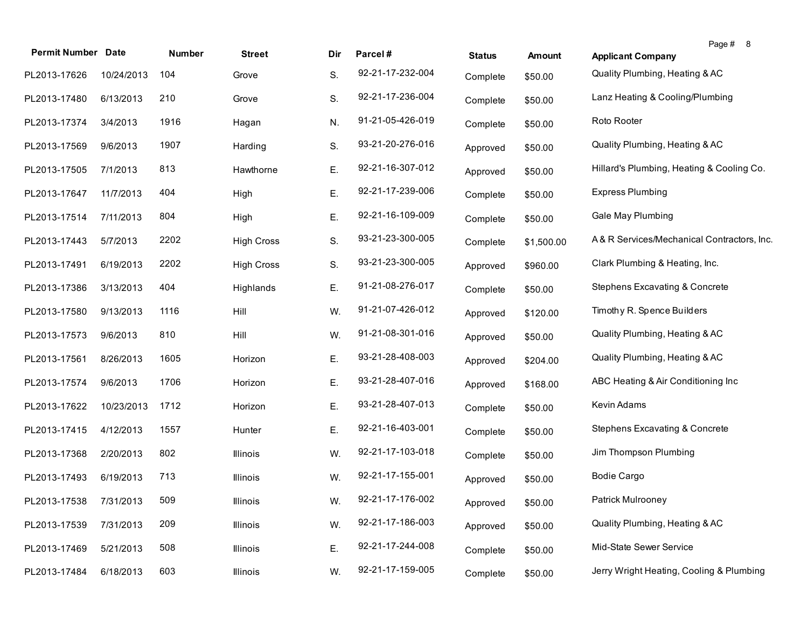| <b>Permit Number</b> | <b>Date</b> | Number | <b>Street</b>     | Dir | Parcel#          | <b>Status</b> | <b>Amount</b> | Page # 8<br><b>Applicant Company</b>       |
|----------------------|-------------|--------|-------------------|-----|------------------|---------------|---------------|--------------------------------------------|
| PL2013-17626         | 10/24/2013  | 104    | Grove             | S.  | 92-21-17-232-004 | Complete      | \$50.00       | Quality Plumbing, Heating & AC             |
| PL2013-17480         | 6/13/2013   | 210    | Grove             | S.  | 92-21-17-236-004 | Complete      | \$50.00       | Lanz Heating & Cooling/Plumbing            |
| PL2013-17374         | 3/4/2013    | 1916   | Hagan             | N.  | 91-21-05-426-019 | Complete      | \$50.00       | Roto Rooter                                |
| PL2013-17569         | 9/6/2013    | 1907   | Harding           | S.  | 93-21-20-276-016 | Approved      | \$50.00       | Quality Plumbing, Heating & AC             |
| PL2013-17505         | 7/1/2013    | 813    | Hawthorne         | Ε.  | 92-21-16-307-012 | Approved      | \$50.00       | Hillard's Plumbing, Heating & Cooling Co.  |
| PL2013-17647         | 11/7/2013   | 404    | High              | Е.  | 92-21-17-239-006 | Complete      | \$50.00       | <b>Express Plumbing</b>                    |
| PL2013-17514         | 7/11/2013   | 804    | High              | Ε.  | 92-21-16-109-009 | Complete      | \$50.00       | Gale May Plumbing                          |
| PL2013-17443         | 5/7/2013    | 2202   | <b>High Cross</b> | S.  | 93-21-23-300-005 | Complete      | \$1,500.00    | A& R Services/Mechanical Contractors, Inc. |
| PL2013-17491         | 6/19/2013   | 2202   | <b>High Cross</b> | S.  | 93-21-23-300-005 | Approved      | \$960.00      | Clark Plumbing & Heating, Inc.             |
| PL2013-17386         | 3/13/2013   | 404    | Highlands         | Ε.  | 91-21-08-276-017 | Complete      | \$50.00       | Stephens Excavating & Concrete             |
| PL2013-17580         | 9/13/2013   | 1116   | Hill              | W.  | 91-21-07-426-012 | Approved      | \$120.00      | Timothy R. Spence Builders                 |
| PL2013-17573         | 9/6/2013    | 810    | Hill              | W.  | 91-21-08-301-016 | Approved      | \$50.00       | Quality Plumbing, Heating & AC             |
| PL2013-17561         | 8/26/2013   | 1605   | Horizon           | Е.  | 93-21-28-408-003 | Approved      | \$204.00      | Quality Plumbing, Heating & AC             |
| PL2013-17574         | 9/6/2013    | 1706   | Horizon           | Е.  | 93-21-28-407-016 | Approved      | \$168.00      | ABC Heating & Air Conditioning Inc         |
| PL2013-17622         | 10/23/2013  | 1712   | Horizon           | Е.  | 93-21-28-407-013 | Complete      | \$50.00       | Kevin Adams                                |
| PL2013-17415         | 4/12/2013   | 1557   | Hunter            | Е.  | 92-21-16-403-001 | Complete      | \$50.00       | Stephens Excavating & Concrete             |
| PL2013-17368         | 2/20/2013   | 802    | Illinois          | W.  | 92-21-17-103-018 | Complete      | \$50.00       | Jim Thompson Plumbing                      |
| PL2013-17493         | 6/19/2013   | 713    | Illinois          | W.  | 92-21-17-155-001 | Approved      | \$50.00       | <b>Bodie Cargo</b>                         |
| PL2013-17538         | 7/31/2013   | 509    | Illinois          | W.  | 92-21-17-176-002 | Approved      | \$50.00       | Patrick Mulrooney                          |
| PL2013-17539         | 7/31/2013   | 209    | Illinois          | W.  | 92-21-17-186-003 | Approved      | \$50.00       | Quality Plumbing, Heating & AC             |
| PL2013-17469         | 5/21/2013   | 508    | Illinois          | Ε.  | 92-21-17-244-008 | Complete      | \$50.00       | Mid-State Sewer Service                    |
| PL2013-17484         | 6/18/2013   | 603    | Illinois          | W.  | 92-21-17-159-005 | Complete      | \$50.00       | Jerry Wright Heating, Cooling & Plumbing   |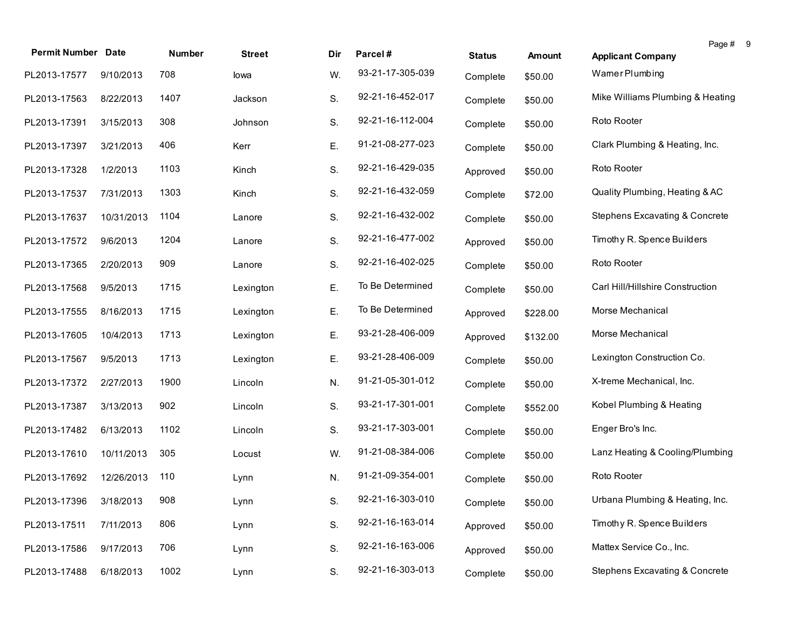| <b>Permit Number Date</b> |            | Number | <b>Street</b> | Dir | Parcel#          | <b>Status</b> | <b>Amount</b> | Page # 9<br><b>Applicant Company</b>      |  |
|---------------------------|------------|--------|---------------|-----|------------------|---------------|---------------|-------------------------------------------|--|
| PL2013-17577              | 9/10/2013  | 708    | lowa          | W.  | 93-21-17-305-039 | Complete      | \$50.00       | Wamer Plumbing                            |  |
| PL2013-17563              | 8/22/2013  | 1407   | Jackson       | S.  | 92-21-16-452-017 | Complete      | \$50.00       | Mike Williams Plumbing & Heating          |  |
| PL2013-17391              | 3/15/2013  | 308    | Johnson       | S.  | 92-21-16-112-004 | Complete      | \$50.00       | Roto Rooter                               |  |
| PL2013-17397              | 3/21/2013  | 406    | Kerr          | Ε.  | 91-21-08-277-023 | Complete      | \$50.00       | Clark Plumbing & Heating, Inc.            |  |
| PL2013-17328              | 1/2/2013   | 1103   | Kinch         | S.  | 92-21-16-429-035 | Approved      | \$50.00       | Roto Rooter                               |  |
| PL2013-17537              | 7/31/2013  | 1303   | Kinch         | S.  | 92-21-16-432-059 | Complete      | \$72.00       | Quality Plumbing, Heating & AC            |  |
| PL2013-17637              | 10/31/2013 | 1104   | Lanore        | S.  | 92-21-16-432-002 | Complete      | \$50.00       | <b>Stephens Excavating &amp; Concrete</b> |  |
| PL2013-17572              | 9/6/2013   | 1204   | Lanore        | S.  | 92-21-16-477-002 | Approved      | \$50.00       | Timothy R. Spence Builders                |  |
| PL2013-17365              | 2/20/2013  | 909    | Lanore        | S.  | 92-21-16-402-025 | Complete      | \$50.00       | Roto Rooter                               |  |
| PL2013-17568              | 9/5/2013   | 1715   | Lexington     | Ε.  | To Be Determined | Complete      | \$50.00       | Carl Hill/Hillshire Construction          |  |
| PL2013-17555              | 8/16/2013  | 1715   | Lexington     | Ε.  | To Be Determined | Approved      | \$228.00      | Morse Mechanical                          |  |
| PL2013-17605              | 10/4/2013  | 1713   | Lexington     | Ε.  | 93-21-28-406-009 | Approved      | \$132.00      | Morse Mechanical                          |  |
| PL2013-17567              | 9/5/2013   | 1713   | Lexington     | Ε.  | 93-21-28-406-009 | Complete      | \$50.00       | Lexington Construction Co.                |  |
| PL2013-17372              | 2/27/2013  | 1900   | Lincoln       | N.  | 91-21-05-301-012 | Complete      | \$50.00       | X-treme Mechanical, Inc.                  |  |
| PL2013-17387              | 3/13/2013  | 902    | Lincoln       | S.  | 93-21-17-301-001 | Complete      | \$552.00      | Kobel Plumbing & Heating                  |  |
| PL2013-17482              | 6/13/2013  | 1102   | Lincoln       | S.  | 93-21-17-303-001 | Complete      | \$50.00       | Enger Bro's Inc.                          |  |
| PL2013-17610              | 10/11/2013 | 305    | Locust        | W.  | 91-21-08-384-006 | Complete      | \$50.00       | Lanz Heating & Cooling/Plumbing           |  |
| PL2013-17692              | 12/26/2013 | 110    | Lynn          | N.  | 91-21-09-354-001 | Complete      | \$50.00       | Roto Rooter                               |  |
| PL2013-17396 3/18/2013    |            | 908    | Lynn          | S.  | 92-21-16-303-010 | Complete      | \$50.00       | Urbana Plumbing & Heating, Inc.           |  |
| PL2013-17511              | 7/11/2013  | 806    | Lynn          | S.  | 92-21-16-163-014 | Approved      | \$50.00       | Timothy R. Spence Builders                |  |
| PL2013-17586              | 9/17/2013  | 706    | Lynn          | S.  | 92-21-16-163-006 | Approved      | \$50.00       | Mattex Service Co., Inc.                  |  |
| PL2013-17488              | 6/18/2013  | 1002   | Lynn          | S.  | 92-21-16-303-013 | Complete      | \$50.00       | <b>Stephens Excavating &amp; Concrete</b> |  |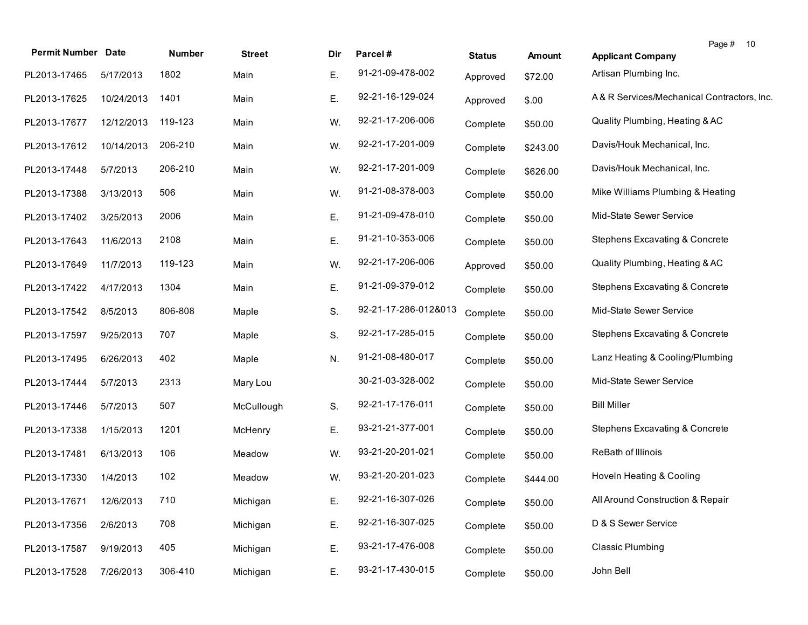| <b>Permit Number Date</b> |            | Number  | <b>Street</b> | Dir. | Parcel#              | <b>Status</b> | <b>Amount</b> | Page # 10<br><b>Applicant Company</b>      |
|---------------------------|------------|---------|---------------|------|----------------------|---------------|---------------|--------------------------------------------|
| PL2013-17465              | 5/17/2013  | 1802    | Main          | Е.   | 91-21-09-478-002     | Approved      | \$72.00       | Artisan Plumbing Inc.                      |
| PL2013-17625              | 10/24/2013 | 1401    | Main          | Е.   | 92-21-16-129-024     | Approved      | \$.00         | A& R Services/Mechanical Contractors, Inc. |
| PL2013-17677              | 12/12/2013 | 119-123 | Main          | W.   | 92-21-17-206-006     | Complete      | \$50.00       | Quality Plumbing, Heating & AC             |
| PL2013-17612              | 10/14/2013 | 206-210 | Main          | W.   | 92-21-17-201-009     | Complete      | \$243.00      | Davis/Houk Mechanical, Inc.                |
| PL2013-17448              | 5/7/2013   | 206-210 | Main          | W.   | 92-21-17-201-009     | Complete      | \$626.00      | Davis/Houk Mechanical, Inc.                |
| PL2013-17388              | 3/13/2013  | 506     | Main          | W.   | 91-21-08-378-003     | Complete      | \$50.00       | Mike Williams Plumbing & Heating           |
| PL2013-17402              | 3/25/2013  | 2006    | Main          | Ε.   | 91-21-09-478-010     | Complete      | \$50.00       | Mid-State Sewer Service                    |
| PL2013-17643              | 11/6/2013  | 2108    | Main          | Ε.   | 91-21-10-353-006     | Complete      | \$50.00       | Stephens Excavating & Concrete             |
| PL2013-17649              | 11/7/2013  | 119-123 | Main          | W.   | 92-21-17-206-006     | Approved      | \$50.00       | Quality Plumbing, Heating & AC             |
| PL2013-17422              | 4/17/2013  | 1304    | Main          | Ε.   | 91-21-09-379-012     | Complete      | \$50.00       | Stephens Excavating & Concrete             |
| PL2013-17542              | 8/5/2013   | 806-808 | Maple         | S.   | 92-21-17-286-012&013 | Complete      | \$50.00       | Mid-State Sewer Service                    |
| PL2013-17597              | 9/25/2013  | 707     | Maple         | S.   | 92-21-17-285-015     | Complete      | \$50.00       | <b>Stephens Excavating &amp; Concrete</b>  |
| PL2013-17495              | 6/26/2013  | 402     | Maple         | N.   | 91-21-08-480-017     | Complete      | \$50.00       | Lanz Heating & Cooling/Plumbing            |
| PL2013-17444              | 5/7/2013   | 2313    | Mary Lou      |      | 30-21-03-328-002     | Complete      | \$50.00       | Mid-State Sewer Service                    |
| PL2013-17446              | 5/7/2013   | 507     | McCullough    | S.   | 92-21-17-176-011     | Complete      | \$50.00       | <b>Bill Miller</b>                         |
| PL2013-17338              | 1/15/2013  | 1201    | McHenry       | Е.   | 93-21-21-377-001     | Complete      | \$50.00       | Stephens Excavating & Concrete             |
| PL2013-17481              | 6/13/2013  | 106     | Meadow        | W.   | 93-21-20-201-021     | Complete      | \$50.00       | ReBath of Illinois                         |
| PL2013-17330              | 1/4/2013   | 102     | Meadow        | W.   | 93-21-20-201-023     | Complete      | \$444.00      | Hoveln Heating & Cooling                   |
| PL2013-17671 12/6/2013    |            | 710     | Michigan      | Е.   | 92-21-16-307-026     | Complete      | \$50.00       | All Around Construction & Repair           |
| PL2013-17356              | 2/6/2013   | 708     | Michigan      | Ε.   | 92-21-16-307-025     | Complete      | \$50.00       | D & S Sewer Service                        |
| PL2013-17587              | 9/19/2013  | 405     | Michigan      | Ε.   | 93-21-17-476-008     | Complete      | \$50.00       | <b>Classic Plumbing</b>                    |
| PL2013-17528              | 7/26/2013  | 306-410 | Michigan      | Ε.   | 93-21-17-430-015     | Complete      | \$50.00       | John Bell                                  |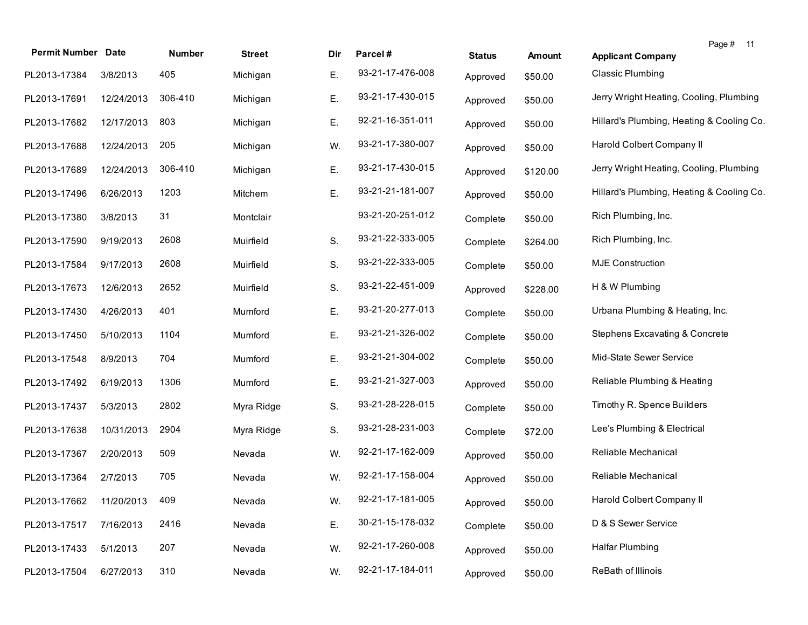| <b>Permit Number Date</b> |            | Number  | <b>Street</b> | Dir | Parcel#          | <b>Status</b> | <b>Amount</b> | Page #<br>11<br><b>Applicant Company</b>  |  |
|---------------------------|------------|---------|---------------|-----|------------------|---------------|---------------|-------------------------------------------|--|
| PL2013-17384              | 3/8/2013   | 405     | Michigan      | Е.  | 93-21-17-476-008 | Approved      | \$50.00       | <b>Classic Plumbing</b>                   |  |
| PL2013-17691              | 12/24/2013 | 306-410 | Michigan      | Е.  | 93-21-17-430-015 | Approved      | \$50.00       | Jerry Wright Heating, Cooling, Plumbing   |  |
| PL2013-17682              | 12/17/2013 | 803     | Michigan      | Е.  | 92-21-16-351-011 | Approved      | \$50.00       | Hillard's Plumbing, Heating & Cooling Co. |  |
| PL2013-17688              | 12/24/2013 | 205     | Michigan      | W.  | 93-21-17-380-007 | Approved      | \$50.00       | Harold Colbert Company II                 |  |
| PL2013-17689              | 12/24/2013 | 306-410 | Michigan      | Ε.  | 93-21-17-430-015 | Approved      | \$120.00      | Jerry Wright Heating, Cooling, Plumbing   |  |
| PL2013-17496              | 6/26/2013  | 1203    | Mitchem       | Ε.  | 93-21-21-181-007 | Approved      | \$50.00       | Hillard's Plumbing, Heating & Cooling Co. |  |
| PL2013-17380              | 3/8/2013   | 31      | Montclair     |     | 93-21-20-251-012 | Complete      | \$50.00       | Rich Plumbing, Inc.                       |  |
| PL2013-17590              | 9/19/2013  | 2608    | Muirfield     | S.  | 93-21-22-333-005 | Complete      | \$264.00      | Rich Plumbing, Inc.                       |  |
| PL2013-17584              | 9/17/2013  | 2608    | Muirfield     | S.  | 93-21-22-333-005 | Complete      | \$50.00       | <b>MJE Construction</b>                   |  |
| PL2013-17673              | 12/6/2013  | 2652    | Muirfield     | S.  | 93-21-22-451-009 | Approved      | \$228.00      | H & W Plumbing                            |  |
| PL2013-17430              | 4/26/2013  | 401     | Mumford       | Е.  | 93-21-20-277-013 | Complete      | \$50.00       | Urbana Plumbing & Heating, Inc.           |  |
| PL2013-17450              | 5/10/2013  | 1104    | Mumford       | E.  | 93-21-21-326-002 | Complete      | \$50.00       | Stephens Excavating & Concrete            |  |
| PL2013-17548              | 8/9/2013   | 704     | Mumford       | E.  | 93-21-21-304-002 | Complete      | \$50.00       | Mid-State Sewer Service                   |  |
| PL2013-17492              | 6/19/2013  | 1306    | Mumford       | E.  | 93-21-21-327-003 | Approved      | \$50.00       | Reliable Plumbing & Heating               |  |
| PL2013-17437              | 5/3/2013   | 2802    | Myra Ridge    | S.  | 93-21-28-228-015 | Complete      | \$50.00       | Timothy R. Spence Builders                |  |
| PL2013-17638              | 10/31/2013 | 2904    | Myra Ridge    | S.  | 93-21-28-231-003 | Complete      | \$72.00       | Lee's Plumbing & Electrical               |  |
| PL2013-17367              | 2/20/2013  | 509     | Nevada        | W.  | 92-21-17-162-009 | Approved      | \$50.00       | Reliable Mechanical                       |  |
| PL2013-17364              | 2/7/2013   | 705     | Nevada        | W.  | 92-21-17-158-004 | Approved      | \$50.00       | Reliable Mechanical                       |  |
| PL2013-17662              | 11/20/2013 | 409     | Nevada        | W.  | 92-21-17-181-005 | Approved      | \$50.00       | Harold Colbert Company II                 |  |
| PL2013-17517              | 7/16/2013  | 2416    | Nevada        | Ε.  | 30-21-15-178-032 | Complete      | \$50.00       | D & S Sewer Service                       |  |
| PL2013-17433              | 5/1/2013   | 207     | Nevada        | W.  | 92-21-17-260-008 | Approved      | \$50.00       | <b>Halfar Plumbing</b>                    |  |
| PL2013-17504              | 6/27/2013  | 310     | Nevada        | W.  | 92-21-17-184-011 | Approved      | \$50.00       | ReBath of Illinois                        |  |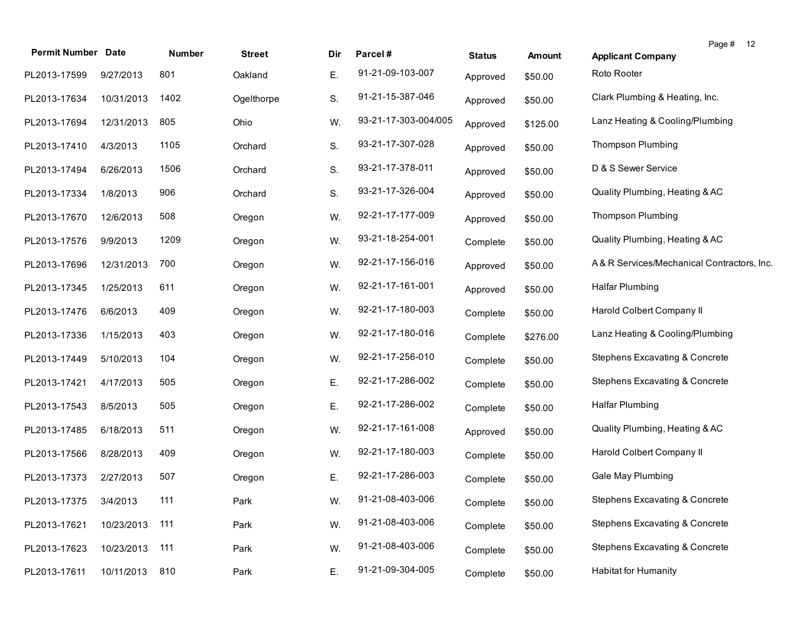| <b>Permit Number Date</b> |            | Number | <b>Street</b> | Dir | Parcel#              | <b>Status</b> | <b>Amount</b> | Page # 12<br><b>Applicant Company</b>      |
|---------------------------|------------|--------|---------------|-----|----------------------|---------------|---------------|--------------------------------------------|
| PL2013-17599              | 9/27/2013  | 801    | Oakland       | Е.  | 91-21-09-103-007     | Approved      | \$50.00       | Roto Rooter                                |
| PL2013-17634              | 10/31/2013 | 1402   | Ogelthorpe    | S.  | 91-21-15-387-046     | Approved      | \$50.00       | Clark Plumbing & Heating, Inc.             |
| PL2013-17694              | 12/31/2013 | 805    | Ohio          | W.  | 93-21-17-303-004/005 | Approved      | \$125.00      | Lanz Heating & Cooling/Plumbing            |
| PL2013-17410              | 4/3/2013   | 1105   | Orchard       | S.  | 93-21-17-307-028     | Approved      | \$50.00       | <b>Thompson Plumbing</b>                   |
| PL2013-17494              | 6/26/2013  | 1506   | Orchard       | S.  | 93-21-17-378-011     | Approved      | \$50.00       | D & S Sewer Service                        |
| PL2013-17334              | 1/8/2013   | 906    | Orchard       | S.  | 93-21-17-326-004     | Approved      | \$50.00       | Quality Plumbing, Heating & AC             |
| PL2013-17670              | 12/6/2013  | 508    | Oregon        | W.  | 92-21-17-177-009     | Approved      | \$50.00       | <b>Thompson Plumbing</b>                   |
| PL2013-17576              | 9/9/2013   | 1209   | Oregon        | W.  | 93-21-18-254-001     | Complete      | \$50.00       | Quality Plumbing, Heating & AC             |
| PL2013-17696              | 12/31/2013 | 700    | Oregon        | W.  | 92-21-17-156-016     | Approved      | \$50.00       | A& R Services/Mechanical Contractors, Inc. |
| PL2013-17345              | 1/25/2013  | 611    | Oregon        | W.  | 92-21-17-161-001     | Approved      | \$50.00       | <b>Halfar Plumbing</b>                     |
| PL2013-17476              | 6/6/2013   | 409    | Oregon        | W.  | 92-21-17-180-003     | Complete      | \$50.00       | Harold Colbert Company II                  |
| PL2013-17336              | 1/15/2013  | 403    | Oregon        | W.  | 92-21-17-180-016     | Complete      | \$276.00      | Lanz Heating & Cooling/Plumbing            |
| PL2013-17449              | 5/10/2013  | 104    | Oregon        | W.  | 92-21-17-256-010     | Complete      | \$50.00       | Stephens Excavating & Concrete             |
| PL2013-17421              | 4/17/2013  | 505    | Oregon        | Ε.  | 92-21-17-286-002     | Complete      | \$50.00       | <b>Stephens Excavating &amp; Concrete</b>  |
| PL2013-17543              | 8/5/2013   | 505    | Oregon        | Ε.  | 92-21-17-286-002     | Complete      | \$50.00       | <b>Halfar Plumbing</b>                     |
| PL2013-17485              | 6/18/2013  | 511    | Oregon        | W.  | 92-21-17-161-008     | Approved      | \$50.00       | Quality Plumbing, Heating & AC             |
| PL2013-17566              | 8/28/2013  | 409    | Oregon        | W.  | 92-21-17-180-003     | Complete      | \$50.00       | Harold Colbert Company II                  |
| PL2013-17373              | 2/27/2013  | 507    | Oregon        | Ε.  | 92-21-17-286-003     | Complete      | \$50.00       | Gale May Plumbing                          |
| PL2013-17375 3/4/2013     |            | 111    | Park          | W.  | 91-21-08-403-006     | Complete      | \$50.00       | <b>Stephens Excavating &amp; Concrete</b>  |
| PL2013-17621              | 10/23/2013 | 111    | Park          | W.  | 91-21-08-403-006     | Complete      | \$50.00       | Stephens Excavating & Concrete             |
| PL2013-17623              | 10/23/2013 | 111    | Park          | W.  | 91-21-08-403-006     | Complete      | \$50.00       | Stephens Excavating & Concrete             |
| PL2013-17611              | 10/11/2013 | 810    | Park          | E.  | 91-21-09-304-005     | Complete      | \$50.00       | <b>Habitat for Humanity</b>                |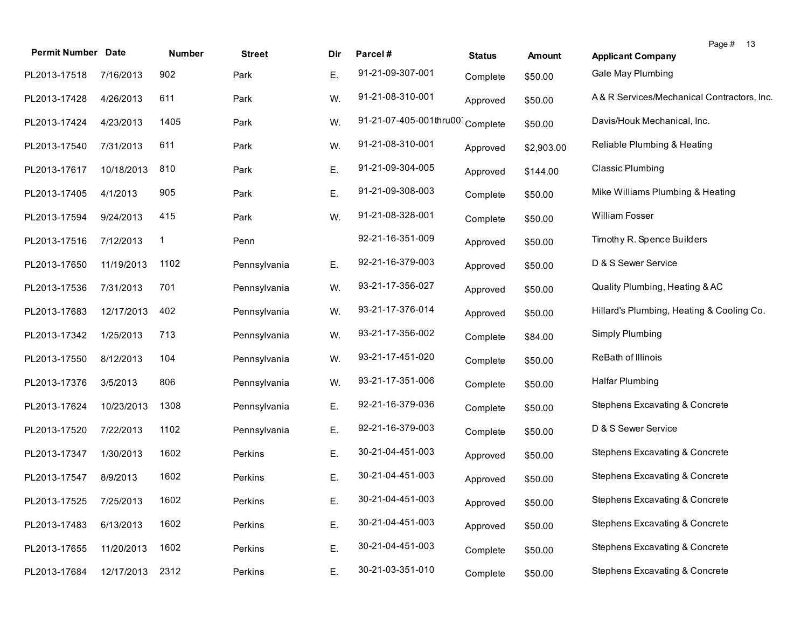| <b>Permit Number Date</b> |            | Number      | <b>Street</b> | Dir | Parcel#                | <b>Status</b> | Amount     | Page # 13<br><b>Applicant Company</b>     |
|---------------------------|------------|-------------|---------------|-----|------------------------|---------------|------------|-------------------------------------------|
| PL2013-17518              | 7/16/2013  | 902         | Park          | Ε.  | 91-21-09-307-001       | Complete      | \$50.00    | Gale May Plumbing                         |
| PL2013-17428              | 4/26/2013  | 611         | Park          | W.  | 91-21-08-310-001       | Approved      | \$50.00    | A&R Services/Mechanical Contractors, Inc. |
| PL2013-17424              | 4/23/2013  | 1405        | Park          | W.  | 91-21-07-405-001thru00 | Complete      | \$50.00    | Davis/Houk Mechanical, Inc.               |
| PL2013-17540              | 7/31/2013  | 611         | Park          | W.  | 91-21-08-310-001       | Approved      | \$2,903.00 | Reliable Plumbing & Heating               |
| PL2013-17617              | 10/18/2013 | 810         | Park          | Ε.  | 91-21-09-304-005       | Approved      | \$144.00   | <b>Classic Plumbing</b>                   |
| PL2013-17405              | 4/1/2013   | 905         | Park          | Ε.  | 91-21-09-308-003       | Complete      | \$50.00    | Mike Williams Plumbing & Heating          |
| PL2013-17594              | 9/24/2013  | 415         | Park          | W.  | 91-21-08-328-001       | Complete      | \$50.00    | William Fosser                            |
| PL2013-17516              | 7/12/2013  | $\mathbf 1$ | Penn          |     | 92-21-16-351-009       | Approved      | \$50.00    | Timothy R. Spence Builders                |
| PL2013-17650              | 11/19/2013 | 1102        | Pennsylvania  | Ε.  | 92-21-16-379-003       | Approved      | \$50.00    | D & S Sewer Service                       |
| PL2013-17536              | 7/31/2013  | 701         | Pennsylvania  | W.  | 93-21-17-356-027       | Approved      | \$50.00    | Quality Plumbing, Heating & AC            |
| PL2013-17683              | 12/17/2013 | 402         | Pennsylvania  | W.  | 93-21-17-376-014       | Approved      | \$50.00    | Hillard's Plumbing, Heating & Cooling Co. |
| PL2013-17342              | 1/25/2013  | 713         | Pennsylvania  | W.  | 93-21-17-356-002       | Complete      | \$84.00    | Simply Plumbing                           |
| PL2013-17550              | 8/12/2013  | 104         | Pennsylvania  | W.  | 93-21-17-451-020       | Complete      | \$50.00    | ReBath of Illinois                        |
| PL2013-17376              | 3/5/2013   | 806         | Pennsylvania  | W.  | 93-21-17-351-006       | Complete      | \$50.00    | Halfar Plumbing                           |
| PL2013-17624              | 10/23/2013 | 1308        | Pennsylvania  | Ε.  | 92-21-16-379-036       | Complete      | \$50.00    | Stephens Excavating & Concrete            |
| PL2013-17520              | 7/22/2013  | 1102        | Pennsylvania  | Ε.  | 92-21-16-379-003       | Complete      | \$50.00    | D & S Sewer Service                       |
| PL2013-17347              | 1/30/2013  | 1602        | Perkins       | Ε.  | 30-21-04-451-003       | Approved      | \$50.00    | <b>Stephens Excavating &amp; Concrete</b> |
| PL2013-17547              | 8/9/2013   | 1602        | Perkins       | Ε.  | 30-21-04-451-003       | Approved      | \$50.00    | Stephens Excavating & Concrete            |
| PL2013-17525 7/25/2013    |            | 1602        | Perkins       | Е.  | 30-21-04-451-003       | Approved      | \$50.00    | Stephens Excavating & Concrete            |
| PL2013-17483              | 6/13/2013  | 1602        | Perkins       | Ε.  | 30-21-04-451-003       | Approved      | \$50.00    | Stephens Excavating & Concrete            |
| PL2013-17655              | 11/20/2013 | 1602        | Perkins       | Ε.  | 30-21-04-451-003       | Complete      | \$50.00    | Stephens Excavating & Concrete            |
| PL2013-17684              | 12/17/2013 | 2312        | Perkins       | Ε.  | 30-21-03-351-010       | Complete      | \$50.00    | <b>Stephens Excavating &amp; Concrete</b> |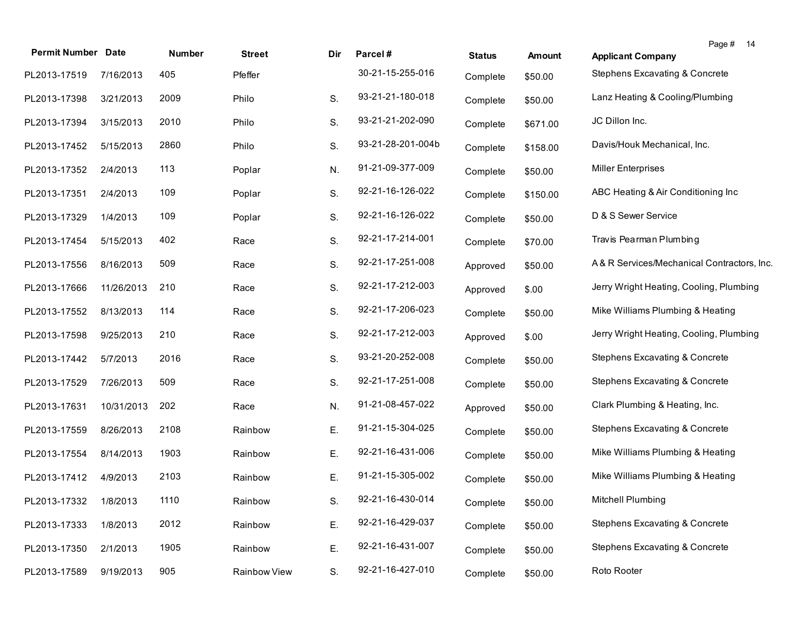| <b>Permit Number Date</b> |            | Number | <b>Street</b> | Dir. | Parcel#           | <b>Status</b> | Amount   | Page #<br>14<br><b>Applicant Company</b>   |
|---------------------------|------------|--------|---------------|------|-------------------|---------------|----------|--------------------------------------------|
| PL2013-17519              | 7/16/2013  | 405    | Pfeffer       |      | 30-21-15-255-016  | Complete      | \$50.00  | Stephens Excavating & Concrete             |
| PL2013-17398              | 3/21/2013  | 2009   | Philo         | S.   | 93-21-21-180-018  | Complete      | \$50.00  | Lanz Heating & Cooling/Plumbing            |
| PL2013-17394              | 3/15/2013  | 2010   | Philo         | S.   | 93-21-21-202-090  | Complete      | \$671.00 | JC Dillon Inc.                             |
| PL2013-17452              | 5/15/2013  | 2860   | Philo         | S.   | 93-21-28-201-004b | Complete      | \$158.00 | Davis/Houk Mechanical, Inc.                |
| PL2013-17352              | 2/4/2013   | 113    | Poplar        | N.   | 91-21-09-377-009  | Complete      | \$50.00  | <b>Miller Enterprises</b>                  |
| PL2013-17351              | 2/4/2013   | 109    | Poplar        | S.   | 92-21-16-126-022  | Complete      | \$150.00 | ABC Heating & Air Conditioning Inc         |
| PL2013-17329              | 1/4/2013   | 109    | Poplar        | S.   | 92-21-16-126-022  | Complete      | \$50.00  | D & S Sewer Service                        |
| PL2013-17454              | 5/15/2013  | 402    | Race          | S.   | 92-21-17-214-001  | Complete      | \$70.00  | Travis Pearman Plumbing                    |
| PL2013-17556              | 8/16/2013  | 509    | Race          | S.   | 92-21-17-251-008  | Approved      | \$50.00  | A& R Services/Mechanical Contractors, Inc. |
| PL2013-17666              | 11/26/2013 | 210    | Race          | S.   | 92-21-17-212-003  | Approved      | \$.00    | Jerry Wright Heating, Cooling, Plumbing    |
| PL2013-17552              | 8/13/2013  | 114    | Race          | S.   | 92-21-17-206-023  | Complete      | \$50.00  | Mike Williams Plumbing & Heating           |
| PL2013-17598              | 9/25/2013  | 210    | Race          | S.   | 92-21-17-212-003  | Approved      | \$.00    | Jerry Wright Heating, Cooling, Plumbing    |
| PL2013-17442              | 5/7/2013   | 2016   | Race          | S.   | 93-21-20-252-008  | Complete      | \$50.00  | Stephens Excavating & Concrete             |
| PL2013-17529              | 7/26/2013  | 509    | Race          | S.   | 92-21-17-251-008  | Complete      | \$50.00  | Stephens Excavating & Concrete             |
| PL2013-17631              | 10/31/2013 | 202    | Race          | N.   | 91-21-08-457-022  | Approved      | \$50.00  | Clark Plumbing & Heating, Inc.             |
| PL2013-17559              | 8/26/2013  | 2108   | Rainbow       | Е.   | 91-21-15-304-025  | Complete      | \$50.00  | <b>Stephens Excavating &amp; Concrete</b>  |
| PL2013-17554              | 8/14/2013  | 1903   | Rainbow       | Е.   | 92-21-16-431-006  | Complete      | \$50.00  | Mike Williams Plumbing & Heating           |
| PL2013-17412              | 4/9/2013   | 2103   | Rainbow       | Е.   | 91-21-15-305-002  | Complete      | \$50.00  | Mike Williams Plumbing & Heating           |
| PL2013-17332 1/8/2013     |            | 1110   | Rainbow       | S.   | 92-21-16-430-014  | Complete      | \$50.00  | Mitchell Plumbing                          |
| PL2013-17333              | 1/8/2013   | 2012   | Rainbow       | Е.   | 92-21-16-429-037  | Complete      | \$50.00  | Stephens Excavating & Concrete             |
| PL2013-17350              | 2/1/2013   | 1905   | Rainbow       | Е.   | 92-21-16-431-007  | Complete      | \$50.00  | Stephens Excavating & Concrete             |
| PL2013-17589              | 9/19/2013  | 905    | Rainbow View  | S.   | 92-21-16-427-010  | Complete      | \$50.00  | Roto Rooter                                |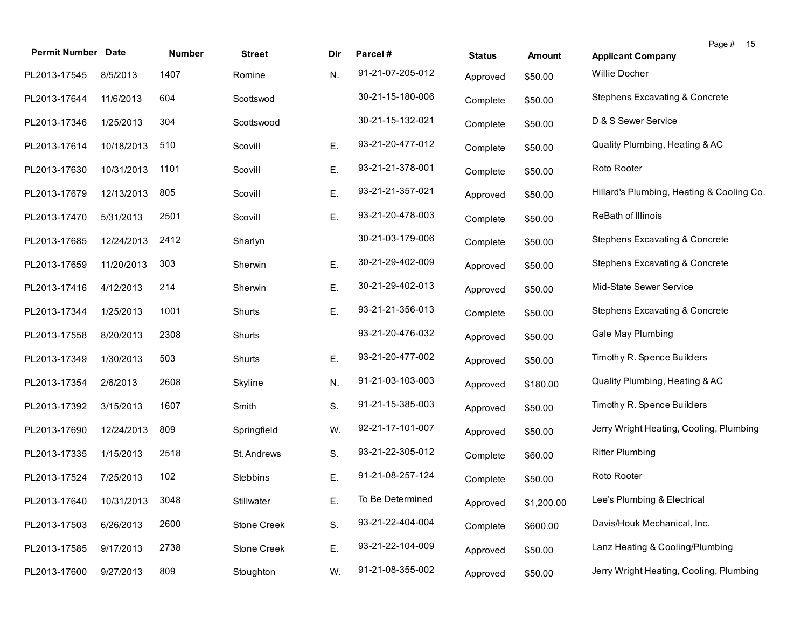| <b>Permit Number</b> | <b>Date</b> | Number | <b>Street</b> | Dir | Parcel#          |               |               | Page #<br>15                              |
|----------------------|-------------|--------|---------------|-----|------------------|---------------|---------------|-------------------------------------------|
|                      |             |        |               |     | 91-21-07-205-012 | <b>Status</b> | <b>Amount</b> | <b>Applicant Company</b>                  |
| PL2013-17545         | 8/5/2013    | 1407   | Romine        | N.  |                  | Approved      | \$50.00       | Willie Docher                             |
| PL2013-17644         | 11/6/2013   | 604    | Scottswod     |     | 30-21-15-180-006 | Complete      | \$50.00       | Stephens Excavating & Concrete            |
| PL2013-17346         | 1/25/2013   | 304    | Scottswood    |     | 30-21-15-132-021 | Complete      | \$50.00       | D & S Sewer Service                       |
| PL2013-17614         | 10/18/2013  | 510    | Scovill       | Е.  | 93-21-20-477-012 | Complete      | \$50.00       | Quality Plumbing, Heating & AC            |
| PL2013-17630         | 10/31/2013  | 1101   | Scovill       | Е.  | 93-21-21-378-001 | Complete      | \$50.00       | Roto Rooter                               |
| PL2013-17679         | 12/13/2013  | 805    | Scovill       | Е.  | 93-21-21-357-021 | Approved      | \$50.00       | Hillard's Plumbing, Heating & Cooling Co. |
| PL2013-17470         | 5/31/2013   | 2501   | Scovill       | Ε.  | 93-21-20-478-003 | Complete      | \$50.00       | ReBath of Illinois                        |
| PL2013-17685         | 12/24/2013  | 2412   | Sharlyn       |     | 30-21-03-179-006 | Complete      | \$50.00       | Stephens Excavating & Concrete            |
| PL2013-17659         | 11/20/2013  | 303    | Sherwin       | Ε.  | 30-21-29-402-009 | Approved      | \$50.00       | Stephens Excavating & Concrete            |
| PL2013-17416         | 4/12/2013   | 214    | Sherwin       | Ε.  | 30-21-29-402-013 | Approved      | \$50.00       | Mid-State Sewer Service                   |
| PL2013-17344         | 1/25/2013   | 1001   | Shurts        | Ε.  | 93-21-21-356-013 | Complete      | \$50.00       | Stephens Excavating & Concrete            |
| PL2013-17558         | 8/20/2013   | 2308   | Shurts        |     | 93-21-20-476-032 | Approved      | \$50.00       | Gale May Plumbing                         |
| PL2013-17349         | 1/30/2013   | 503    | Shurts        | Ε.  | 93-21-20-477-002 | Approved      | \$50.00       | Timothy R. Spence Builders                |
| PL2013-17354         | 2/6/2013    | 2608   | Skyline       | N.  | 91-21-03-103-003 | Approved      | \$180.00      | Quality Plumbing, Heating & AC            |
| PL2013-17392         | 3/15/2013   | 1607   | Smith         | S.  | 91-21-15-385-003 | Approved      | \$50.00       | Timothy R. Spence Builders                |
| PL2013-17690         | 12/24/2013  | 809    | Springfield   | W.  | 92-21-17-101-007 | Approved      | \$50.00       | Jerry Wright Heating, Cooling, Plumbing   |
| PL2013-17335         | 1/15/2013   | 2518   | St. Andrews   | S.  | 93-21-22-305-012 | Complete      | \$60.00       | <b>Ritter Plumbing</b>                    |
| PL2013-17524         | 7/25/2013   | 102    | Stebbins      | Ε.  | 91-21-08-257-124 | Complete      | \$50.00       | Roto Rooter                               |
| PL2013-17640         | 10/31/2013  | 3048   | Stillwater    | E.  | To Be Determined | Approved      | \$1,200.00    | Lee's Plumbing & Electrical               |
| PL2013-17503         | 6/26/2013   | 2600   | Stone Creek   | S.  | 93-21-22-404-004 | Complete      | \$600.00      | Davis/Houk Mechanical, Inc.               |
| PL2013-17585         | 9/17/2013   | 2738   | Stone Creek   | Ε.  | 93-21-22-104-009 | Approved      | \$50.00       | Lanz Heating & Cooling/Plumbing           |
| PL2013-17600         | 9/27/2013   | 809    | Stoughton     | W.  | 91-21-08-355-002 | Approved      | \$50.00       | Jerry Wright Heating, Cooling, Plumbing   |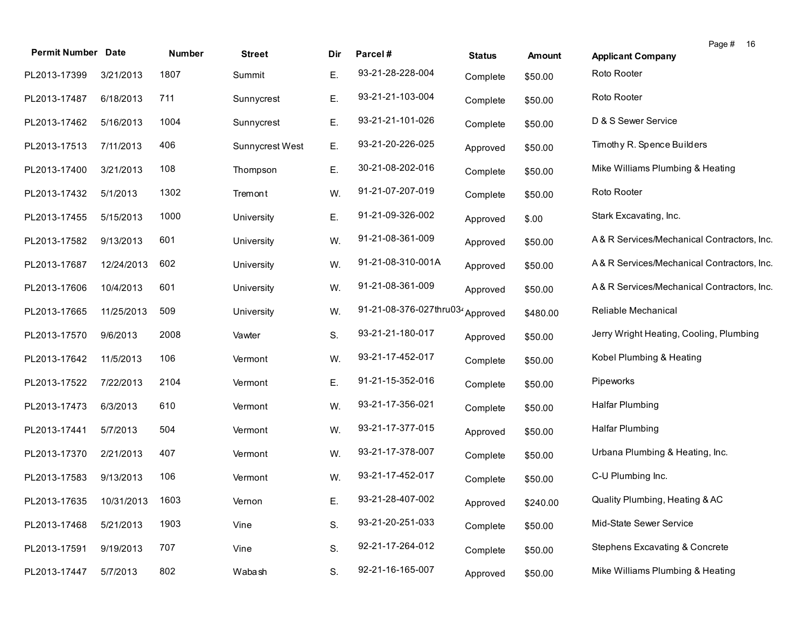| <b>Permit Number Date</b> |            | Number | <b>Street</b>   | Dir | Parcel#                 | <b>Status</b> | <b>Amount</b> | Page # 16<br><b>Applicant Company</b>      |
|---------------------------|------------|--------|-----------------|-----|-------------------------|---------------|---------------|--------------------------------------------|
| PL2013-17399              | 3/21/2013  | 1807   | Summit          | Е.  | 93-21-28-228-004        | Complete      | \$50.00       | Roto Rooter                                |
| PL2013-17487              | 6/18/2013  | 711    | Sunnycrest      | Е.  | 93-21-21-103-004        | Complete      | \$50.00       | Roto Rooter                                |
| PL2013-17462              | 5/16/2013  | 1004   | Sunnycrest      | Ε.  | 93-21-21-101-026        | Complete      | \$50.00       | D & S Sewer Service                        |
| PL2013-17513              | 7/11/2013  | 406    | Sunnycrest West | Ε.  | 93-21-20-226-025        | Approved      | \$50.00       | Timothy R. Spence Builders                 |
| PL2013-17400              | 3/21/2013  | 108    | Thompson        | Ε.  | 30-21-08-202-016        | Complete      | \$50.00       | Mike Williams Plumbing & Heating           |
| PL2013-17432              | 5/1/2013   | 1302   | Tremont         | W.  | 91-21-07-207-019        | Complete      | \$50.00       | Roto Rooter                                |
| PL2013-17455              | 5/15/2013  | 1000   | University      | Е.  | 91-21-09-326-002        | Approved      | \$.00         | Stark Excavating, Inc.                     |
| PL2013-17582              | 9/13/2013  | 601    | University      | W.  | 91-21-08-361-009        | Approved      | \$50.00       | A& R Services/Mechanical Contractors, Inc. |
| PL2013-17687              | 12/24/2013 | 602    | University      | W.  | 91-21-08-310-001A       | Approved      | \$50.00       | A& R Services/Mechanical Contractors, Inc. |
| PL2013-17606              | 10/4/2013  | 601    | University      | W.  | 91-21-08-361-009        | Approved      | \$50.00       | A& R Services/Mechanical Contractors, Inc. |
| PL2013-17665              | 11/25/2013 | 509    | University      | W.  | 91-21-08-376-027thru034 | Approved      | \$480.00      | Reliable Mechanical                        |
| PL2013-17570              | 9/6/2013   | 2008   | Vawter          | S.  | 93-21-21-180-017        | Approved      | \$50.00       | Jerry Wright Heating, Cooling, Plumbing    |
| PL2013-17642              | 11/5/2013  | 106    | Vermont         | W.  | 93-21-17-452-017        | Complete      | \$50.00       | Kobel Plumbing & Heating                   |
| PL2013-17522              | 7/22/2013  | 2104   | Vermont         | Ε.  | 91-21-15-352-016        | Complete      | \$50.00       | Pipeworks                                  |
| PL2013-17473              | 6/3/2013   | 610    | Vermont         | W.  | 93-21-17-356-021        | Complete      | \$50.00       | <b>Halfar Plumbing</b>                     |
| PL2013-17441              | 5/7/2013   | 504    | Vermont         | W.  | 93-21-17-377-015        | Approved      | \$50.00       | <b>Halfar Plumbing</b>                     |
| PL2013-17370              | 2/21/2013  | 407    | Vermont         | W.  | 93-21-17-378-007        | Complete      | \$50.00       | Urbana Plumbing & Heating, Inc.            |
| PL2013-17583              | 9/13/2013  | 106    | Vermont         | W.  | 93-21-17-452-017        | Complete      | \$50.00       | C-U Plumbing Inc.                          |
| PL2013-17635 10/31/2013   |            | 1603   | Vernon          | Ε.  | 93-21-28-407-002        | Approved      | \$240.00      | Quality Plumbing, Heating & AC             |
| PL2013-17468              | 5/21/2013  | 1903   | Vine            | S.  | 93-21-20-251-033        | Complete      | \$50.00       | Mid-State Sewer Service                    |
| PL2013-17591              | 9/19/2013  | 707    | Vine            | S.  | 92-21-17-264-012        | Complete      | \$50.00       | Stephens Excavating & Concrete             |
| PL2013-17447              | 5/7/2013   | 802    | Wabash          | S.  | 92-21-16-165-007        | Approved      | \$50.00       | Mike Williams Plumbing & Heating           |